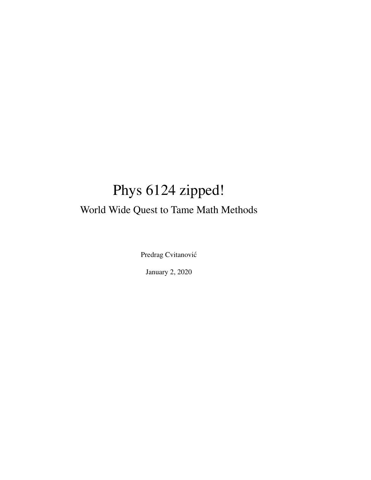# Phys 6124 zipped! World Wide Quest to Tame Math Methods

Predrag Cvitanovic´

January 2, 2020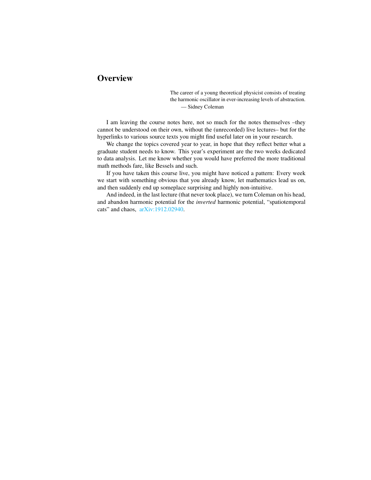### **Overview**

The career of a young theoretical physicist consists of treating the harmonic oscillator in ever-increasing levels of abstraction. — Sidney Coleman

I am leaving the course notes here, not so much for the notes themselves –they cannot be understood on their own, without the (unrecorded) live lectures– but for the hyperlinks to various source texts you might find useful later on in your research.

We change the topics covered year to year, in hope that they reflect better what a graduate student needs to know. This year's experiment are the two weeks dedicated to data analysis. Let me know whether you would have preferred the more traditional math methods fare, like Bessels and such.

If you have taken this course live, you might have noticed a pattern: Every week we start with something obvious that you already know, let mathematics lead us on, and then suddenly end up someplace surprising and highly non-intuitive.

And indeed, in the last lecture (that never took place), we turn Coleman on his head, and abandon harmonic potential for the *inverted* harmonic potential, "spatiotemporal cats" and chaos, [arXiv:1912.02940.](http://arXiv.org/abs/1912.02940)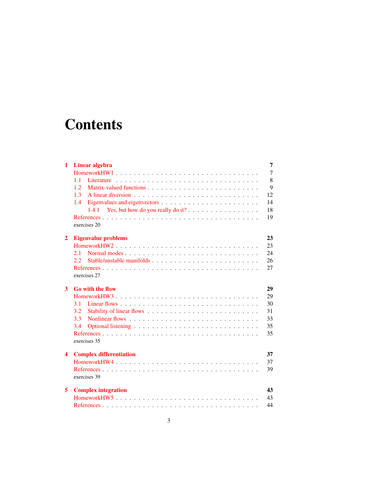# **Contents**

| 1                       | <b>Linear algebra</b>                                                            | 7      |
|-------------------------|----------------------------------------------------------------------------------|--------|
|                         | HomeworkHW1                                                                      | $\tau$ |
|                         | 11                                                                               | 8      |
|                         | 1.2                                                                              | 9      |
|                         | 1.3                                                                              | 12     |
|                         | 1.4                                                                              | 14     |
|                         | Yes, but how do you really do it? $\dots \dots \dots \dots \dots \dots$<br>1.4.1 | 18     |
|                         | exercises 20                                                                     | 19     |
| $\overline{2}$          | <b>Eigenvalue problems</b>                                                       | 23     |
|                         | HomeworkHW2                                                                      | 23     |
|                         | 2.1                                                                              | 24     |
|                         | 2.2                                                                              | 26     |
|                         |                                                                                  | 27     |
|                         | exercises 27                                                                     |        |
| 3                       | <b>Go with the flow</b>                                                          | 29     |
|                         | HomeworkHW3                                                                      | 29     |
|                         | 3.1                                                                              | 30     |
|                         | 3.2                                                                              | 31     |
|                         | 3.3                                                                              | 33     |
|                         | 3.4                                                                              | 35     |
|                         | exercises 35                                                                     | 35     |
| $\overline{\mathbf{4}}$ | <b>Complex differentiation</b>                                                   | 37     |
|                         |                                                                                  | 37     |
|                         | exercises 39                                                                     | 39     |
| 5                       | <b>Complex integration</b>                                                       | 43     |
|                         |                                                                                  | 43     |
|                         |                                                                                  | 44     |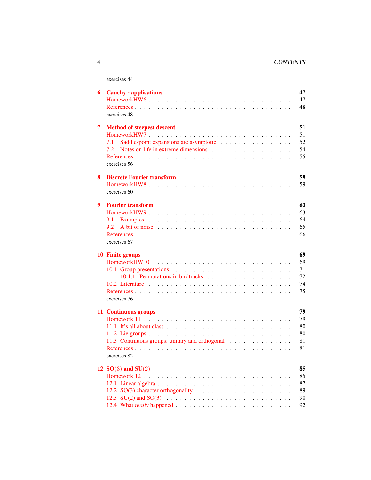### 4 CONTENTS

| 6 | <b>Cauchy - applications</b><br>HomeworkHW6<br>exercises 48                                                                                                                                        | 47<br>47<br>48                   |
|---|----------------------------------------------------------------------------------------------------------------------------------------------------------------------------------------------------|----------------------------------|
| 7 | <b>Method of steepest descent</b><br>7.1<br>7.2<br>exercises 56                                                                                                                                    | 51<br>51<br>52<br>54<br>55       |
| 8 | <b>Discrete Fourier transform</b><br>HomeworkHW8<br>exercises 60                                                                                                                                   | 59<br>59                         |
| 9 | <b>Fourier transform</b><br>HomeworkHW9<br>9.1<br>9.2<br>exercises 67                                                                                                                              | 63<br>63<br>64<br>65<br>66       |
|   | <b>10 Finite groups</b><br>exercises 76                                                                                                                                                            | 69<br>69<br>71<br>72<br>74<br>75 |
|   | 11 Continuous groups<br>11.1 It's all about class $\ldots \ldots \ldots \ldots \ldots \ldots \ldots \ldots \ldots \ldots \ldots$<br>11.3 Continuous groups: unitary and orthogonal<br>exercises 82 | 79<br>79<br>80<br>80<br>81<br>81 |
|   | 12 $SO(3)$ and $SU(2)$                                                                                                                                                                             | 85<br>85<br>87<br>89<br>90       |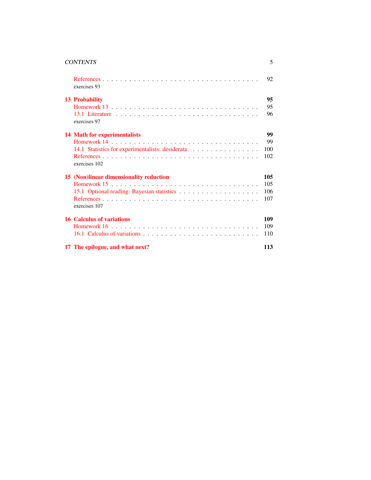| <b>CONTENTS</b> |  |  |
|-----------------|--|--|
|                 |  |  |

| exercises 93                                     | 92  |
|--------------------------------------------------|-----|
| <b>13 Probability</b>                            | 95  |
|                                                  | 95  |
| exercises 97                                     | 96  |
| <b>14 Math for experimentalists</b>              | 99  |
|                                                  | 99  |
| 14.1 Statistics for experimentalists: desiderata | 100 |
| exercises 102                                    | 102 |
| 15 (Non)linear dimensionality reduction          | 105 |
|                                                  | 105 |
|                                                  | 106 |
| exercises 107                                    | 107 |
| <b>16 Calculus of variations</b>                 | 109 |
|                                                  | 109 |
|                                                  | 110 |
| 17 The epilogue, and what next?                  | 113 |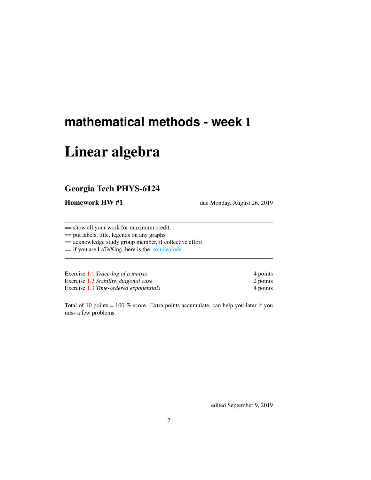# <span id="page-6-0"></span>**mathematical methods - week** 1

# Linear algebra

### <span id="page-6-1"></span>Georgia Tech PHYS-6124

Homework HW #1 due Monday, August 26, 2019

== show all your work for maximum credit,

== put labels, title, legends on any graphs

== acknowledge study group member, if collective effort

== if you are LaTeXing, here is the [source code](http://chaosbook.org/~predrag/courses/PHYS-6124-19/exerWeek1.tex)

| Exercise 1.1 Trace-log of a matrix     | 4 points |
|----------------------------------------|----------|
| Exercise 1.2 Stability, diagonal case  | 2 points |
| Exercise 1.3 Time-ordered exponentials | 4 points |

Total of 10 points = 100 % score. Extra points accumulate, can help you later if you miss a few problems.

edited September 9, 2019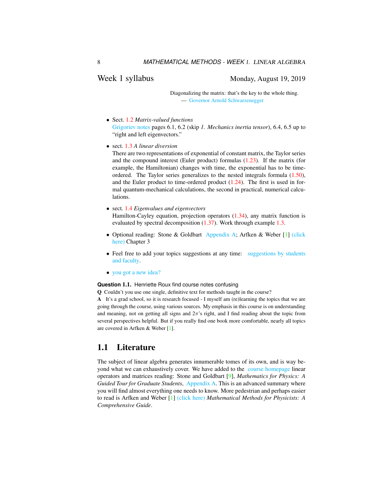### Week 1 syllabus Monday, August 19, 2019

Diagonalizing the matrix: that's the key to the whole thing. — [Governor Arnold Schwarzenegger](https://www.prairiehome.org/story/2003/11/29/guy-noir.html)

- Sect. [1.2](#page-8-0) *Matrix-valued functions* [Grigoriev notes](http://www.chaosbook.org/~predrag/courses/PHYS-6124-19/ln6.pdf) pages 6.1, 6.2 (skip *1. Mechanics inertia tensor*), 6.4, 6.5 up to "right and left eigenvectors."
- sect. [1.3](#page-11-0) *A linear diversion*

There are two representations of exponential of constant matrix, the Taylor series and the compound interest (Euler product) formulas [\(1.23\)](#page-12-0). If the matrix (for example, the Hamiltonian) changes with time, the exponential has to be timeordered. The Taylor series generalizes to the nested integrals formula [\(1.50\)](#page-19-3), and the Euler product to time-ordered product  $(1.24)$ . The first is used in formal quantum-mechanical calculations, the second in practical, numerical calculations.

- sect. [1.4](#page-13-0) *Eigenvalues and eigenvectors* Hamilton-Cayley equation, projection operators [\(1.34\)](#page-14-0), any matrix function is evaluated by spectral decomposition  $(1.37)$ . Work through example [1.3.](#page-16-0)
- Optional reading: Stone & Goldbart [Appendix A;](http://www.chaosbook.org/~predrag/courses/PHYS-6124-19/StGoAppA.pdf) Arfken & Weber [\[1\]](#page-18-1) [\(click](http://ChaosBook.org/library/ArWe05chap3.pdf) [here\)](http://ChaosBook.org/library/ArWe05chap3.pdf) Chapter 3
- Feel free to add your topics suggestions at any time: [suggestions by students](http://groups.google.com/group/gt-chaos-course/topics) [and faculty.](http://groups.google.com/group/gt-chaos-course/topics)
- [you got a new idea?](http://dfa.upc.es/websfa/fluids/alvar/html/scimax.html)

#### **Question** 1.1. Henriette Roux find course notes confusing

Q Couldn't you use one single, definitive text for methods taught in the course?

A It's a grad school, so it is research focused - I myself am (re)learning the topics that we are going through the course, using various sources. My emphasis in this course is on understanding and meaning, not on getting all signs and  $2\pi$ 's right, and I find reading about the topic from several perspectives helpful. But if you really find one book more comfortable, nearly all topics are covered in Arfken & Weber [\[1\]](#page-18-1).

### <span id="page-7-0"></span>1.1 Literature

The subject of linear algebra generates innumerable tomes of its own, and is way beyond what we can exhaustively cover. We have added to the [course homepage](http://ChaosBook.org/~predrag/courses/PHYS-6124-19/schedule.html) linear operators and matrices reading: Stone and Goldbart [\[9\]](#page-19-4), *Mathematics for Physics: A Guided Tour for Graduate Students*, [Appendix A.](http://ChaosBook.org/~predrag/courses/PHYS-6124-19/StGoAppA.pdf) This is an advanced summary where you will find almost everything one needs to know. More pedestrian and perhaps easier to read is Arfken and Weber [\[1\]](#page-18-1) [\(click here\)](http://ChaosBook.org/library/ArWe05chap3.pdf) *Mathematical Methods for Physicists: A Comprehensive Guide*.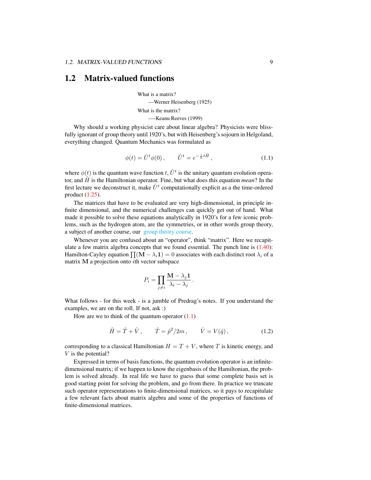### <span id="page-8-0"></span>1.2 Matrix-valued functions

What is a matrix? —Werner Heisenberg (1925) What is the matrix? —-Keanu Reeves (1999)

Why should a working physicist care about linear algebra? Physicists were blissfully ignorant of group theory until 1920's, but with Heisenberg's sojourn in Helgoland, everything changed. Quantum Mechanics was formulated as

<span id="page-8-1"></span>
$$
\phi(t) = \hat{U}^t \phi(0), \qquad \hat{U}^t = e^{-\frac{i}{\hbar}t\hat{H}}, \qquad (1.1)
$$

where  $\phi(t)$  is the quantum wave function t,  $\hat{U}^t$  is the unitary quantum evolution operator, and  $\hat{H}$  is the Hamiltonian operator. Fine, but what does this equation *mean*? In the first lecture we deconstruct it, make  $\hat{U}^t$  computationally explicit as a the time-ordered product [\(1.25\)](#page-12-2).

The matrices that have to be evaluated are very high-dimensional, in principle infinite dimensional, and the numerical challenges can quickly get out of hand. What made it possible to solve these equations analytically in 1920's for a few iconic problems, such as the hydrogen atom, are the symmetries, or in other words group theory, a subject of another course, our [group theory course.](http://birdtracks.eu/courses/PHYS-7143-19/schedule.html)

Whenever you are confused about an "operator", think "matrix". Here we recapitulate a few matrix algebra concepts that we found essential. The punch line is  $(1.40)$ : Hamilton-Cayley equation  $\prod (\mathbf{M} - \lambda_i \mathbf{1}) = 0$  associates with each distinct root  $\lambda_i$  of a matrix M a projection onto ith vector subspace

$$
P_i = \prod_{j \neq i} \frac{\mathbf{M} - \lambda_j \mathbf{1}}{\lambda_i - \lambda_j}
$$

What follows - for this week - is a jumble of Predrag's notes. If you understand the examples, we are on the roll. If not, ask :)

How are we to think of the quantum operator  $(1.1)$ 

$$
\hat{H} = \hat{T} + \hat{V}, \qquad \hat{T} = \hat{p}^2 / 2m, \qquad \hat{V} = V(\hat{q}),
$$
\n(1.2)

.

corresponding to a classical Hamiltonian  $H = T + V$ , where T is kinetic energy, and V is the potential?

Expressed in terms of basis functions, the quantum evolution operator is an infinitedimensional matrix; if we happen to know the eigenbasis of the Hamiltonian, the problem is solved already. In real life we have to guess that some complete basis set is good starting point for solving the problem, and go from there. In practice we truncate such operator representations to finite-dimensional matrices, so it pays to recapitulate a few relevant facts about matrix algebra and some of the properties of functions of finite-dimensional matrices.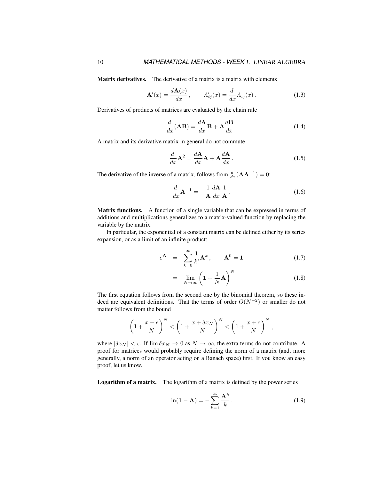Matrix derivatives. The derivative of a matrix is a matrix with elements

$$
\mathbf{A}'(x) = \frac{d\mathbf{A}(x)}{dx}, \qquad A'_{ij}(x) = \frac{d}{dx}A_{ij}(x). \tag{1.3}
$$

Derivatives of products of matrices are evaluated by the chain rule

$$
\frac{d}{dx}(\mathbf{AB}) = \frac{d\mathbf{A}}{dx}\mathbf{B} + \mathbf{A}\frac{d\mathbf{B}}{dx}.
$$
\n(1.4)

A matrix and its derivative matrix in general do not commute

$$
\frac{d}{dx}\mathbf{A}^2 = \frac{d\mathbf{A}}{dx}\mathbf{A} + \mathbf{A}\frac{d\mathbf{A}}{dx}.
$$
 (1.5)

The derivative of the inverse of a matrix, follows from  $\frac{d}{dx}(\mathbf{A}\mathbf{A}^{-1}) = 0$ :

$$
\frac{d}{dx}\mathbf{A}^{-1} = -\frac{1}{\mathbf{A}}\frac{d\mathbf{A}}{dx}\frac{1}{\mathbf{A}}.
$$
\n(1.6)

Matrix functions. A function of a single variable that can be expressed in terms of additions and multiplications generalizes to a matrix-valued function by replacing the variable by the matrix.

In particular, the exponential of a constant matrix can be defined either by its series expansion, or as a limit of an infinite product:

<span id="page-9-0"></span>
$$
e^{\mathbf{A}} = \sum_{k=0}^{\infty} \frac{1}{k!} \mathbf{A}^{k}, \qquad \mathbf{A}^{0} = \mathbf{1}
$$
 (1.7)

$$
= \lim_{N \to \infty} \left( 1 + \frac{1}{N} \mathbf{A} \right)^N \tag{1.8}
$$

The first equation follows from the second one by the binomial theorem, so these indeed are equivalent definitions. That the terms of order  $O(N^{-2})$  or smaller do not matter follows from the bound

$$
\left(1+\frac{x-\epsilon}{N}\right)^N < \left(1+\frac{x+\delta x_N}{N}\right)^N < \left(1+\frac{x+\epsilon}{N}\right)^N,
$$

where  $|\delta x_N| < \epsilon$ . If  $\lim \delta x_N \to 0$  as  $N \to \infty$ , the extra terms do not contribute. A proof for matrices would probably require defining the norm of a matrix (and, more generally, a norm of an operator acting on a Banach space) first. If you know an easy proof, let us know.

Logarithm of a matrix. The logarithm of a matrix is defined by the power series

$$
\ln(\mathbf{1} - \mathbf{A}) = -\sum_{k=1}^{\infty} \frac{\mathbf{A}^k}{k}.
$$
 (1.9)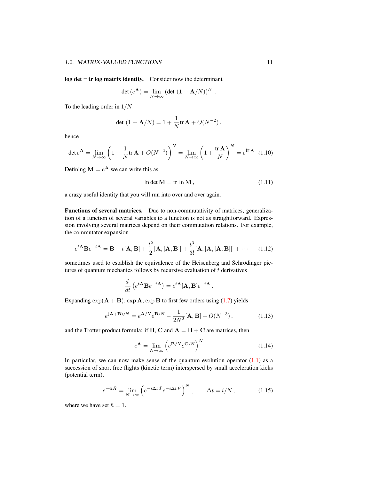log det = tr log matrix identity. Consider now the determinant

$$
\det(e^{\mathbf{A}}) = \lim_{N \to \infty} \left( \det \left( \mathbf{1} + \mathbf{A}/N \right) \right)^N.
$$

To the leading order in  $1/N$ 

$$
\det (1 + A/N) = 1 + \frac{1}{N} tr A + O(N^{-2}).
$$

hence

$$
\det e^{\mathbf{A}} = \lim_{N \to \infty} \left( 1 + \frac{1}{N} \text{tr} \, \mathbf{A} + O(N^{-2}) \right)^N = \lim_{N \to \infty} \left( 1 + \frac{\text{tr} \, \mathbf{A}}{N} \right)^N = e^{\text{tr} \, \mathbf{A}} \tag{1.10}
$$

Defining  $M = e^{A}$  we can write this as

$$
\ln \det \mathbf{M} = \text{tr} \ln \mathbf{M},\tag{1.11}
$$

a crazy useful identity that you will run into over and over again.

Functions of several matrices. Due to non-commutativity of matrices, generalization of a function of several variables to a function is not as straightforward. Expression involving several matrices depend on their commutation relations. For example, the commutator expansion

$$
e^{t\mathbf{A}}\mathbf{B}e^{-t\mathbf{A}} = \mathbf{B} + t[\mathbf{A}, \mathbf{B}] + \frac{t^2}{2}[\mathbf{A}, [\mathbf{A}, \mathbf{B}]] + \frac{t^3}{3!}[\mathbf{A}, [\mathbf{A}, [\mathbf{A}, \mathbf{B}]]] + \cdots \quad (1.12)
$$

sometimes used to establish the equivalence of the Heisenberg and Schrödinger pictures of quantum mechanics follows by recursive evaluation of  $t$  derivatives

$$
\frac{d}{dt}\left(e^{t\mathbf{A}}\mathbf{B}e^{-t\mathbf{A}}\right) = e^{t\mathbf{A}}[\mathbf{A},\mathbf{B}]e^{-t\mathbf{A}}.
$$

Expanding  $\exp(A + B)$ ,  $\exp A$ ,  $\exp B$  to first few orders using [\(1.7\)](#page-9-0) yields

$$
e^{(A+B)/N} = e^{A/N} e^{B/N} - \frac{1}{2N^2} [A, B] + O(N^{-3}),
$$
 (1.13)

and the Trotter product formula: if **B**, **C** and  $A = B + C$  are matrices, then

$$
e^{\mathbf{A}} = \lim_{N \to \infty} \left( e^{\mathbf{B}/N} e^{\mathbf{C}/N} \right)^N \tag{1.14}
$$

In particular, we can now make sense of the quantum evolution operator  $(1.1)$  as a succession of short free flights (kinetic term) interspersed by small acceleration kicks (potential term),

$$
e^{-it\hat{H}} = \lim_{N \to \infty} \left( e^{-i\Delta t \hat{T}} e^{-i\Delta t \hat{V}} \right)^N, \qquad \Delta t = t/N, \qquad (1.15)
$$

where we have set  $\hbar = 1$ .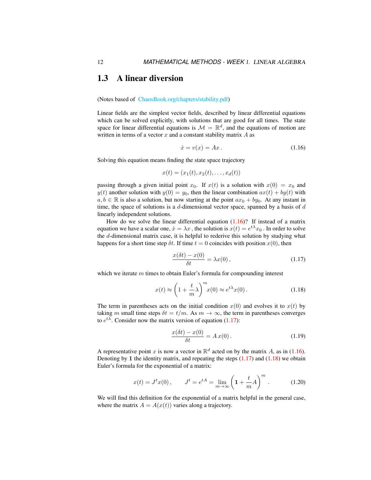### <span id="page-11-0"></span>1.3 A linear diversion

(Notes based of [ChaosBook.org/chapters/stability.pdf\)](http://ChaosBook.org/chapters/stability.pdf)

Linear fields are the simplest vector fields, described by linear differential equations which can be solved explicitly, with solutions that are good for all times. The state space for linear differential equations is  $\mathcal{M} = \mathbb{R}^d$ , and the equations of motion are written in terms of a vector  $x$  and a constant stability matrix  $A$  as

<span id="page-11-1"></span>
$$
\dot{x} = v(x) = Ax. \tag{1.16}
$$

Solving this equation means finding the state space trajectory

$$
x(t) = (x_1(t), x_2(t), \dots, x_d(t))
$$

passing through a given initial point  $x_0$ . If  $x(t)$  is a solution with  $x(0) = x_0$  and  $y(t)$  another solution with  $y(0) = y_0$ , then the linear combination  $ax(t) + by(t)$  with  $a, b \in \mathbb{R}$  is also a solution, but now starting at the point  $ax_0 + by_0$ . At any instant in time, the space of solutions is a  $d$ -dimensional vector space, spanned by a basis of  $d$ linearly independent solutions.

How do we solve the linear differential equation  $(1.16)$ ? If instead of a matrix equation we have a scalar one,  $\dot{x} = \lambda x$  , the solution is  $x(t) = e^{t\lambda}x_0$  . In order to solve the d-dimensional matrix case, it is helpful to rederive this solution by studying what happens for a short time step  $\delta t$ . If time  $t = 0$  coincides with position  $x(0)$ , then

<span id="page-11-2"></span>
$$
\frac{x(\delta t) - x(0)}{\delta t} = \lambda x(0),\tag{1.17}
$$

which we iterate  $m$  times to obtain Euler's formula for compounding interest

<span id="page-11-3"></span>
$$
x(t) \approx \left(1 + \frac{t}{m}\lambda\right)^m x(0) \approx e^{t\lambda} x(0). \tag{1.18}
$$

The term in parentheses acts on the initial condition  $x(0)$  and evolves it to  $x(t)$  by taking m small time steps  $\delta t = t/m$ . As  $m \to \infty$ , the term in parentheses converges to  $e^{t\lambda}$ . Consider now the matrix version of equation [\(1.17\)](#page-11-2):

$$
\frac{x(\delta t) - x(0)}{\delta t} = A x(0). \tag{1.19}
$$

A representative point x is now a vector in  $\mathbb{R}^d$  acted on by the matrix A, as in [\(1.16\)](#page-11-1). Denoting by 1 the identity matrix, and repeating the steps  $(1.17)$  and  $(1.18)$  we obtain Euler's formula for the exponential of a matrix:

<span id="page-11-4"></span>
$$
x(t) = Jt x(0), \t Jt = etA = \lim_{m \to \infty} \left( 1 + \frac{t}{m} A \right)^m.
$$
 (1.20)

We will find this definition for the exponential of a matrix helpful in the general case, where the matrix  $A = A(x(t))$  varies along a trajectory.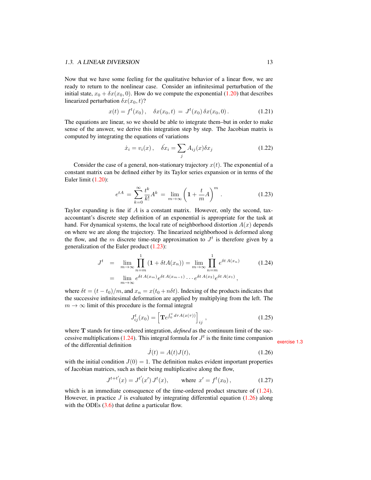Now that we have some feeling for the qualitative behavior of a linear flow, we are ready to return to the nonlinear case. Consider an infinitesimal perturbation of the initial state,  $x_0 + \delta x(x_0, 0)$ . How do we compute the exponential [\(1.20\)](#page-11-4) that describes linearized perturbation  $\delta x(x_0, t)$ ?

$$
x(t) = ft(x0), \quad \delta x(x0, t) = Jt(x0) \delta x(x0, 0).
$$
 (1.21)

The equations are linear, so we should be able to integrate them–but in order to make sense of the answer, we derive this integration step by step. The Jacobian matrix is computed by integrating the equations of variations

$$
\dot{x}_i = v_i(x), \quad \dot{\delta x}_i = \sum_j A_{ij}(x)\delta x_j \tag{1.22}
$$

Consider the case of a general, non-stationary trajectory  $x(t)$ . The exponential of a constant matrix can be defined either by its Taylor series expansion or in terms of the Euler limit [\(1.20\)](#page-11-4):

<span id="page-12-0"></span>
$$
e^{tA} = \sum_{k=0}^{\infty} \frac{t^k}{k!} A^k = \lim_{m \to \infty} \left( 1 + \frac{t}{m} A \right)^m.
$$
 (1.23)

Taylor expanding is fine if  $A$  is a constant matrix. However, only the second, taxaccountant's discrete step definition of an exponential is appropriate for the task at hand. For dynamical systems, the local rate of neighborhood distortion  $A(x)$  depends on where we are along the trajectory. The linearized neighborhood is deformed along the flow, and the m discrete time-step approximation to  $J<sup>t</sup>$  is therefore given by a generalization of the Euler product [\(1.23\)](#page-12-0):

<span id="page-12-1"></span>
$$
J^{t} = \lim_{m \to \infty} \prod_{n=m}^{1} (1 + \delta t A(x_{n})) = \lim_{m \to \infty} \prod_{n=m}^{1} e^{\delta t A(x_{n})}
$$
(1.24)  
= 
$$
\lim_{m \to \infty} e^{\delta t A(x_{m})} e^{\delta t A(x_{m-1})} \cdots e^{\delta t A(x_{2})} e^{\delta t A(x_{1})},
$$

where  $\delta t = (t - t_0)/m$ , and  $x_n = x(t_0 + n\delta t)$ . Indexing of the products indicates that the successive infinitesimal deformation are applied by multiplying from the left. The  $m \to \infty$  limit of this procedure is the formal integral

<span id="page-12-2"></span>
$$
J_{ij}^{t}(x_0) = \left[ \mathbf{T}e^{\int_0^t d\tau A(x(\tau))} \right]_{ij}, \qquad (1.25)
$$

where **T** stands for time-ordered integration, *defined* as the continuum limit of the suc-cessive multiplications [\(1.24\)](#page-12-1). This integral formula for  $J<sup>t</sup>$  is the finite time companion exercise [1.3](#page-19-2) of the differential definition

<span id="page-12-3"></span>
$$
\dot{J}(t) = A(t)J(t),\tag{1.26}
$$

with the initial condition  $J(0) = 1$ . The definition makes evident important properties of Jacobian matrices, such as their being multiplicative along the flow,

$$
J^{t+t'}(x) = J^{t'}(x') J^t(x), \qquad \text{where } x' = f^t(x_0), \tag{1.27}
$$

which is an immediate consequence of the time-ordered product structure of  $(1.24)$ . However, in practice  $J$  is evaluated by integrating differential equation [\(1.26\)](#page-12-3) along with the ODEs  $(3.6)$  that define a particular flow.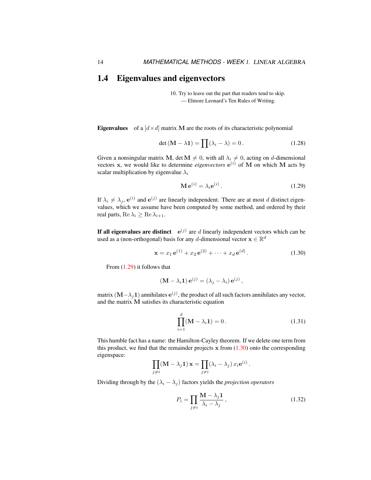### <span id="page-13-0"></span>1.4 Eigenvalues and eigenvectors

10. Try to leave out the part that readers tend to skip. — Elmore Leonard's Ten Rules of Writing.

**Eigenvalues** of a  $\left[ d \times d \right]$  matrix M are the roots of its characteristic polynomial

<span id="page-13-4"></span>
$$
\det(\mathbf{M} - \lambda \mathbf{1}) = \prod(\lambda_i - \lambda) = 0.
$$
 (1.28)

Given a nonsingular matrix M, det  $M \neq 0$ , with all  $\lambda_i \neq 0$ , acting on d-dimensional vectors  $x$ , we would like to determine *eigenvectors*  $e^{(i)}$  of M on which M acts by scalar multiplication by eigenvalue  $\lambda_i$ 

<span id="page-13-1"></span>
$$
\mathbf{M}\,\mathbf{e}^{(i)} = \lambda_i \mathbf{e}^{(i)}\,. \tag{1.29}
$$

If  $\lambda_i \neq \lambda_j$ ,  $e^{(i)}$  and  $e^{(j)}$  are linearly independent. There are at most d distinct eigenvalues, which we assume have been computed by some method, and ordered by their real parts, Re  $\lambda_i \geq$  Re  $\lambda_{i+1}$ .

If all eigenvalues are distinct  $e^{(j)}$  are d linearly independent vectors which can be used as a (non-orthogonal) basis for any d-dimensional vector  $\mathbf{x} \in \mathbb{R}^d$ 

<span id="page-13-2"></span>
$$
\mathbf{x} = x_1 \,\mathbf{e}^{(1)} + x_2 \,\mathbf{e}^{(2)} + \dots + x_d \,\mathbf{e}^{(d)}.
$$
 (1.30)

From [\(1.29\)](#page-13-1) it follows that

$$
(\mathbf{M} - \lambda_i \mathbf{1}) \mathbf{e}^{(j)} = (\lambda_j - \lambda_i) \mathbf{e}^{(j)},
$$

matrix  $\bf (M- \lambda_j 1)$  annihilates  ${\bf e}^{(j)}$ , the product of all such factors annihilates any vector, and the matrix M satisfies its characteristic equation

<span id="page-13-3"></span>
$$
\prod_{i=1}^{d} (\mathbf{M} - \lambda_i \mathbf{1}) = 0.
$$
 (1.31)

This humble fact has a name: the Hamilton-Cayley theorem. If we delete one term from this product, we find that the remainder projects  $x$  from  $(1.30)$  onto the corresponding eigenspace:

$$
\prod_{j \neq i} (\mathbf{M} - \lambda_j \mathbf{1}) \mathbf{x} = \prod_{j \neq i} (\lambda_i - \lambda_j) x_i e^{(i)}.
$$

Dividing through by the  $(\lambda_i - \lambda_j)$  factors yields the *projection operators* 

$$
P_i = \prod_{j \neq i} \frac{\mathbf{M} - \lambda_j \mathbf{1}}{\lambda_i - \lambda_j},\tag{1.32}
$$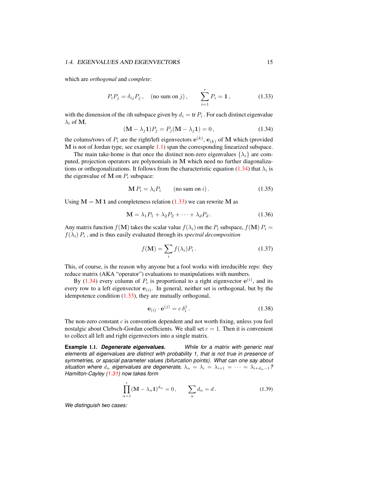#### 1.4. EIGENVALUES AND EIGENVECTORS 15

which are *orthogonal* and *complete*:

<span id="page-14-3"></span>
$$
P_i P_j = \delta_{ij} P_j, \quad \text{(no sum on } j), \qquad \sum_{i=1}^r P_i = \mathbf{1}, \tag{1.33}
$$

with the dimension of the *i*th subspace given by  $d_i = \text{tr } P_i$ . For each distinct eigenvalue  $\lambda_i$  of M,

<span id="page-14-0"></span>
$$
(\mathbf{M} - \lambda_j \mathbf{1})P_j = P_j(\mathbf{M} - \lambda_j \mathbf{1}) = 0, \qquad (1.34)
$$

the colums/rows of  $P_i$  are the right/left eigenvectors  $e^{(k)}$ ,  $e_{(k)}$  of M which (provided M is not of Jordan type, see example [1.1\)](#page-14-2) span the corresponding linearized subspace.

The main take-home is that once the distinct non-zero eigenvalues  $\{\lambda_i\}$  are computed, projection operators are polynomials in M which need no further diagonaliza-tions or orthogonalizations. It follows from the characteristic equation [\(1.34\)](#page-14-0) that  $\lambda_i$  is the eigenvalue of  $M$  on  $P_i$  subspace:

$$
\mathbf{M} P_i = \lambda_i P_i \qquad \text{(no sum on } i\text{)}.
$$
\n(1.35)

Using  $M = M 1$  and completeness relation [\(1.33\)](#page-14-3) we can rewrite M as

<span id="page-14-6"></span>
$$
\mathbf{M} = \lambda_1 P_1 + \lambda_2 P_2 + \dots + \lambda_d P_d. \tag{1.36}
$$

Any matrix function  $f(\mathbf{M})$  takes the scalar value  $f(\lambda_i)$  on the  $P_i$  subspace,  $f(\mathbf{M}) P_i =$  $f(\lambda_i) P_i$ , and is thus easily evaluated through its *spectral decomposition* 

<span id="page-14-1"></span>
$$
f(\mathbf{M}) = \sum_{i} f(\lambda_i) P_i.
$$
 (1.37)

This, of course, is the reason why anyone but a fool works with irreducible reps: they reduce matrix (AKA "operator") evaluations to manipulations with numbers.

By [\(1.34\)](#page-14-0) every column of  $P_i$  is proportional to a right eigenvector  $e^{(i)}$ , and its every row to a left eigenvector  $e_{(i)}$ . In general, neither set is orthogonal, but by the idempotence condition [\(1.33\)](#page-14-3), they are mutually orthogonal,

<span id="page-14-5"></span>
$$
\mathbf{e}_{(i)} \cdot \mathbf{e}^{(j)} = c \, \delta_i^j \,. \tag{1.38}
$$

The non-zero constant  $c$  is convention dependent and not worth fixing, unless you feel nostalgic about Clebsch-Gordan coefficients. We shall set  $c = 1$ . Then it is convenient to collect all left and right eigenvectors into a single matrix.

<span id="page-14-2"></span>**Example** 1.1. *Degenerate eigenvalues. While for a matrix with generic real elements all eigenvalues are distinct with probability 1, that is not true in presence of symmetries, or spacial parameter values (bifurcation points). What can one say about situation where*  $d_{\alpha}$  *eigenvalues are degenerate,*  $\lambda_{\alpha} = \lambda_i = \lambda_{i+1} = \cdots = \lambda_{i+d_{\alpha}-1}$ ? *Hamilton-Cayley [\(1.31\)](#page-13-3) now takes form*

<span id="page-14-4"></span>
$$
\prod_{\alpha=1}^{r} (\mathbf{M} - \lambda_{\alpha} \mathbf{1})^{d_{\alpha}} = 0, \qquad \sum_{\alpha} d_{\alpha} = d. \tag{1.39}
$$

*We distinguish two cases:*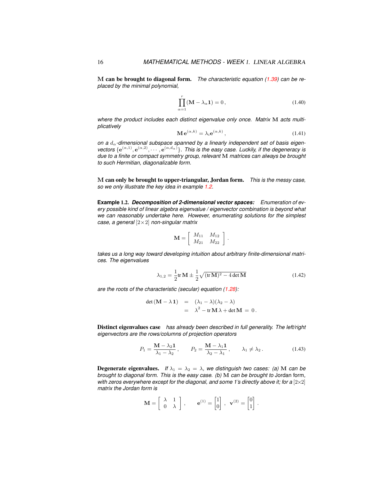M can be brought to diagonal form. *The characteristic equation [\(1.39\)](#page-14-4) can be replaced by the minimal polynomial,*

<span id="page-15-0"></span>
$$
\prod_{\alpha=1}^{r} (\mathbf{M} - \lambda_{\alpha} \mathbf{1}) = 0, \qquad (1.40)
$$

*where the product includes each distinct eigenvalue only once. Matrix* M *acts multiplicatively*

$$
\mathbf{M} \,\mathbf{e}^{(\alpha,k)} = \lambda_i \mathbf{e}^{(\alpha,k)},\tag{1.41}
$$

on a  $d_{\alpha}$ -dimensional subspace spanned by a linearly independent set of basis eigenvectors  $\{e^{(\alpha,1)}, e^{(\alpha,2)}, \cdots, e^{(\alpha,d_\alpha)}\}$ . This is the easy case. Luckily, if the degeneracy is *due to a finite or compact symmetry group, relevant* M *matrices can always be brought to such Hermitian, diagonalizable form.*

M can only be brought to upper-triangular, Jordan form. *This is the messy case, so we only illustrate the key idea in example [1.2.](#page-15-1)*

<span id="page-15-1"></span>**Example** 1.2. *Decomposition of 2-dimensional vector spaces: Enumeration of every possible kind of linear algebra eigenvalue / eigenvector combination is beyond what we can reasonably undertake here. However, enumerating solutions for the simplest case, a general* [2×2] *non-singular matrix*

$$
\mathbf{M} = \left[ \begin{array}{cc} M_{11} & M_{12} \\ M_{21} & M_{22} \end{array} \right]
$$

*takes us a long way toward developing intuition about arbitrary finite-dimensional matrices. The eigenvalues*

<span id="page-15-2"></span>
$$
\lambda_{1,2} = \frac{1}{2} \text{tr} \, \mathbf{M} \pm \frac{1}{2} \sqrt{(\text{tr} \, \mathbf{M})^2 - 4 \det \mathbf{M}}
$$
\n(1.42)

.

*are the roots of the characteristic (secular) equation [\(1.28\)](#page-13-4):*

<span id="page-15-3"></span>
$$
\det (\mathbf{M} - \lambda \mathbf{1}) = (\lambda_1 - \lambda)(\lambda_2 - \lambda)
$$
  
=  $\lambda^2 - \text{tr} \mathbf{M} \lambda + \det \mathbf{M} = 0.$ 

Distinct eigenvalues case *has already been described in full generality. The left/right eigenvectors are the rows/columns of projection operators*

$$
P_1 = \frac{\mathbf{M} - \lambda_2 \mathbf{1}}{\lambda_1 - \lambda_2}, \qquad P_2 = \frac{\mathbf{M} - \lambda_1 \mathbf{1}}{\lambda_2 - \lambda_1}, \qquad \lambda_1 \neq \lambda_2.
$$
 (1.43)

**Degenerate eigenvalues.** *If*  $\lambda_1 = \lambda_2 = \lambda$ , we distinguish two cases: (a) M can be *brought to diagonal form. This is the easy case. (b)* M *can be brought to* Jordan form*, with zeros everywhere except for the diagonal, and some 1's directly above it; for a*  $[2 \times 2]$ *matrix the Jordan form is*

$$
\mathbf{M} = \begin{bmatrix} \lambda & 1 \\ 0 & \lambda \end{bmatrix}, \qquad \mathbf{e}^{(1)} = \begin{bmatrix} 1 \\ 0 \end{bmatrix}, \ \mathbf{v}^{(2)} = \begin{bmatrix} 0 \\ 1 \end{bmatrix}.
$$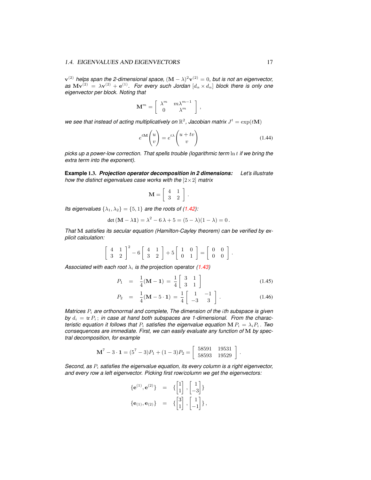${\bf v}^{(2)}$  helps span the 2-dimensional space,  $({\bf M}-\lambda)^2{\bf v}^{(2)}=0,$  but is not an eigenvector,  $a$ s  $Mv^{(2)} = \lambda v^{(2)} + e^{(1)}$ . For every such Jordan  $[d_\alpha \times d_\alpha]$  block there is only one *eigenvector per block. Noting that*

$$
\mathbf{M}^m = \left[ \begin{array}{cc} \lambda^m & m \lambda^{m-1} \\ 0 & \lambda^m \end{array} \right]
$$

we see that instead of acting multiplicatively on  $\mathbb{R}^2$ , Jacobian matrix  $J^t = \exp(t\mathbf{M})$ 

$$
e^{t\mathbf{M}}\begin{pmatrix} u \\ v \end{pmatrix} = e^{t\lambda} \begin{pmatrix} u+tv \\ v \end{pmatrix}
$$
 (1.44)

,

*picks up a power-low correction. That spells trouble (logarithmic term* ln t *if we bring the extra term into the exponent).*

<span id="page-16-0"></span>**Example** 1.3. *Projection operator decomposition in 2 dimensions: Let's illustrate how the distinct eigenvalues case works with the* [2×2] *matrix*

$$
\mathbf{M} = \left[ \begin{array}{cc} 4 & 1 \\ 3 & 2 \end{array} \right]
$$

.

*Its eigenvalues*  $\{\lambda_1, \lambda_2\} = \{5, 1\}$  *are the roots of [\(1.42\)](#page-15-2):* 

$$
\det (M - \lambda 1) = \lambda^2 - 6\lambda + 5 = (5 - \lambda)(1 - \lambda) = 0.
$$

*That* M *satisfies its secular equation (Hamilton-Cayley theorem) can be verified by explicit calculation:*

$$
\left[\begin{array}{cc}4 & 1\\3 & 2\end{array}\right]^2 - 6\left[\begin{array}{cc}4 & 1\\3 & 2\end{array}\right] + 5\left[\begin{array}{cc}1 & 0\\0 & 1\end{array}\right] = \left[\begin{array}{cc}0 & 0\\0 & 0\end{array}\right].
$$

*Associated with each root*  $\lambda_i$  *is the projection operator [\(1.43\)](#page-15-3)* 

$$
P_1 = \frac{1}{4}(\mathbf{M} - \mathbf{1}) = \frac{1}{4} \begin{bmatrix} 3 & 1 \\ 3 & 1 \end{bmatrix}
$$
 (1.45)

$$
P_2 = \frac{1}{4}(\mathbf{M} - 5 \cdot \mathbf{1}) = \frac{1}{4} \begin{bmatrix} 1 & -1 \\ -3 & 3 \end{bmatrix}.
$$
 (1.46)

*Matrices*  $P_i$  *are orthonormal and complete, The dimension of the ith subspace is given* by  $d_i = \text{tr } P_i$ ; *in case at hand both subspaces are 1-dimensional. From the characteristic equation it follows that*  $P_i$  *satisfies the eigenvalue equation* M  $P_i = \lambda_i P_i$ . *Two consequences are immediate. First, we can easily evaluate any function of* M *by spectral decomposition, for example*

$$
\mathbf{M}^7 - 3 \cdot \mathbf{1} = (5^7 - 3)P_1 + (1 - 3)P_2 = \begin{bmatrix} 58591 & 19531 \\ 58593 & 19529 \end{bmatrix}.
$$

*Second, as*  $P_i$  *satisfies the eigenvalue equation, its every column is a right eigenvector, and every row a left eigenvector. Picking first row/column we get the eigenvectors:*

$$
\begin{array}{rcl} \{{\bf e}^{(1)},{\bf e}^{(2)}\} &=& \{ \begin{bmatrix} 1 \\ 1 \end{bmatrix}, \begin{bmatrix} 1 \\ -3 \end{bmatrix} \} \\ \{{\bf e}_{(1)},{\bf e}_{(2)}\} &=& \{ \begin{bmatrix} 3 \\ 1 \end{bmatrix}, \begin{bmatrix} 1 \\ -1 \end{bmatrix} \}, \end{array}
$$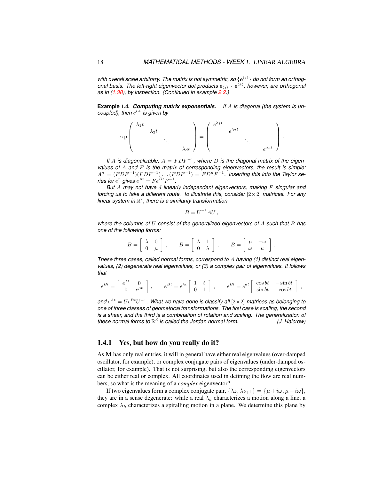with overall scale arbitrary. The matrix is not symmetric, so  $\{e^{(j)}\}$  do not form an orthogonal basis. The left-right eigenvector dot products  ${\bf e}_{(j)}\cdot{\bf e}^{(k)}$ , however, are orthogonal *as in [\(1.38\)](#page-14-5), by inspection. (Continued in example [2.2.](#page-25-1))*

**Example** 1.4. *Computing matrix exponentials. If* A *is diagonal (the system is un-* $\mathit{coupled}$ ), then  $e^{tA}$  is given by

$$
\exp\left(\begin{array}{cccc} \lambda_1 t & & & \\ & \lambda_2 t & & \\ & & \ddots & \\ & & & \lambda_d t \end{array}\right) = \left(\begin{array}{cccc} e^{\lambda_1 t} & & & \\ & e^{\lambda_2 t} & & \\ & & \ddots & \\ & & & e^{\lambda_d t} \end{array}\right).
$$

*If* A is diagonalizable,  $A = FDF^{-1}$ , where D is the diagonal matrix of the eigen*values of* A *and* F *is the matrix of corresponding eigenvectors, the result is simple:*  $A^n = (FDF^{-1})(FDF^{-1}) \dots (FDF^{-1}) = FD^nF^{-1}.$  Inserting this into the Taylor se*ries for*  $e^x$  gives  $e^{At} = Fe^{Dt}F^{-1}$ .

*But* A *may not have* d *linearly independant eigenvectors, making* F *singular and forcing us to take a different route. To illustrate this, consider* [2×2] *matrices. For any linear system in* R 2 *, there is a similarity transformation*

$$
B = U^{-1}AU,
$$

*where the columns of* U *consist of the generalized eigenvectors of* A *such that* B *has one of the following forms:*

$$
B = \left[ \begin{array}{cc} \lambda & 0 \\ 0 & \mu \end{array} \right], \qquad B = \left[ \begin{array}{cc} \lambda & 1 \\ 0 & \lambda \end{array} \right], \qquad B = \left[ \begin{array}{cc} \mu & -\omega \\ \omega & \mu \end{array} \right].
$$

*These three cases, called normal forms, correspond to* A *having (1) distinct real eigenvalues, (2) degenerate real eigenvalues, or (3) a complex pair of eigenvalues. It follows that*

$$
e^{Bt} = \begin{bmatrix} e^{\lambda t} & 0 \\ 0 & e^{\mu t} \end{bmatrix}, \qquad e^{Bt} = e^{\lambda t} \begin{bmatrix} 1 & t \\ 0 & 1 \end{bmatrix}, \qquad e^{Bt} = e^{at} \begin{bmatrix} \cos bt & -\sin bt \\ \sin bt & \cos bt \end{bmatrix},
$$

and  $e^{At} = Ue^{Bt}U^{-1}$ . What we have done is classify all  $[2 \times 2]$  matrices as belonging to *one of three classes of geometrical transformations. The first case is scaling, the second is a shear, and the third is a combination of rotation and scaling. The generalization of these normal forms to* R d *is called the Jordan normal form. (J. Halcrow)*

### <span id="page-17-0"></span>1.4.1 Yes, but how do you really do it?

As M has only real entries, it will in general have either real eigenvalues (over-damped oscillator, for example), or complex conjugate pairs of eigenvalues (under-damped oscillator, for example). That is not surprising, but also the corresponding eigenvectors can be either real or complex. All coordinates used in defining the flow are real numbers, so what is the meaning of a *complex* eigenvector?

If two eigenvalues form a complex conjugate pair,  $\{\lambda_k, \lambda_{k+1}\} = \{\mu + i\omega, \mu - i\omega\},\$ they are in a sense degenerate: while a real  $\lambda_k$  characterizes a motion along a line, a complex  $\lambda_k$  characterizes a spiralling motion in a plane. We determine this plane by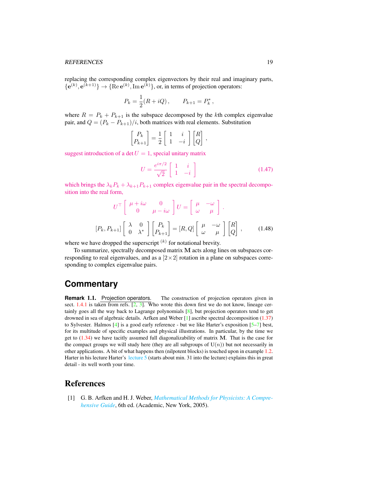#### REFERENCES 19

replacing the corresponding complex eigenvectors by their real and imaginary parts,  ${e^{(k)}, e^{(k+1)}} \rightarrow {Re e^{(k)}, Im e^{(k)}}$ , or, in terms of projection operators:

$$
P_k = \frac{1}{2}(R + iQ), \qquad P_{k+1} = P_k^*,
$$

where  $R = P_k + P_{k+1}$  is the subspace decomposed by the kth complex eigenvalue pair, and  $Q = (P_k - P_{k+1})/i$ , both matrices with real elements. Substitution

$$
\begin{bmatrix} P_k \\ P_{k+1} \end{bmatrix} = \frac{1}{2} \begin{bmatrix} 1 & i \\ 1 & -i \end{bmatrix} \begin{bmatrix} R \\ Q \end{bmatrix},
$$

suggest introduction of a det  $U = 1$ , special unitary matrix

$$
U = \frac{e^{i\pi/2}}{\sqrt{2}} \begin{bmatrix} 1 & i \\ 1 & -i \end{bmatrix}
$$
 (1.47)

which brings the  $\lambda_k P_k + \lambda_{k+1} P_{k+1}$  complex eigenvalue pair in the spectral decomposition into the real form,

$$
U^{\top} \begin{bmatrix} \mu + i\omega & 0 \\ 0 & \mu - i\omega \end{bmatrix} U = \begin{bmatrix} \mu & -\omega \\ \omega & \mu \end{bmatrix}.
$$

$$
[P_k, P_{k+1}] \begin{bmatrix} \lambda & 0 \\ 0 & \lambda^* \end{bmatrix} \begin{bmatrix} P_k \\ P_{k+1} \end{bmatrix} = [R, Q] \begin{bmatrix} \mu & -\omega \\ \omega & \mu \end{bmatrix} \begin{bmatrix} R \\ Q \end{bmatrix},
$$
(1.48)

where we have dropped the superscript  $(k)$  for notational brevity.

To summarize, spectrally decomposed matrix M acts along lines on subspaces corresponding to real eigenvalues, and as a  $[2\times 2]$  rotation in a plane on subspaces corresponding to complex eigenvalue pairs.

### **Commentary**

**Remark** 1.1. Projection operators. The construction of projection operators given in sect.  $1.4.1$  is taken from refs.  $[2, 3]$  $[2, 3]$  $[2, 3]$ . Who wrote this down first we do not know, lineage certainly goes all the way back to Lagrange polynomials [\[8\]](#page-19-7), but projection operators tend to get drowned in sea of algebraic details. Arfken and Weber [\[1\]](#page-18-1) ascribe spectral decomposition [\(1.37\)](#page-14-1) to Sylvester. Halmos  $[4]$  is a good early reference - but we like Harter's exposition  $[5-7]$  $[5-7]$  best, for its multitude of specific examples and physical illustrations. In particular, by the time we get to  $(1.34)$  we have tacitly assumed full diagonalizability of matrix M. That is the case for the compact groups we will study here (they are all subgroups of  $U(n)$ ) but not necessarily in other applications. A bit of what happens then (nilpotent blocks) is touched upon in example [1.2.](#page-15-1) Harter in his lecture Harter's [lecture 5](https://www.youtube.com/watch?v=jLO7-Pks0QM) (starts about min. 31 into the lecture) explains this in great detail - its well worth your time.

### <span id="page-18-0"></span>References

<span id="page-18-1"></span>[1] G. B. Arfken and H. J. Weber, *[Mathematical Methods for Physicists: A Compre](http://books.google.com/books?vid=ISBN9780120598762)[hensive Guide](http://books.google.com/books?vid=ISBN9780120598762)*, 6th ed. (Academic, New York, 2005).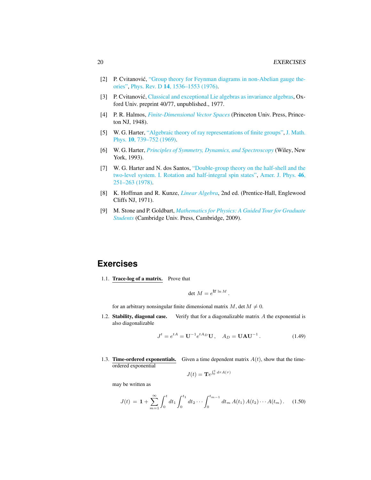- <span id="page-19-5"></span>[2] P. Cvitanović, ["Group theory for Feynman diagrams in non-Abelian gauge the](http://dx.doi.org/10.1103/PhysRevD.14.1536)[ories",](http://dx.doi.org/10.1103/PhysRevD.14.1536) Phys. Rev. D 14[, 1536–1553 \(1976\).](https://doi.org/10.1103/PhysRevD.14.1536)
- <span id="page-19-6"></span>[3] P. Cvitanović, [Classical and exceptional Lie algebras as invariance algebras,](http://birdtracks.eu/refs/OxfordPrepr.pdf) Oxford Univ. preprint 40/77, unpublished., 1977.
- <span id="page-19-8"></span>[4] P. R. Halmos, *[Finite-Dimensional Vector Spaces](http://books.google.com/books?vid=ISBN9780691090955)* (Princeton Univ. Press, Princeton NJ, 1948).
- <span id="page-19-9"></span>[5] W. G. Harter, ["Algebraic theory of ray representations of finite groups",](http://dx.doi.org/10.1063/1.1664901) [J. Math.](https://doi.org/10.1063/1.1664901) Phys. 10[, 739–752 \(1969\).](https://doi.org/10.1063/1.1664901)
- [6] W. G. Harter, *[Principles of Symmetry, Dynamics, and Spectroscopy](http://www.uark.edu/ua/modphys/markup/PSDS_Info.html)* (Wiley, New York, 1993).
- <span id="page-19-10"></span>[7] W. G. Harter and N. dos Santos, ["Double-group theory on the half-shell and the](http://dx.doi.org/10.1119/1.11134) [two-level system. I. Rotation and half-integral spin states",](http://dx.doi.org/10.1119/1.11134) [Amer. J. Phys.](https://doi.org/10.1119/1.11134) 46, [251–263 \(1978\).](https://doi.org/10.1119/1.11134)
- <span id="page-19-7"></span>[8] K. Hoffman and R. Kunze, *[Linear Algebra](http://dx.doi.org/10.2307/3617032)*, 2nd ed. (Prentice-Hall, Englewood Cliffs NJ, 1971).
- <span id="page-19-4"></span>[9] M. Stone and P. Goldbart, *[Mathematics for Physics: A Guided Tour for Graduate](http://dx.doi.org/10.1017/cbo9780511627040) [Students](http://dx.doi.org/10.1017/cbo9780511627040)* (Cambridge Univ. Press, Cambridge, 2009).

### **Exercises**

<span id="page-19-0"></span>1.1. Trace-log of a matrix. Prove that

$$
\det M = e^{\text{tr}\ln M}.
$$

for an arbitrary nonsingular finite dimensional matrix  $M$ , det  $M \neq 0$ .

<span id="page-19-1"></span>1.2. Stability, diagonal case. Verify that for a diagonalizable matrix  $A$  the exponential is also diagonalizable

$$
J^{t} = e^{tA} = U^{-1} e^{tA_D} U, \quad A_D = UAU^{-1}.
$$
 (1.49)

<span id="page-19-2"></span>1.3. **Time-ordered exponentials.** Given a time dependent matrix  $A(t)$ , show that the timeordered exponential

$$
J(t) = \mathbf{T}e^{\int_0^t d\tau A(\tau)}
$$

may be written as

<span id="page-19-3"></span>
$$
J(t) = \mathbf{1} + \sum_{m=1}^{\infty} \int_0^t dt_1 \int_0^{t_1} dt_2 \cdots \int_0^{t_{m-1}} dt_m A(t_1) A(t_2) \cdots A(t_m).
$$
 (1.50)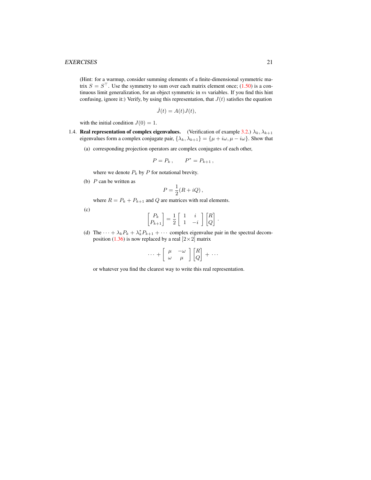#### EXERCISES 21

(Hint: for a warmup, consider summing elements of a finite-dimensional symmetric matrix  $S = S^{\top}$ . Use the symmetry to sum over each matrix element once; [\(1.50\)](#page-19-3) is a continuous limit generalization, for an object symmetric in  $m$  variables. If you find this hint confusing, ignore it:) Verify, by using this representation, that  $J(t)$  satisfies the equation

$$
\dot{J}(t) = A(t)J(t),
$$

with the initial condition  $J(0) = 1$ .

- 1.4. Real representation of complex eigenvalues. (Verification of example [3.2.](#page-31-0))  $\lambda_k, \lambda_{k+1}$ eigenvalues form a complex conjugate pair,  $\{\lambda_k, \lambda_{k+1}\} = {\mu + i\omega, \mu - i\omega}$ . Show that
	- (a) corresponding projection operators are complex conjugates of each other,

$$
P = P_k , \qquad P^* = P_{k+1} ,
$$

where we denote  $P_k$  by  $P$  for notational brevity.

(b)  $P$  can be written as

$$
P = \frac{1}{2}(R + iQ),
$$

where  $R = P_k + P_{k+1}$  and Q are matrices with real elements.

(c)

$$
\begin{bmatrix} P_k \\ P_{k+1} \end{bmatrix} = \frac{1}{2} \begin{bmatrix} 1 & i \\ 1 & -i \end{bmatrix} \begin{bmatrix} R \\ Q \end{bmatrix}
$$

.

(d) The  $\cdots + \lambda_k P_k + \lambda_k^* P_{k+1} + \cdots$  complex eigenvalue pair in the spectral decom-position [\(1.36\)](#page-14-6) is now replaced by a real  $[2\times2]$  matrix

$$
\cdots + \left[ \begin{array}{cc} \mu & -\omega \\ \omega & \mu \end{array} \right] \left[ \begin{array}{c} R \\ Q \end{array} \right] + \cdots
$$

or whatever you find the clearest way to write this real representation.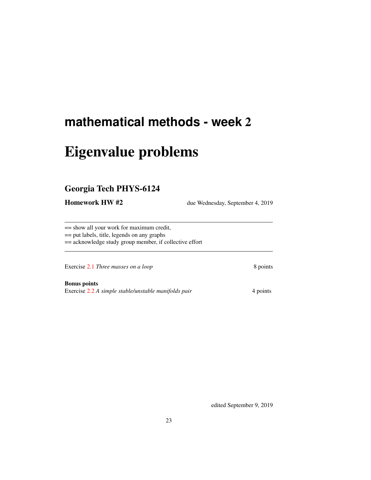# <span id="page-22-0"></span>**mathematical methods - week** 2

# Eigenvalue problems

### <span id="page-22-1"></span>Georgia Tech PHYS-6124

Homework HW #2 due Wednesday, September 4, 2019

== show all your work for maximum credit, == put labels, title, legends on any graphs

== acknowledge study group member, if collective effort

Exercise [2.1](#page-26-1) *Three masses on a loop* 8 points

Bonus points Exercise [2.2](#page-26-2) *A simple stable/unstable manifolds pair* 4 points

edited September 9, 2019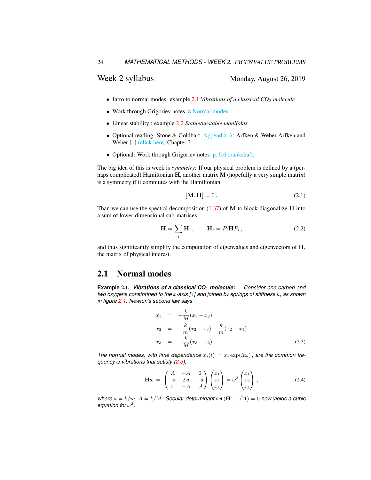- Intro to normal modes: example [2.1](#page-23-1) *Vibrations of a classical CO*<sup>2</sup> *molecule*
- Work through Grigoriev notes [8 Normal modes](http://ChaosBook.org/~predrag/courses/PHYS-6124-19/ln8.pdf)
- Linear stability : example [2.2](#page-25-0) *Stable/unstable manifolds*
- Optional reading: Stone & Goldbart [Appendix A;](http://www.chaosbook.org/~predrag/courses/PHYS-6124-19/StGoAppA.pdf) Arfken & Weber Arfken and Weber [\[1\]](#page-26-3) [\(click here\)](http://ChaosBook.org/library/ArWe05chap3.pdf) Chapter 3
- Optional: Work through Grigoriev notes [p. 6.6 crankshaft;](http://chaosbook.org/~predrag/courses/PHYS-6124-19/ln6.pdf)

The big idea of this is week is *symmetry*: If our physical problem is defined by a (perhaps complicated) Hamiltonian  $H$ , another matrix  $M$  (hopefully a very simple matrix) is a symmetry if it commutes with the Hamiltonian

$$
[\mathbf{M}, \mathbf{H}] = 0. \tag{2.1}
$$

Than we can use the spectral decomposition  $(1.37)$  of M to block-diagonalize H into a sum of lower-dimensional sub-matrices,

$$
\mathbf{H} = \sum_{i} \mathbf{H}_{i}, \qquad \mathbf{H}_{i} = P_{i} \mathbf{H} P_{i}, \qquad (2.2)
$$

and thus significantly simplify the computation of eigenvalues and eigenvectors of H, the matrix of physical interest.

### <span id="page-23-0"></span>2.1 Normal modes

<span id="page-23-1"></span>**Example** 2.1. *Vibrations of a classical CO*<sup>2</sup> *molecule: Consider one carbon and two oxygens constrained to the* x*-axis [\[1\]](#page-26-3) and joined by springs of stiffness* k*, as shown in figure [2.1.](#page-24-0) Newton's second law says*

<span id="page-23-2"></span>
$$
\ddot{x}_1 = -\frac{k}{M}(x_1 - x_2) \n\ddot{x}_2 = -\frac{k}{m}(x_2 - x_3) - \frac{k}{m}(x_2 - x_1) \n\ddot{x}_3 = -\frac{k}{M}(x_3 - x_2).
$$
\n(2.3)

*The normal modes, with time dependence*  $x_i(t) = x_i \exp(i t \omega)$ , *are the common frequency* ω *vibrations that satisfy [\(2.3\)](#page-23-2),*

$$
\mathbf{Hx} = \begin{pmatrix} A & -A & 0 \\ -a & 2a & -a \\ 0 & -A & A \end{pmatrix} \begin{pmatrix} x_1 \\ x_2 \\ x_3 \end{pmatrix} = \omega^2 \begin{pmatrix} x_1 \\ x_2 \\ x_3 \end{pmatrix} \,, \tag{2.4}
$$

*where*  $a = k/m$ ,  $A = k/M$ . Secular determinant det  $(\mathbf{H} - \omega^2 \mathbf{1}) = 0$  now yields a cubic equation for  $\omega^2$ .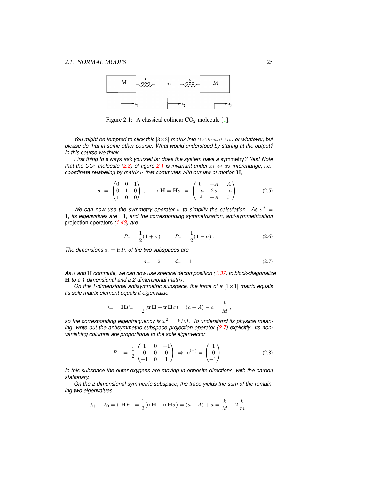

<span id="page-24-0"></span>Figure 2.1: A classical colinear  $CO<sub>2</sub>$  molecule [\[1\]](#page-26-3).

*You might be tempted to stick this* [3×3] *matrix into* Mathematica *or whatever, but please do that in some other course. What would understood by staring at the output? In this course we think.*

*First thing to* always *ask yourself is: does the system have a* symmetry*? Yes! Note that the CO<sub>2</sub> molecule [\(2.3\)](#page-23-2)* of figure [2.1](#page-24-0) is invariant under  $x_1 \leftrightarrow x_3$  interchange, i.e., *coordinate relabeling by matrix* σ *that commutes with our law of motion* H*,*

<span id="page-24-2"></span>
$$
\sigma = \begin{pmatrix} 0 & 0 & 1 \\ 0 & 1 & 0 \\ 1 & 0 & 0 \end{pmatrix}, \quad \sigma \mathbf{H} = \mathbf{H}\sigma = \begin{pmatrix} 0 & -A & A \\ -a & 2a & -a \\ A & -A & 0 \end{pmatrix}.
$$
 (2.5)

We can now use the symmetry operator  $\sigma$  to simplify the calculation. As  $\sigma^2 =$ 1*, its eigenvalues are* ±1*, and the corresponding symmetrization, anti-symmetrization* projection operators *[\(1.43\)](#page-15-3) are*

$$
P_{+} = \frac{1}{2}(\mathbf{1} + \sigma), \qquad P_{-} = \frac{1}{2}(\mathbf{1} - \sigma). \tag{2.6}
$$

*The dimensions*  $d_i = \text{tr } P_i$  *of the two subspaces are* 

<span id="page-24-1"></span>
$$
d_+ = 2, \qquad d_- = 1. \tag{2.7}
$$

*As* σ *and* H *commute, we can now use spectral decomposition [\(1.37\)](#page-14-1) to block-diagonalize* H *to a 1-dimensional and a 2-dimensional matrix.*

*On the 1-dimensional antisymmetric subspace, the trace of a* [ $1 \times 1$ ] *matrix equals its sole matrix element equals it eigenvalue*

$$
\lambda_{-} = \mathbf{H} P_{-} = \frac{1}{2} (\text{tr } \mathbf{H} - \text{tr } \mathbf{H} \sigma) = (a + A) - a = \frac{k}{M},
$$

so the corresponding eigenfrequency is  $\omega_-^2 = k/M$ . To understand its physical mean*ing, write out the antisymmetric subspace projection operator [\(2.7\)](#page-24-1) explicitly. Its nonvanishing columns are proportional to the sole eigenvector*

$$
P_{-} = \frac{1}{2} \begin{pmatrix} 1 & 0 & -1 \\ 0 & 0 & 0 \\ -1 & 0 & 1 \end{pmatrix} \Rightarrow \mathbf{e}^{(-)} = \begin{pmatrix} 1 \\ 0 \\ -1 \end{pmatrix}.
$$
 (2.8)

*In this subspace the outer oxygens are moving in opposite directions, with the carbon stationary.*

*On the 2-dimensional symmetric subspace, the trace yields the sum of the remaining two eigenvalues*

$$
\lambda_{+} + \lambda_{0} = \text{tr } \mathbf{H} P_{+} = \frac{1}{2} (\text{tr } \mathbf{H} + \text{tr } \mathbf{H} \sigma) = (a + A) + a = \frac{k}{M} + 2 \frac{k}{m}.
$$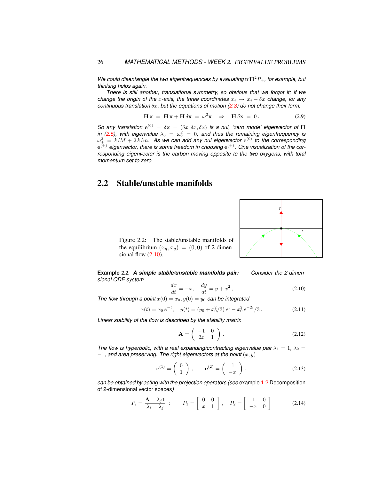*We could disentangle the two eigenfrequencies by evaluating* tr  $H^2P_+$ *, for example, but thinking helps again.*

*There is still another, translational symmetry, so obvious that we forgot it; if we change the origin of the x-axis, the three coordinates*  $x_j \rightarrow x_j - \delta x$  *change, for any continuous translation* δx*, but the equations of motion [\(2.3\)](#page-23-2) do not change their form,*

$$
\mathbf{H}\mathbf{x} = \mathbf{H}\mathbf{x} + \mathbf{H}\delta\mathbf{x} = \omega^2 \mathbf{x} \Rightarrow \mathbf{H}\delta\mathbf{x} = 0.
$$
 (2.9)

*So any translation*  $e^{(0)} = \delta x = (\delta x, \delta x, \delta x)$  *is a nul, 'zero mode' eigenvector of* H *in [\(2.5\)](#page-24-2), with eigenvalue*  $\lambda_0 = \omega_0^2 = 0$ , and thus the remaining eigenfrequency is  $\omega_+^2\,=\,k/M+2\,k/m.$  As we can add any nul eigenvector  ${\rm e}^{(0)}$  to the corresponding  $e^{(+)}$  eigenvector, there is some freedom in choosing  $e^{(+)}$ . One visualization of the cor*responding eigenvector is the carbon moving opposite to the two oxygens, with total momentum set to zero.*

### <span id="page-25-0"></span>2.2 Stable/unstable manifolds

<span id="page-25-3"></span>Figure 2.2: The stable/unstable manifolds of the equilibrium  $(x_a, x_a) = (0, 0)$  of 2-dimensional flow  $(2.10)$ .



<span id="page-25-1"></span>**Example** 2.2. *A simple stable/unstable manifolds pair: Consider the 2-dimensional ODE system*

<span id="page-25-2"></span>
$$
\frac{dx}{dt} = -x, \quad \frac{dy}{dt} = y + x^2, \tag{2.10}
$$

*The flow through a point*  $x(0) = x_0, y(0) = y_0$  *can be integrated* 

<span id="page-25-4"></span>
$$
x(t) = x_0 e^{-t}, \quad y(t) = (y_0 + x_0^2/3) e^t - x_0^2 e^{-2t}/3.
$$
 (2.11)

*Linear stability of the flow is described by the stability matrix*

$$
\mathbf{A} = \left( \begin{array}{cc} -1 & 0 \\ 2x & 1 \end{array} \right). \tag{2.12}
$$

*The flow is hyperbolic, with a real expanding/contracting eigenvalue pair*  $\lambda_1 = 1$ ,  $\lambda_2 =$  $-1$ , and area preserving. The right eigenvectors at the point  $(x, y)$ 

$$
\mathbf{e}^{(1)} = \begin{pmatrix} 0 \\ 1 \end{pmatrix}, \qquad \mathbf{e}^{(2)} = \begin{pmatrix} 1 \\ -x \end{pmatrix}. \tag{2.13}
$$

*can be obtained by acting with the projection operators (see* example [1.2](#page-15-1) Decomposition of 2-dimensional vector spaces*)*

<span id="page-25-5"></span>
$$
P_i = \frac{\mathbf{A} - \lambda_j \mathbf{1}}{\lambda_i - \lambda_j} : \qquad P_1 = \begin{bmatrix} 0 & 0 \\ x & 1 \end{bmatrix}, \quad P_2 = \begin{bmatrix} 1 & 0 \\ -x & 0 \end{bmatrix} \tag{2.14}
$$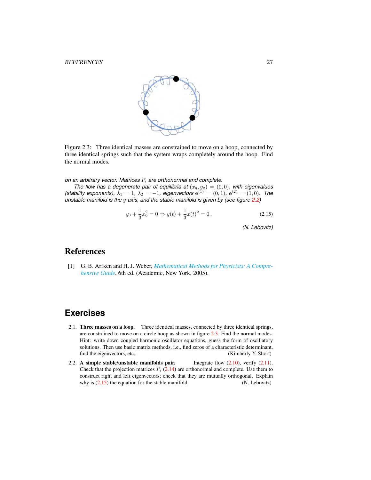

Figure 2.3: Three identical masses are constrained to move on a hoop, connected by three identical springs such that the system wraps completely around the hoop. Find the normal modes.

<span id="page-26-4"></span>*on an arbitrary vector. Matrices*  $P_i$  *are orthonormal and complete.* 

*The flow has a degenerate pair of equilibria at*  $(x_q, y_q) = (0, 0)$ *, with eigenvalues (stability exponents),*  $\lambda_1 = 1$ ,  $\lambda_2 = -1$ *, eigenvectors*  $e^{(1)} = (0, 1)$ ,  $e^{(2)} = (1, 0)$ *. The unstable manifold is the* y *axis, and the stable manifold is given by (see figure [2.2\)](#page-25-3)*

<span id="page-26-5"></span>
$$
y_0 + \frac{1}{3}x_0^2 = 0 \Rightarrow y(t) + \frac{1}{3}x(t)^2 = 0.
$$
 (2.15)

*(N. Lebovitz)*

### <span id="page-26-0"></span>References

<span id="page-26-3"></span>[1] G. B. Arfken and H. J. Weber, *[Mathematical Methods for Physicists: A Compre](http://books.google.com/books?vid=ISBN9780120598762)[hensive Guide](http://books.google.com/books?vid=ISBN9780120598762)*, 6th ed. (Academic, New York, 2005).

## **Exercises**

- <span id="page-26-1"></span>2.1. Three masses on a loop. Three identical masses, connected by three identical springs, are constrained to move on a circle hoop as shown in figure [2.3.](#page-26-4) Find the normal modes. Hint: write down coupled harmonic oscillator equations, guess the form of oscillatory solutions. Then use basic matrix methods, i.e., find zeros of a characteristic determinant, find the eigenvectors, etc.. (Kimberly Y. Short)
- <span id="page-26-2"></span>2.2. A simple stable/unstable manifolds pair. Integrate flow  $(2.10)$ , verify  $(2.11)$ . Check that the projection matrices  $P_i$  [\(2.14\)](#page-25-5) are orthonormal and complete. Use them to construct right and left eigenvectors; check that they are mutually orthogonal. Explain why is  $(2.15)$  the equation for the stable manifold. (N. Lebovitz)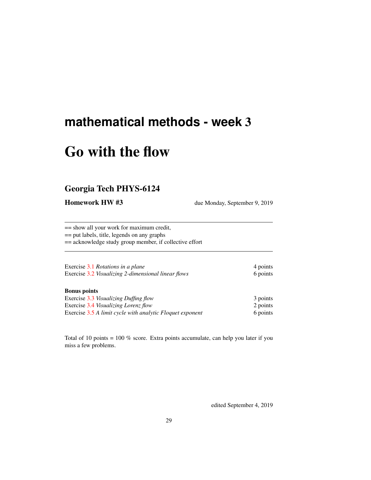## <span id="page-28-0"></span>**mathematical methods - week** 3

# Go with the flow

### <span id="page-28-1"></span>Georgia Tech PHYS-6124

Homework HW #3 due Monday, September 9, 2019

== show all your work for maximum credit, == put labels, title, legends on any graphs == acknowledge study group member, if collective effort

Exercise [3.1](#page-34-2) *Rotations in a plane* 4 points Exercise [3.2](#page-35-0) *Visualizing 2-dimensional linear flows* 6 points

#### Bonus points

Exercise [3.3](#page-35-1) *Visualizing Duffing flow* 3 points Exercise [3.4](#page-35-2) *Visualizing Lorenz flow* 2 points Exercise [3.5](#page-35-3) *A limit cycle with analytic Floquet exponent* 6 points

Total of 10 points = 100 % score. Extra points accumulate, can help you later if you miss a few problems.

edited September 4, 2019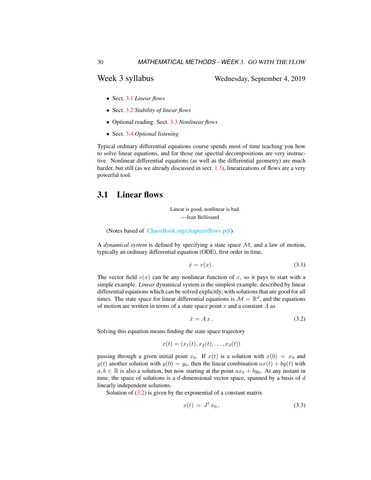Week 3 syllabus Wednesday, September 4, 2019

- Sect. [3.1](#page-29-0) *Linear flows*
- Sect. [3.2](#page-30-0) *Stability of linear flows*
- Optional reading: Sect. [3.3](#page-32-0) *Nonlinear flows*
- Sect. [3.4](#page-34-0) *Optional listening*

Typical ordinary differential equations course spends most of time teaching you how to solve linear equations, and for those our spectral decompositions are very instructive. Nonlinear differential equations (as well as the differential geometry) are much harder, but still (as we already discussed in sect. [1.3\)](#page-11-0), linearizations of flows are a very powerful tool.

### <span id="page-29-0"></span>3.1 Linear flows

Linear is good, nonlinear is bad. —Jean Bellissard

(Notes based of [ChaosBook.org/chapters/flows.pdf\)](http://ChaosBook.org/chapters/flows.pdf)

A *dynamical system* is defined by specifying a state space M, and a law of motion, typically an ordinary differential equation (ODE), first order in time,

$$
\dot{x} = v(x). \tag{3.1}
$$

The vector field  $v(x)$  can be any nonlinear function of x, so it pays to start with a simple example. *Linear* dynamical system is the simplest example, described by linear differential equations which can be solved explicitly, with solutions that are good for all times. The state space for linear differential equations is  $\mathcal{M} = \mathbb{R}^d$ , and the equations of motion are written in terms of a state space point  $x$  and a constant  $A$  as

<span id="page-29-1"></span>
$$
\dot{x} = Ax. \tag{3.2}
$$

Solving this equation means finding the state space trajectory

$$
x(t) = (x_1(t), x_2(t), \dots, x_d(t))
$$

passing through a given initial point  $x_0$ . If  $x(t)$  is a solution with  $x(0) = x_0$  and  $y(t)$  another solution with  $y(0) = y_0$ , then the linear combination  $ax(t) + by(t)$  with  $a, b \in \mathbb{R}$  is also a solution, but now starting at the point  $ax_0 + by_0$ . At any instant in time, the space of solutions is a  $d$ -dimensional vector space, spanned by a basis of  $d$ linearly independent solutions.

Solution of  $(3.2)$  is given by the exponential of a constant matrix

$$
x(t) = J^t x_0, \qquad (3.3)
$$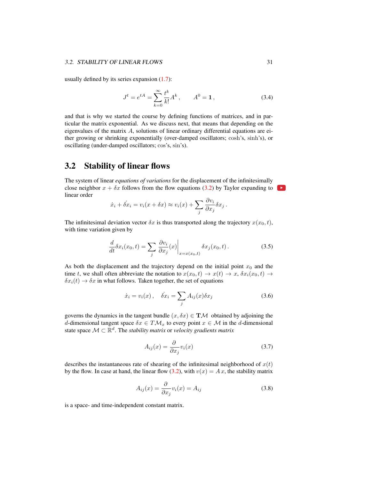usually defined by its series expansion  $(1.7)$ :

$$
J^{t} = e^{tA} = \sum_{k=0}^{\infty} \frac{t^{k}}{k!} A^{k}, \qquad A^{0} = 1, \qquad (3.4)
$$

and that is why we started the course by defining functions of matrices, and in particular the matrix exponential. As we discuss next, that means that depending on the eigenvalues of the matrix  $A$ , solutions of linear ordinary differential equations are either growing or shrinking exponentially (over-damped oscillators; cosh's, sinh's), or oscillating (under-damped oscillators; cos's, sin's).

### <span id="page-30-0"></span>3.2 Stability of linear flows

The system of linear *equations of variations* for the displacement of the infinitesimally close neighbor  $x + \delta x$  follows from the flow equations [\(3.2\)](#page-29-1) by Taylor expanding to linear order

$$
\dot{x}_i + \dot{\delta x}_i = v_i(x + \delta x) \approx v_i(x) + \sum_j \frac{\partial v_i}{\partial x_j} \delta x_j.
$$

The infinitesimal deviation vector  $\delta x$  is thus transported along the trajectory  $x(x_0, t)$ , with time variation given by

$$
\frac{d}{dt}\delta x_i(x_0, t) = \sum_j \left. \frac{\partial v_i}{\partial x_j}(x) \right|_{x = x(x_0, t)} \delta x_j(x_0, t).
$$
\n(3.5)

As both the displacement and the trajectory depend on the initial point  $x_0$  and the time t, we shall often abbreviate the notation to  $x(x_0, t) \rightarrow x(t) \rightarrow x$ ,  $\delta x_i(x_0, t) \rightarrow$  $\delta x_i(t) \rightarrow \delta x$  in what follows. Taken together, the set of equations

<span id="page-30-1"></span>
$$
\dot{x}_i = v_i(x), \quad \dot{\delta x}_i = \sum_j A_{ij}(x)\delta x_j \tag{3.6}
$$

governs the dynamics in the tangent bundle  $(x, \delta x) \in T\mathcal{M}$  obtained by adjoining the d-dimensional tangent space  $\delta x \in T \mathcal{M}_x$  to every point  $x \in \mathcal{M}$  in the d-dimensional state space  $\mathcal{M} \subset \mathbb{R}^d$ . The *stability matrix* or *velocity gradients matrix* 

$$
A_{ij}(x) = \frac{\partial}{\partial x_j} v_i(x) \tag{3.7}
$$

describes the instantaneous rate of shearing of the infinitesimal neighborhood of  $x(t)$ by the flow. In case at hand, the linear flow [\(3.2\)](#page-29-1), with  $v(x) = Ax$ , the stability matrix

$$
A_{ij}(x) = \frac{\partial}{\partial x_j} v_i(x) = A_{ij}
$$
\n(3.8)

is a space- and time-independent constant matrix.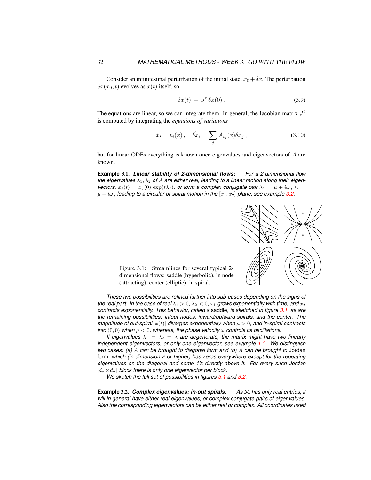Consider an infinitesimal perturbation of the initial state,  $x_0 + \delta x$ . The perturbation  $\delta x(x_0, t)$  evolves as  $x(t)$  itself, so

$$
\delta x(t) = J^t \delta x(0). \tag{3.9}
$$

The equations are linear, so we can integrate them. In general, the Jacobian matrix  $J<sup>t</sup>$ is computed by integrating the *equations of variations*

$$
\dot{x}_i = v_i(x), \quad \dot{\delta x}_i = \sum_j A_{ij}(x)\delta x_j, \tag{3.10}
$$

but for linear ODEs everything is known once eigenvalues and eigenvectors of A are known.

**Example** 3.1. *Linear stability of 2-dimensional flows: For a 2-dimensional flow the eigenvalues*  $\lambda_1, \lambda_2$  *of A are either real, leading to a linear motion along their eigenvectors,*  $x_j(t) = x_j(0) \exp(t\lambda_j)$ , or form a complex conjugate pair  $\lambda_1 = \mu + i\omega$ ,  $\lambda_2 =$  $\mu - i\omega$ , *leading to a circular or spiral motion in the*  $[x_1, x_2]$  *plane, see example* [3.2.](#page-31-0)



<span id="page-31-1"></span>Figure 3.1: Streamlines for several typical 2 dimensional flows: saddle (hyperbolic), in node (attracting), center (elliptic), in spiral.

*These two possibilities are refined further into sub-cases depending on the signs of the real part. In the case of real*  $\lambda_1 > 0$ ,  $\lambda_2 < 0$ ,  $x_1$  *grows exponentially with time, and*  $x_2$ *contracts exponentially. This behavior, called a* saddle*, is sketched in figure [3.1,](#page-31-1) as are the remaining possibilities: in/out nodes, inward/outward spirals, and the center. The magnitude of out-spiral*  $|x(t)|$  *diverges exponentially when*  $\mu > 0$ , and in-spiral contracts *into*  $(0,0)$  *when*  $\mu < 0$ *; whereas, the phase velocity*  $\omega$  *controls its oscillations.* 

*If eigenvalues*  $\lambda_1 = \lambda_2 = \lambda$  *are degenerate, the matrix might have two linearly independent eigenvectors, or only one eigenvector, see example [1.1.](#page-14-2) We distinguish two cases: (a)* A *can be brought to diagonal form and (b)* A *can be brought to* Jordan form*, which (in dimension 2 or higher) has zeros everywhere except for the repeating eigenvalues on the diagonal and some 1's directly above it. For every such Jordan* [d<sup>α</sup> ×dα] *block there is only one eigenvector per block.*

*We sketch the full set of possibilities in figures [3.1](#page-31-1) and [3.2.](#page-32-1)*

<span id="page-31-0"></span>**Example** 3.2. *Complex eigenvalues: in-out spirals. As* M *has only real entries, it will in general have either real eigenvalues, or complex conjugate pairs of eigenvalues. Also the corresponding eigenvectors can be either real or complex. All coordinates used*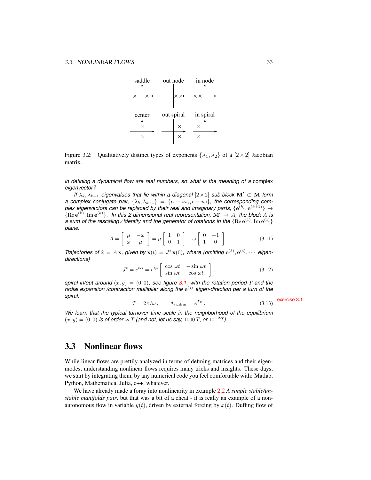

<span id="page-32-1"></span>Figure 3.2: Qualitatively distinct types of exponents  $\{\lambda_1, \lambda_2\}$  of a  $[2 \times 2]$  Jacobian matrix.

*in defining a dynamical flow are real numbers, so what is the meaning of a* complex *eigenvector?*

*If*  $\lambda_k, \lambda_{k+1}$  *eigenvalues that lie within a diagonal* [2×2] *sub-block*  $M' \subset M$  *form a complex conjugate pair,*  $\{\lambda_k, \lambda_{k+1}\} = \{\mu + i\omega, \mu - i\omega\}$ , the corresponding complex eigenvectors can be replaced by their real and imaginary parts,  $\{{\bf e}^{(k)},{\bf e}^{(k+1)}\}\rightarrow$  ${Re}e^{(k)}, Im e^{(k)}\}$ . In this 2-dimensional real representation,  $\mathbf{M}' \to A$ , the block A is a sum of the rescaling×identity and the generator of rotations in the  $\{ \rm{Re}\, e^{(1)}, \rm{Im}\, e^{(1)} \}$ *plane.*

<span id="page-32-2"></span>
$$
A = \begin{bmatrix} \mu & -\omega \\ \omega & \mu \end{bmatrix} = \mu \begin{bmatrix} 1 & 0 \\ 0 & 1 \end{bmatrix} + \omega \begin{bmatrix} 0 & -1 \\ 1 & 0 \end{bmatrix}.
$$
 (3.11)

*Trajectories of*  $\dot{\mathbf{x}} = A\mathbf{x}$ , given by  $\mathbf{x}(t) = J^t \mathbf{x}(0)$ , where (omitting  $e^{(3)}$ ,  $e^{(4)}$ ,  $\cdots$  eigen*directions)*

$$
J^{t} = e^{tA} = e^{t\mu} \begin{bmatrix} \cos \omega t & -\sin \omega t \\ \sin \omega t & \cos \omega t \end{bmatrix},
$$
 (3.12)

*spiral in/out around*  $(x, y) = (0, 0)$ *, see figure* [3.1,](#page-31-1) with the rotation period T and the radial expansion /contraction multiplier along the  $e^{(j)}$  eigen-direction per a turn of the *spiral:* exercise [3.1](#page-34-2)

$$
T = 2\pi/\omega, \qquad \Lambda_{radial} = e^{T\mu} \,. \tag{3.13}
$$

*We learn that the typical turnover time scale in the neighborhood of the equilibrium*  $(x, y) = (0, 0)$  *is of order* ≈ T *(and not, let us say, 1000 T, or* 10<sup>-2</sup>T).

### <span id="page-32-0"></span>3.3 Nonlinear flows

While linear flows are prettily analyzed in terms of defining matrices and their eigenmodes, understanding nonlinear flows requires many tricks and insights. These days, we start by integrating them, by any numerical code you feel comfortable with: Matlab, Python, Mathematica, Julia, c++, whatever.

We have already made a foray into nonlinearity in example [2.2](#page-25-1) *A simple stable/unstable manifolds pair*, but that was a bit of a cheat - it is really an example of a nonautonomous flow in variable  $y(t)$ , driven by external forcing by  $x(t)$ . Duffing flow of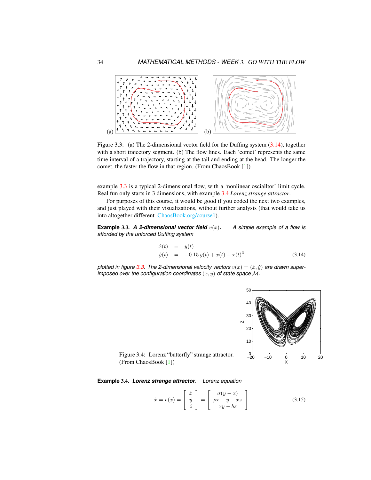

<span id="page-33-3"></span>Figure 3.3: (a) The 2-dimensional vector field for the Duffing system [\(3.14\)](#page-33-0), together with a short trajectory segment. (b) The flow lines. Each 'comet' represents the same time interval of a trajectory, starting at the tail and ending at the head. The longer the comet, the faster the flow in that region. (From ChaosBook [\[1\]](#page-34-3))

example [3.3](#page-33-1) is a typical 2-dimensional flow, with a 'nonlinear oscialltor' limit cycle. Real fun only starts in 3 dimensions, with example [3.4](#page-33-2) *Lorenz strange attractor*.

For purposes of this course, it would be good if you coded the next two examples, and just played with their visualizations, without further analysis (that would take us into altogether different [ChaosBook.org/course1\)](http://ChaosBook.org/course1).

<span id="page-33-1"></span>**Example** 3.3. A 2-dimensional vector field  $v(x)$ . A simple example of a flow is *afforded by the unforced Duffing system*

<span id="page-33-0"></span>
$$
\dot{x}(t) = y(t) \n\dot{y}(t) = -0.15 y(t) + x(t) - x(t)^3
$$
\n(3.14)

plotted in figure [3.3.](#page-33-3) The 2-dimensional velocity vectors  $v(x) = (x, y)$  are drawn super*imposed over the configuration coordinates*  $(x, y)$  *of state space*  $M$ *.* 



<span id="page-33-4"></span>Figure 3.4: Lorenz "butterfly" strange attractor. (From ChaosBook [\[1\]](#page-34-3))

<span id="page-33-2"></span>**Example** 3.4. *Lorenz strange attractor. Lorenz equation*

<span id="page-33-5"></span>
$$
\dot{x} = v(x) = \begin{bmatrix} \dot{x} \\ \dot{y} \\ \dot{z} \end{bmatrix} = \begin{bmatrix} \sigma(y-x) \\ \rho x - y - xz \\ xy - bz \end{bmatrix}
$$
(3.15)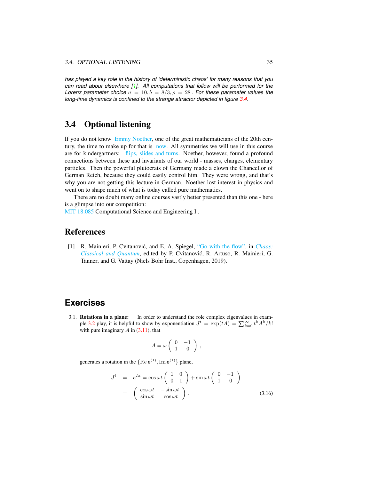*has played a key role in the history of 'deterministic chaos' for many reasons that you can read about elsewhere [\[1\]](#page-34-3). All computations that follow will be performed for the Lorenz parameter choice*  $\sigma = 10, b = 8/3, \rho = 28$ . *For these parameter values the long-time dynamics is confined to the strange attractor depicted in figure [3.4.](#page-33-4)* 

### <span id="page-34-0"></span>3.4 Optional listening

If you do not know [Emmy Noether,](https://photos.app.goo.gl/2cWxT6j4kRLytrCQ8) one of the great mathematicians of the 20th century, the time to make up for that is [now.](https://www.bbc.co.uk/programmes/m00025bw) All symmetries we will use in this course are for kindergartners: [flips, slides and turns.](https://www.youtube.com/watch?v=A5u6J8WugyU) Noether, however, found a profound connections between these and invariants of our world - masses, charges, elementary particles. Then the powerful plutocrats of Germany made a clown the Chancellor of German Reich, because they could easily control him. They were wrong, and that's why you are not getting this lecture in German. Noether lost interest in physics and went on to shape much of what is today called pure mathematics.

There are no doubt many online courses vastly better presented than this one - here is a glimpse into our competition:

[MIT 18.085](http://www.youtube.com/watch?v=0oBJN8F616U) Computational Science and Engineering I .

### <span id="page-34-1"></span>References

<span id="page-34-3"></span>[1] R. Mainieri, P. Cvitanović, and E. A. Spiegel, ["Go with the flow",](http://ChaosBook.org/paper.shtml#flows) in *[Chaos:](http://ChaosBook.org/paper.shtml#flows) [Classical and Quantum](http://ChaosBook.org/paper.shtml#flows)*, edited by P. Cvitanovic, R. Artuso, R. Mainieri, G. ´ Tanner, and G. Vattay (Niels Bohr Inst., Copenhagen, 2019).

### **Exercises**

<span id="page-34-2"></span>3.1. Rotations in a plane: In order to understand the role complex eigenvalues in exam-ple [3.2](#page-31-0) play, it is helpful to show by exponentiation  $J^t = \exp(tA) = \sum_{k=0}^{\infty} t^k A^k / k!$ with pure imaginary  $A$  in  $(3.11)$ , that

$$
A = \omega \left( \begin{array}{cc} 0 & -1 \\ 1 & 0 \end{array} \right) ,
$$

generates a rotation in the  ${Re e^{(1)}, Im e^{(1)}}$  plane,

$$
J^{t} = e^{At} = \cos \omega t \begin{pmatrix} 1 & 0 \\ 0 & 1 \end{pmatrix} + \sin \omega t \begin{pmatrix} 0 & -1 \\ 1 & 0 \end{pmatrix}
$$
  
= 
$$
\begin{pmatrix} \cos \omega t & -\sin \omega t \\ \sin \omega t & \cos \omega t \end{pmatrix}.
$$
 (3.16)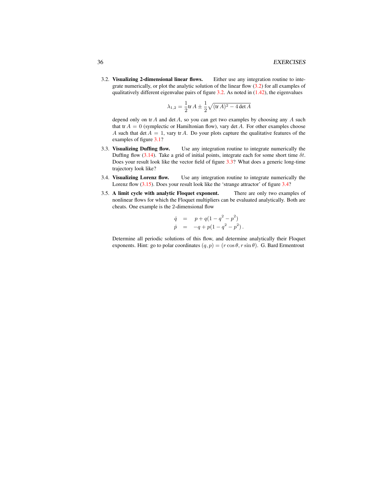<span id="page-35-0"></span>3.2. Visualizing 2-dimensional linear flows. Either use any integration routine to integrate numerically, or plot the analytic solution of the linear flow  $(3.2)$  for all examples of qualitatively different eigenvalue pairs of figure  $3.2$ . As noted in  $(1.42)$ , the eigenvalues

$$
\lambda_{1,2} = \frac{1}{2} \text{tr} \, A \pm \frac{1}{2} \sqrt{(\text{tr} \, A)^2 - 4 \det A}
$$

depend only on  $tr A$  and  $det A$ , so you can get two examples by choosing any  $A$  such that tr  $A = 0$  (symplectic or Hamiltonian flow), vary det A. For other examples choose A such that det  $A = 1$ , vary tr A. Do your plots capture the qualitative features of the examples of figure [3.1?](#page-31-1)

- <span id="page-35-1"></span>3.3. Visualizing Duffing flow. Use any integration routine to integrate numerically the Duffing flow [\(3.14\)](#page-33-0). Take a grid of initial points, integrate each for some short time  $\delta t$ . Does your result look like the vector field of figure [3.3?](#page-33-3) What does a generic long-time trajectory look like?
- <span id="page-35-2"></span>3.4. Visualizing Lorenz flow. Use any integration routine to integrate numerically the Lorenz flow [\(3.15\)](#page-33-5). Does your result look like the 'strange attractor' of figure [3.4?](#page-33-4)
- <span id="page-35-3"></span>3.5. A limit cycle with analytic Floquet exponent. There are only two examples of nonlinear flows for which the Floquet multipliers can be evaluated analytically. Both are cheats. One example is the 2-dimensional flow

$$
\dot{q} = p + q(1 - q^2 - p^2) \n\dot{p} = -q + p(1 - q^2 - p^2).
$$

Determine all periodic solutions of this flow, and determine analytically their Floquet exponents. Hint: go to polar coordinates  $(q, p) = (r \cos \theta, r \sin \theta)$ . G. Bard Ermentrout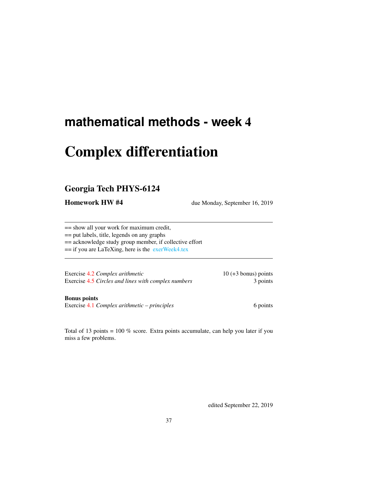# Complex differentiation

# Georgia Tech PHYS-6124

Homework HW #4 due Monday, September 16, 2019

== show all your work for maximum credit,

== put labels, title, legends on any graphs

== acknowledge study group member, if collective effort

== if you are LaTeXing, here is the [exerWeek4.tex](http://chaosbook.org/~predrag/courses/PHYS-6124-19/exerWeek4.tex)

Exercise [4.2](#page-38-0) *Complex arithmetic* 10 (+3 bonus) points Exercise [4.5](#page-40-0) *Circles and lines with complex numbers* 3 points

### Bonus points

Exercise [4.1](#page-38-1) *Complex arithmetic – principles* 6 points 6 points

Total of 13 points = 100 % score. Extra points accumulate, can help you later if you miss a few problems.

edited September 22, 2019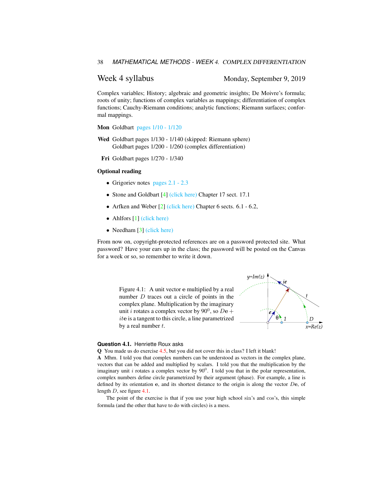Week 4 syllabus Monday, September 9, 2019

Complex variables; History; algebraic and geometric insights; De Moivre's formula; roots of unity; functions of complex variables as mappings; differentiation of complex functions; Cauchy-Riemann conditions; analytic functions; Riemann surfaces; conformal mappings.

Mon Goldbart pages  $1/10 - 1/120$ 

Wed Goldbart pages 1/130 - 1/140 (skipped: Riemann sphere) Goldbart pages 1/200 - 1/260 (complex differentiation)

Fri Goldbart pages 1/270 - 1/340

#### Optional reading

- Grigoriev notes [pages 2.1 2.3](http://ChaosBook.org/~predrag/courses/PHYS-6124-19/ln2.pdf)
- Stone and Goldbart [\[4\]](#page-38-2) [\(click here\)](http://ChaosBook.org/library/StGoChap17.pdf) Chapter 17 sect. 17.1
- Arfken and Weber [\[2\]](#page-38-3) [\(click here\)](http://ChaosBook.org/library/ArWe05chap6.pdf) Chapter 6 sects. 6.1 6.2,
- Ahlfors [\[1\]](#page-38-4) [\(click here\)](http://ChaosBook.org/library/Ahlfors53.pdf)
- Needham [\[3\]](#page-38-5) [\(click here\)](http://ChaosBook.org/library/Needham97.pdf)

From now on, copyright-protected references are on a password protected site. What password? Have your ears up in the class; the password will be posted on the Canvas for a week or so, so remember to write it down.

> <span id="page-37-0"></span>Figure 4.1: A unit vector e multiplied by a real number  $D$  traces out a circle of points in the complex plane. Multiplication by the imaginary unit *i* rotates a complex vector by 90<sup>0</sup>, so  $D\mathbf{e} + \mathbf{e}$ ite is a tangent to this circle, a line parametrized by a real number  $t$ .



#### **Question** 4.1. Henriette Roux asks

Q You made us do exercise [4.5,](#page-40-0) but you did not cover this in class? I left it blank!

A Mhm. I told you that complex numbers can be understood as vectors in the complex plane, vectors that can be added and multiplied by scalars. I told you that the multiplication by the imaginary unit i rotates a complex vector by  $90^0$ . I told you that in the polar representation, complex numbers define circle parametrized by their argument (phase). For example, a line is defined by its orientation  $e$ , and its shortest distance to the origin is along the vector  $De$ , of length D, see figure [4.1.](#page-37-0)

The point of the exercise is that if you use your high school sin's and cos's, this simple formula (and the other that have to do with circles) is a mess.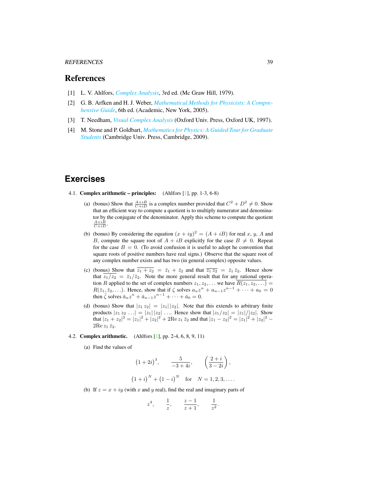#### REFERENCES 39

## References

- <span id="page-38-4"></span>[1] L. V. Ahlfors, *[Complex Analysis](http://books.google.com/books?vid=ISBN9780070006577)*, 3rd ed. (Mc Graw Hill, 1979).
- <span id="page-38-3"></span>[2] G. B. Arfken and H. J. Weber, *[Mathematical Methods for Physicists: A Compre](http://books.google.com/books?vid=ISBN9780120598762)[hensive Guide](http://books.google.com/books?vid=ISBN9780120598762)*, 6th ed. (Academic, New York, 2005).
- <span id="page-38-5"></span>[3] T. Needham, *[Visual Complex Analysis](http://books.google.com/books?vid=ISBN9780198534464)* (Oxford Univ. Press, Oxford UK, 1997).
- <span id="page-38-2"></span>[4] M. Stone and P. Goldbart, *[Mathematics for Physics: A Guided Tour for Graduate](http://dx.doi.org/10.1017/cbo9780511627040) [Students](http://dx.doi.org/10.1017/cbo9780511627040)* (Cambridge Univ. Press, Cambridge, 2009).

# **Exercises**

- <span id="page-38-1"></span>4.1. Complex arithmetic – principles: (Ahlfors [\[1\]](#page-38-4), pp. 1-3, 6-8)
	- (a) (bonus) Show that  $\frac{A+iB}{C+iD}$  is a complex number provided that  $C^2 + D^2 \neq 0$ . Show that an efficient way to compute a quotient is to multiply numerator and denominator by the conjugate of the denominator. Apply this scheme to compute the quotient  $\frac{A+iB}{C+iD}$ .
	- (b) (bonus) By considering the equation  $(x + iy)^2 = (A + iB)$  for real x, y, A and B, compute the square root of  $A + iB$  explicitly for the case  $B \neq 0$ . Repeat for the case  $B = 0$ . (To avoid confusion it is useful to adopt he convention that square roots of positive numbers have real signs.) Observe that the square root of any complex number exists and has two (in general complex) opposite values.
	- (c) (bonus) Show that  $\overline{z_1 + z_2} = \overline{z_1} + \overline{z_2}$  and that  $\overline{z_1 z_2} = \overline{z_1} \overline{z_2}$ . Hence show that  $z_1/z_2 = \overline{z_1}/\overline{z_2}$ . Note the more general result that for any rational operation R applied to the set of complex numbers  $z_1, z_2, \ldots$  we have  $\overline{R(z_1, z_2, \ldots)}$  $R(\bar{z}_1, \bar{z}_2, \ldots)$ . Hence, show that if  $\zeta$  solves  $a_n z^n + a_{n-1} z^{n-1} + \cdots + a_0 = 0$ then  $\overline{\zeta}$  solves  $\overline{a}_n z^n + \overline{a}_{n-1} z^{n-1} + \cdots + \overline{a}_0 = 0$ .
	- (d) (bonus) Show that  $|z_1 z_2| = |z_1||z_2|$ . Note that this extends to arbitrary finite products  $|z_1 z_2 ...| = |z_1| |z_2| ...$  Hence show that  $|z_1/z_2| = |z_1|/|z_2|$ . Show that  $|z_1 + z_2|^2 = |z_1|^2 + |z_2|^2 + 2\text{Re } z_1 \bar{z}_2$  and that  $|z_1 - z_2|^2 = |z_1|^2 + |z_2|^2 - 2\text{Im } z_1$  $2$ Re  $z_1 \bar{z}_2$ .

## <span id="page-38-0"></span>4.2. Complex arithmetic. (Ahlfors [\[1\]](#page-38-4), pp. 2-4, 6, 8, 9, 11)

(a) Find the values of

$$
(1+2i)^3
$$
,  $\frac{5}{-3+4i}$ ,  $\left(\frac{2+i}{3-2i}\right)$ ,  
 $(1+i)^N + (1-i)^N$  for  $N = 1, 2, 3, ...$ 

(b) If  $z = x + iy$  (with x and y real), find the real and imaginary parts of

$$
z^4
$$
,  $\frac{1}{z}$ ,  $\frac{z-1}{z+1}$ ,  $\frac{1}{z^2}$ .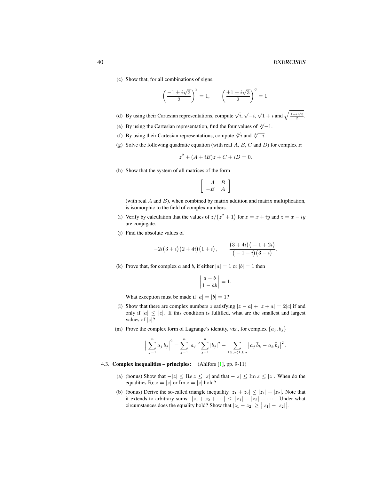#### 40 EXERCISES

(c) Show that, for all combinations of signs,

$$
\left(\frac{-1 \pm i\sqrt{3}}{2}\right)^3 = 1, \qquad \left(\frac{\pm 1 \pm i\sqrt{3}}{2}\right)^6 = 1.
$$

- (d) By using their Cartesian representations, compute  $\sqrt{i}$ ,  $\sqrt{-i}$ ,  $\sqrt{1+i}$  and  $\sqrt{\frac{1-i\sqrt{3}}{2}}$ .
- (e) By using the Cartesian representation, find the four values of  $\sqrt[4]{-1}$ .
- (f) By using their Cartesian representations, compute  $\sqrt[4]{i}$  and  $\sqrt[4]{-i}$ .
- (g) Solve the following quadratic equation (with real  $A, B, C$  and  $D$ ) for complex  $z$ :

$$
z^2 + (A + iB)z + C + iD = 0.
$$

(h) Show that the system of all matrices of the form

$$
\left[\begin{array}{cc}A&B\\-B&A\end{array}\right]
$$

(with real  $A$  and  $B$ ), when combined by matrix addition and matrix multiplication, is isomorphic to the field of complex numbers.

- (i) Verify by calculation that the values of  $z/(z^2+1)$  for  $z = x + iy$  and  $z = x iy$ are conjugate.
- (j) Find the absolute values of

$$
-2i(3+i)(2+4i)(1+i), \qquad \frac{(3+4i)(-1+2i)}{(-1-i)(3-i)}.
$$

(k) Prove that, for complex a and b, if either  $|a| = 1$  or  $|b| = 1$  then

$$
\left|\frac{a-b}{1-\bar{a}b}\right| = 1.
$$

What exception must be made if  $|a| = |b| = 1$ ?

- (l) Show that there are complex numbers z satisfying  $|z a| + |z + a| = 2|c|$  if and only if  $|a| \leq |c|$ . If this condition is fulfilled, what are the smallest and largest values of  $|z|$ ?
- (m) Prove the complex form of Lagrange's identity, viz., for complex  $\{a_j, b_j\}$

$$
\Big|\sum_{j=1}^n a_j b_j\Big|^2 = \sum_{j=1}^n |a_j|^2 \sum_{j=1}^n |b_j|^2 - \sum_{1 \le j < k \le n} |a_j \overline{b}_k - a_k \overline{b}_j|^2.
$$

#### 4.3. Complex inequalities – principles: (Ahlfors [\[1\]](#page-38-4), pp. 9-11)

- (a) (bonus) Show that  $-|z| \leq \text{Re } z \leq |z|$  and that  $-|z| \leq \text{Im } z \leq |z|$ . When do the equalities  $\text{Re } z = |z|$  or  $\text{Im } z = |z|$  hold?
- (b) (bonus) Derive the so-called triangle inequality  $|z_1 + z_2| \le |z_1| + |z_2|$ . Note that it extends to arbitrary sums:  $|z_1 + z_2 + \cdots| \leq |z_1| + |z_2| + \cdots$ . Under what circumstances does the equality hold? Show that  $|z_1 - z_2| \geq ||z_1| - |z_2||$ .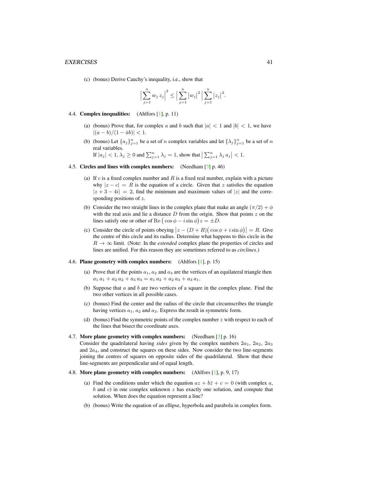#### EXERCISES 41

(c) (bonus) Derive Cauchy's inequality, i.e., show that

$$
\Big|\sum_{j=1}^n w_j z_j\Big|^2 \le \Big|\sum_{j=1}^n |w_j|^2 \Big|\sum_{j=1}^n |z_j|^2.
$$

#### 4.4. Complex inequalities: (Ahlfors [\[1\]](#page-38-4), p. 11)

- (a) (bonus) Prove that, for complex a and b such that  $|a| < 1$  and  $|b| < 1$ , we have  $|(a - b)/(1 - \bar{a}b)| < 1.$
- (b) (bonus) Let  $\{a_j\}_{j=1}^n$  be a set of n complex variables and let  $\{\lambda_j\}_{j=1}^n$  be a set of n real variables.

If  $|a_j| < 1$ ,  $\lambda_j \ge 0$  and  $\sum_{j=1}^n \lambda_j = 1$ , show that  $\left| \sum_{j=1}^n \lambda_j a_j \right| < 1$ .

#### <span id="page-40-0"></span>4.5. Circles and lines with complex numbers: (Needham [\[3\]](#page-38-5) p. 46)

- (a) If  $c$  is a fixed complex number and  $R$  is a fixed real number, explain with a picture why  $|z - c| = R$  is the equation of a circle. Given that z satisfies the equation  $|z + 3 - 4i| = 2$ , find the minimum and maximum values of  $|z|$  and the corresponding positions of z.
- (b) Consider the two straight lines in the complex plane that make an angle  $(\pi/2) + \phi$ with the real axis and lie a distance  $D$  from the origin. Show that points  $z$  on the lines satisfy one or other of Re  $(\cos \phi - i \sin \phi)z = \pm D$ .
- (c) Consider the circle of points obeying  $|z (D + R)(\cos \phi + i \sin \phi)| = R$ . Give the centre of this circle and its radius. Determine what happens to this circle in the  $R \to \infty$  limit. (Note: In the *extended* complex plane the properties of circles and lines are unified. For this reason they are sometimes referred to as *circlines*.)

### 4.6. Plane geometry with complex numbers: (Ahlfors [\[1\]](#page-38-4), p. 15)

- (a) Prove that if the points  $a_1, a_2$  and  $a_3$  are the vertices of an equilateral triangle then  $a_1 a_1 + a_2 a_2 + a_3 a_3 = a_1 a_2 + a_2 a_3 + a_3 a_1.$
- (b) Suppose that  $\alpha$  and  $\beta$  are two vertices of a square in the complex plane. Find the two other vertices in all possible cases.
- (c) (bonus) Find the center and the radius of the circle that circumscribes the triangle having vertices  $a_1$ ,  $a_2$  and  $a_3$ . Express the result in symmetric form.
- (d) (bonus) Find the symmetric points of the complex number  $z$  with respect to each of the lines that bisect the coordinate axes.

#### 4.7. More plane geometry with complex numbers: (Needham [\[3\]](#page-38-5) p. 16)

Consider the quadrilateral having *sides* given by the complex numbers  $2a_1$ ,  $2a_2$ ,  $2a_3$ and  $2a_4$ , and construct the squares on these sides. Now consider the two line-segments joining the centres of squares on opposite sides of the quadrilateral. Show that these line-segments are perpendicular and of equal length.

#### 4.8. More plane geometry with complex numbers: (Ahlfors [\[1\]](#page-38-4), p. 9, 17)

- (a) Find the conditions under which the equation  $az + b\overline{z} + c = 0$  (with complex a,  $b$  and  $c$ ) in one complex unknown  $z$  has exactly one solution, and compute that solution. When does the equation represent a line?
- (b) (bonus) Write the equation of an ellipse, hyperbola and parabola in complex form.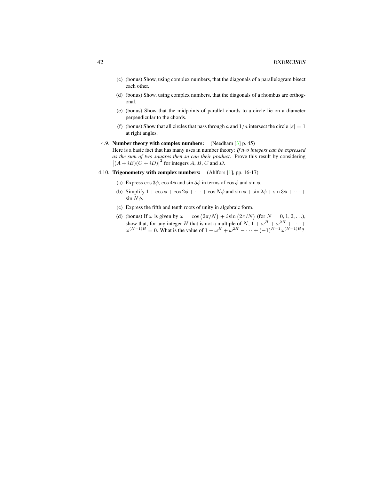- (c) (bonus) Show, using complex numbers, that the diagonals of a parallelogram bisect each other.
- (d) (bonus) Show, using complex numbers, that the diagonals of a rhombus are orthogonal.
- (e) (bonus) Show that the midpoints of parallel chords to a circle lie on a diameter perpendicular to the chords.
- (f) (bonus) Show that all circles that pass through a and  $1/a$  intersect the circle  $|z| = 1$ at right angles.
- 4.9. Number theory with complex numbers: (Needham [\[3\]](#page-38-5) p. 45)

Here is a basic fact that has many uses in number theory: *If two integers can be expressed as the sum of two squares then so can their product*. Prove this result by considering  $|(A + iB)(C + iD)|^2$  for integers A, B, C and D.

- 4.10. Trigonometry with complex numbers: (Ahlfors [\[1\]](#page-38-4), pp. 16-17)
	- (a) Express  $\cos 3\phi$ ,  $\cos 4\phi$  and  $\sin 5\phi$  in terms of  $\cos \phi$  and  $\sin \phi$ .
	- (b) Simplify  $1 + \cos \phi + \cos 2\phi + \cdots + \cos N\phi$  and  $\sin \phi + \sin 2\phi + \sin 3\phi + \cdots$  $\sin N\phi$ .
	- (c) Express the fifth and tenth roots of unity in algebraic form.
	- (d) (bonus) If  $\omega$  is given by  $\omega = \cos(2\pi/N) + i \sin(2\pi/N)$  (for  $N = 0, 1, 2, ...$ ), show that, for any integer H that is not a multiple of N,  $1 + \omega^H + \omega^{2H} + \cdots$  $\omega^{(N-1)H} = 0$ . What is the value of  $1 - \omega^H + \omega^{2H} - \cdots + (-1)^{N-1} \omega^{(N-1)H}$ ?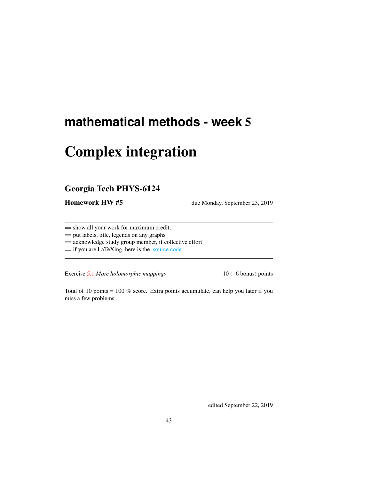# Complex integration

# Georgia Tech PHYS-6124

Homework HW #5 due Monday, September 23, 2019

== show all your work for maximum credit,

== put labels, title, legends on any graphs

== acknowledge study group member, if collective effort

== if you are LaTeXing, here is the [source code](http://chaosbook.org/~predrag/courses/PHYS-6124-19/exerWeek5.tex)

Exercise [5.1](#page-43-0) *More holomorphic mappings* 10 (+6 bonus) points

Total of 10 points = 100 % score. Extra points accumulate, can help you later if you miss a few problems.

edited September 22, 2019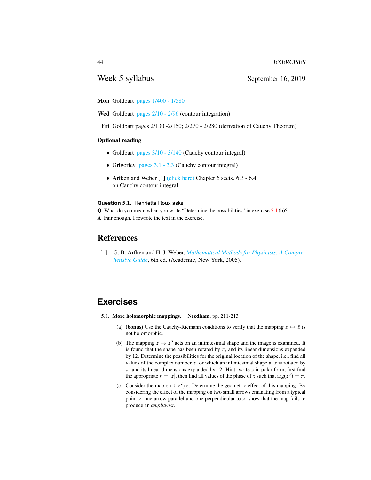# Week 5 syllabus September 16, 2019

Mon Goldbart pages  $1/400 - 1/580$ 

Wed Goldbart pages  $2/10 - 2/96$  (contour integration)

Fri Goldbart pages 2/130 -2/150; 2/270 - 2/280 (derivation of Cauchy Theorem)

### Optional reading

- Goldbart pages  $3/10 3/140$  (Cauchy contour integral)
- Grigoriev [pages 3.1 3.3](http://ChaosBook.org/~predrag/courses/PHYS-6124-19/ln3.pdf) (Cauchy contour integral)
- Arfken and Weber  $[1]$  [\(click here\)](http://ChaosBook.org/library/ArWe05chap6.pdf) Chapter 6 sects.  $6.3 6.4$ , on Cauchy contour integral

### **Question** 5.1. Henriette Roux asks

Q What do you mean when you write "Determine the possibilities" in exercise [5.1](#page-43-0) (b)? A Fair enough. I rewrote the text in the exercise.

# References

<span id="page-43-1"></span>[1] G. B. Arfken and H. J. Weber, *[Mathematical Methods for Physicists: A Compre](http://books.google.com/books?vid=ISBN9780120598762)[hensive Guide](http://books.google.com/books?vid=ISBN9780120598762)*, 6th ed. (Academic, New York, 2005).

# **Exercises**

- <span id="page-43-0"></span>5.1. More holomorphic mappings. Needham, pp. 211-213
	- (a) (**bonus**) Use the Cauchy-Riemann conditions to verify that the mapping  $z \mapsto \overline{z}$  is not holomorphic.
	- (b) The mapping  $z \mapsto z^3$  acts on an infinitesimal shape and the image is examined. It is found that the shape has been rotated by  $\pi$ , and its linear dimensions expanded by 12. Determine the possibilities for the original location of the shape, i.e., find all values of the complex number  $z$  for which an infinitesimal shape at  $z$  is rotated by  $\pi$ , and its linear dimensions expanded by 12. Hint: write z in polar form, first find the appropriate  $r = |z|$ , then find all values of the phase of z such that  $\arg(z^3) = \pi$ .
	- (c) Consider the map  $z \mapsto \overline{z}^2/z$ . Determine the geometric effect of this mapping. By considering the effect of the mapping on two small arrows emanating from a typical point  $z$ , one arrow parallel and one perpendicular to  $z$ , show that the map fails to produce an *amplitwist*.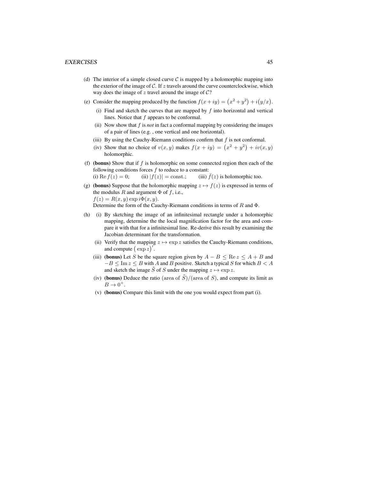#### EXERCISES 45

- (d) The interior of a simple closed curve  $\mathcal C$  is mapped by a holomorphic mapping into the exterior of the image of  $C$ . If  $z$  travels around the curve counterclockwise, which way does the image of  $z$  travel around the image of  $C$ ?
- (e) Consider the mapping produced by the function  $f(x+iy) = (x^2 + y^2) + i(y/x)$ .
	- (i) Find and sketch the curves that are mapped by  $f$  into horizontal and vertical lines. Notice that  $f$  appears to be conformal.
	- (ii) Now show that  $f$  is *not* in fact a conformal mapping by considering the images of a pair of lines (e.g. , one vertical and one horizontal).
	- (iii) By using the Cauchy-Riemann conditions confirm that  $f$  is not conformal.
	- (iv) Show that no choice of  $v(x, y)$  makes  $f(x + iy) = (x^2 + y^2) + iv(x, y)$ holomorphic.
- (f) (bonus) Show that if  $f$  is holomorphic on some connected region then each of the following conditions forces  $f$  to reduce to a constant:

(i) Re  $f(z) = 0$ ; (ii)  $|f(z)| = \text{const.}$ ; (iii)  $\bar{f}(z)$  is holomorphic too.

(g) (**bonus**) Suppose that the holomorphic mapping  $z \mapsto f(z)$  is expressed in terms of the modulus R and argument  $\Phi$  of f, i.e.,  $f(z) = R(x, y) \exp i\Phi(x, y).$ 

Determine the form of the Cauchy-Riemann conditions in terms of  $R$  and  $\Phi$ .

- (h) (i) By sketching the image of an infinitesimal rectangle under a holomorphic mapping, determine the the local magnification factor for the area and compare it with that for a infinitesimal line. Re-derive this result by examining the Jacobian determinant for the transformation.
	- (ii) Verify that the mapping  $z \mapsto \exp z$  satisfies the Cauchy-Riemann conditions, and compute  $(\exp z)'$ .
	- (iii) (bonus) Let S be the square region given by  $A B \leq \text{Re } z \leq A + B$  and  $-B \leq \text{Im } z \leq B$  with A and B positive. Sketch a typical S for which  $B < A$ and sketch the image  $\tilde{S}$  of S under the mapping  $z \mapsto \exp z$ .
	- (iv) (bonus) Deduce the ratio (area of  $\tilde{S}$ )/(area of S), and compute its limit as  $B\to 0^+.$
	- (v) (bonus) Compare this limit with the one you would expect from part (i).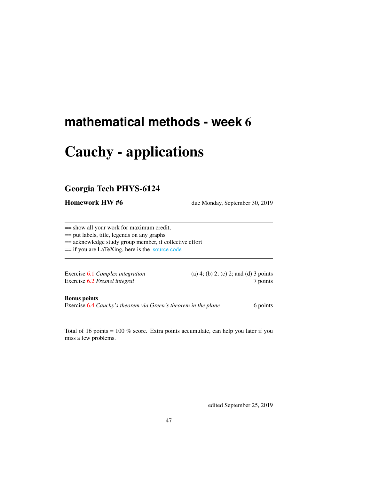# Cauchy - applications

# Georgia Tech PHYS-6124

Homework HW #6 due Monday, September 30, 2019

== show all your work for maximum credit,

== put labels, title, legends on any graphs

== acknowledge study group member, if collective effort

== if you are LaTeXing, here is the [source code](http://chaosbook.org/~predrag/courses/PHYS-6124-19/exerWeek6.tex)

Exercise [6.2](#page-48-0) *Fresnel integral* 7 points

Exercise [6.1](#page-47-0) *Complex integration* (a) 4; (b) 2; (c) 2; and (d) 3 points

Bonus points

Exercise [6.4](#page-49-0) *Cauchy's theorem via Green's theorem in the plane* 6 points

Total of 16 points = 100 % score. Extra points accumulate, can help you later if you miss a few problems.

edited September 25, 2019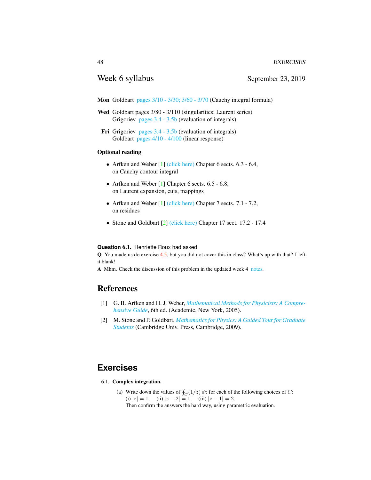## Week 6 syllabus September 23, 2019

- Mon Goldbart [pages 3/10 3/30; 3/60 3/70](http://ChaosBook.org/~predrag/courses/PHYS-6124-19/PG93B-Cauchy.pdf) (Cauchy integral formula)
- Wed Goldbart pages 3/80 3/110 (singularities; Laurent series) Grigoriev [pages 3.4 - 3.5b](http://ChaosBook.org/~predrag/courses/PHYS-6124-19/ln3.pdf) (evaluation of integrals)
- Fri Grigoriev [pages 3.4 3.5b](http://ChaosBook.org/~predrag/courses/PHYS-6124-19/ln3.pdf) (evaluation of integrals) Goldbart [pages 4/10 - 4/100](http://ChaosBook.org/~predrag/courses/PHYS-6124-19/PG93B-Causality.pdf) (linear response)

### Optional reading

- Arfken and Weber  $[1]$  [\(click here\)](http://ChaosBook.org/library/ArWe05chap6.pdf) Chapter 6 sects.  $6.3 6.4$ , on Cauchy contour integral
- Arfken and Weber [\[1\]](#page-47-1) Chapter 6 sects. 6.5 6.8, on Laurent expansion, cuts, mappings
- Arfken and Weber [\[1\]](#page-47-1) [\(click here\)](http://ChaosBook.org/library/ArWe05chap7.pdf) Chapter 7 sects. 7.1 7.2, on residues
- Stone and Goldbart [\[2\]](#page-47-2) [\(click here\)](http://ChaosBook.org/library/StGoChap17.pdf) Chapter 17 sect. 17.2 17.4

### **Question** 6.1. Henriette Roux had asked

Q You made us do exercise [4.5,](#page-40-0) but you did not cover this in class? What's up with that? I left it blank!

A Mhm. Check the discussion of this problem in the updated week 4 [notes.](http://ChaosBook.org/~predrag/courses/PHYS-6124-19/week4.pdf)

## References

- <span id="page-47-1"></span>[1] G. B. Arfken and H. J. Weber, *[Mathematical Methods for Physicists: A Compre](http://books.google.com/books?vid=ISBN9780120598762)[hensive Guide](http://books.google.com/books?vid=ISBN9780120598762)*, 6th ed. (Academic, New York, 2005).
- <span id="page-47-2"></span>[2] M. Stone and P. Goldbart, *[Mathematics for Physics: A Guided Tour for Graduate](http://dx.doi.org/10.1017/cbo9780511627040) [Students](http://dx.doi.org/10.1017/cbo9780511627040)* (Cambridge Univ. Press, Cambridge, 2009).

# **Exercises**

- <span id="page-47-0"></span>6.1. Complex integration.
	- (a) Write down the values of  $\oint_C (1/z) dz$  for each of the following choices of C: (i)  $|z| = 1$ , (ii)  $|z - 2| = 1$ , (iii)  $|z - 1| = 2$ . Then confirm the answers the hard way, using parametric evaluation.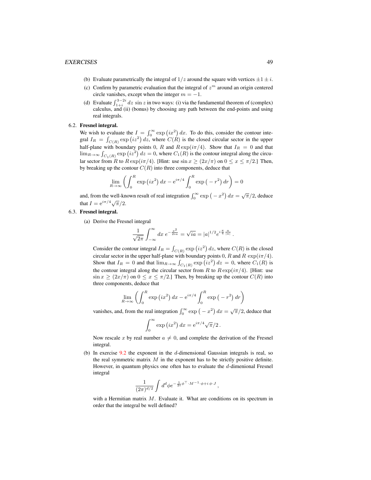- (b) Evaluate parametrically the integral of  $1/z$  around the square with vertices  $\pm 1 \pm i$ .
- (c) Confirm by parametric evaluation that the integral of  $z<sup>m</sup>$  around an origin centered circle vanishes, except when the integer  $m = -1$ .
- (d) Evaluate  $\int_{1+i}^{3-2i} dz \sin z$  in two ways: (i) via the fundamental theorem of (complex) calculus, and (ii) (bonus) by choosing any path between the end-points and using real integrals.

### <span id="page-48-0"></span>6.2. Fresnel integral.

We wish to evaluate the  $I = \int_0^\infty \exp(ix^2) dx$ . To do this, consider the contour integral  $I_R = \int_{C(R)} \exp(i z^2) dz$ , where  $C(R)$  is the closed circular sector in the upper half-plane with boundary points 0, R and  $R \exp(i\pi/4)$ . Show that  $I_R = 0$  and that  $\lim_{R\to\infty} \int_{C_1(R)} \exp(i z^2) dz = 0$ , where  $C_1(R)$  is the contour integral along the circular sector from R to  $R \exp(i\pi/4)$ . [Hint: use  $\sin x \ge (2x/\pi)$  on  $0 \le x \le \pi/2$ .] Then, by breaking up the contour  $C(R)$  into three components, deduce that

$$
\lim_{R \to \infty} \left( \int_0^R \exp\left(ix^2\right) dx - e^{i\pi/4} \int_0^R \exp\left(-r^2\right) dr \right) = 0
$$

and, from the well-known result of real integration  $\int_0^\infty \exp(-x^2) dx = \sqrt{\pi}/2$ , deduce that  $I = e^{i\pi/4}\sqrt{\pi/2}$ .

### <span id="page-48-1"></span>6.3. Fresnel integral.

(a) Derive the Fresnel integral

$$
\frac{1}{\sqrt{2\pi}}\int_{-\infty}^{\infty} dx \ e^{-\frac{x^2}{2ia}} = \sqrt{ia} = |a|^{1/2} e^{i\frac{\pi}{4} \frac{a}{|a|}}.
$$

Consider the contour integral  $I_R = \int_{C(R)} \exp(i z^2) dz$ , where  $C(R)$  is the closed circular sector in the upper half-plane with boundary points 0, R and R  $\exp(i\pi/4)$ . Show that  $I_R = 0$  and that  $\lim_{R \to \infty} \int_{C_1(R)} \exp(i z^2) dz = 0$ , where  $C_1(R)$  is the contour integral along the circular sector from R to  $R \exp(i\pi/4)$ . [Hint: use  $\sin x \ge (2x/\pi)$  on  $0 \le x \le \pi/2$ . Then, by breaking up the contour  $C(R)$  into three components, deduce that

$$
\lim_{R \to \infty} \left( \int_0^R \exp\left(ix^2\right) dx - e^{i\pi/4} \int_0^R \exp\left(-r^2\right) dr \right)
$$

vanishes, and, from the real integration  $\int_0^\infty \exp(-x^2) dx = \sqrt{\pi/2}$ , deduce that

$$
\int_0^\infty \exp(i x^2) dx = e^{i\pi/4} \sqrt{\pi}/2.
$$

Now rescale x by real number  $a \neq 0$ , and complete the derivation of the Fresnel integral.

(b) In exercise  $9.2$  the exponent in the d-dimensional Gaussian integrals is real, so the real symmetric matrix  $M$  in the exponent has to be strictly positive definite. However, in quantum physics one often has to evaluate the d-dimenional Fresnel integral

$$
\frac{1}{(2\pi)^{d/2}}\int d^d\phi e^{-\frac{1}{2i}\phi^\top\cdot M^{-1}\cdot\phi+i\phi\cdot J}\,,
$$

with a Hermitian matrix  $M$ . Evaluate it. What are conditions on its spectrum in order that the integral be well defined?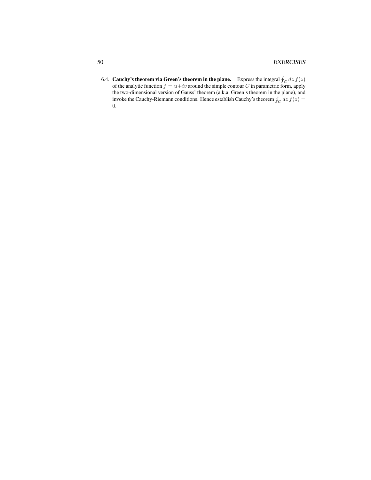<span id="page-49-0"></span>6.4. Cauchy's theorem via Green's theorem in the plane. Express the integral  $\oint_C dz f(z)$ of the analytic function  $f = u+iv$  around the simple contour C in parametric form, apply the two-dimensional version of Gauss' theorem (a.k.a. Green's theorem in the plane), and invoke the Cauchy-Riemann conditions. Hence establish Cauchy's theorem  $\oint_C dz f(z) =$ 0.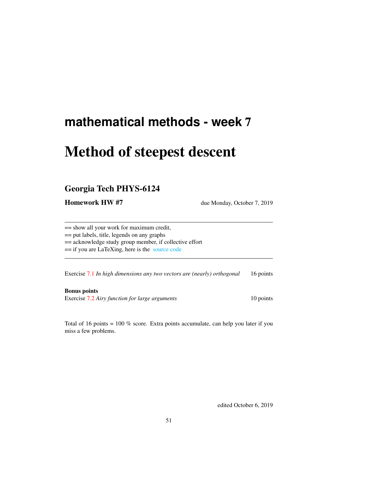# Method of steepest descent

# Georgia Tech PHYS-6124

Homework HW #7 due Monday, October 7, 2019

== show all your work for maximum credit,

== put labels, title, legends on any graphs

== acknowledge study group member, if collective effort

== if you are LaTeXing, here is the [source code](http://chaosbook.org/~predrag/courses/PHYS-6124-19/exerWeek7.tex)

Exercise [7.1](#page-55-0) *In high dimensions any two vectors are (nearly) orthogonal* 16 points

Bonus points Exercise [7.2](#page-57-0) *Airy function for large arguments* 10 points

Total of 16 points = 100 % score. Extra points accumulate, can help you later if you miss a few problems.

edited October 6, 2019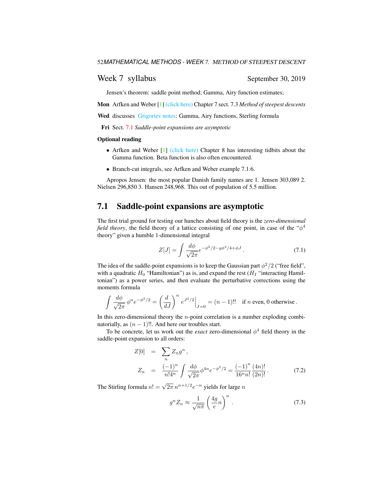## Week 7 syllabus September 30, 2019

Jensen's theorem: saddle point method; Gamma, Airy function estimates;

Mon Arfken and Weber [\[1\]](#page-54-0) [\(click here\)](http://ChaosBook.org/library/ArWe05chap7.pdf) Chapter 7 sect. 7.3 *Method of steepest descents*

Wed discusses [Grigoriev notes:](http://ChaosBook.org/~predrag/courses/PHYS-6124-19/ln13.pdf) Gamma, Airy functions, Sterling formula

Fri Sect. [7.1](#page-51-0) *Saddle-point expansions are asymptotic*

#### Optional reading

- Arfken and Weber [\[1\]](#page-54-0) [\(click here\)](http://ChaosBook.org/library/ArWe05chap8.pdf) Chapter 8 has interesting tidbits about the Gamma function. Beta function is also often encountered.
- Branch-cut integrals, see Arfken and Weber example 7.1.6.

Apropos Jensen: the most popular Danish family names are 1. Jensen 303,089 2. Nielsen 296,850 3. Hansen 248,968. This out of population of 5.5 million.

## <span id="page-51-0"></span>7.1 Saddle-point expansions are asymptotic

The first trial ground for testing our hunches about field theory is the *zero-dimensional field theory*, the field theory of a lattice consisting of one point, in case of the " $\phi^4$ theory" given a humble 1-dimensional integral

<span id="page-51-2"></span>
$$
Z[J] = \int \frac{d\phi}{\sqrt{2\pi}} e^{-\phi^2/2 - g\phi^4/4 + \phi J}.
$$
 (7.1)

The idea of the saddle-point expansions is to keep the Gaussian part  $\phi^2/2$  ("free field", with a quadratic  $H_0$  "Hamiltonian") as is, and expand the rest ( $H_1$  "interacting Hamiltonian") as a power series, and then evaluate the perturbative corrections using the moments formula

$$
\int \frac{d\phi}{\sqrt{2\pi}} \phi^n e^{-\phi^2/2} = \left(\frac{d}{dJ}\right)^n e^{J^2/2}\Big|_{J=0} = (n-1)!! \text{ if } n \text{ even, } 0 \text{ otherwise.}
$$

In this zero-dimensional theory the  $n$ -point correlation is a number exploding combinatorially, as  $(n - 1)$ !!. And here our troubles start.

To be concrete, let us work out the *exact* zero-dimensional  $\phi^4$  field theory in the saddle-point expansion to all orders:

<span id="page-51-1"></span>
$$
Z[0] = \sum_{n} Z_n g^n,
$$
  
\n
$$
Z_n = \frac{(-1)^n}{n! 4^n} \int \frac{d\phi}{\sqrt{2\pi}} \phi^{4n} e^{-\phi^2/2} = \frac{(-1)^n}{16^n n!} \frac{(4n)!}{(2n)!}.
$$
 (7.2)

The Stirling formula  $n! = \sqrt{2\pi} n^{n+1/2} e^{-n}$  yields for large  $n$ 

<span id="page-51-3"></span>
$$
g^n Z_n \approx \frac{1}{\sqrt{n\pi}} \left(\frac{4g}{e}n\right)^n.
$$
 (7.3)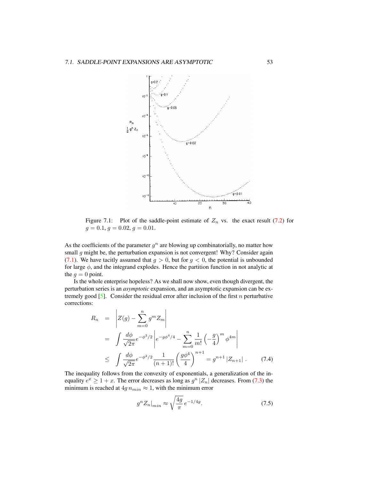

<span id="page-52-0"></span>Figure 7.1: Plot of the saddle-point estimate of  $Z_n$  vs. the exact result [\(7.2\)](#page-51-1) for  $g = 0.1, g = 0.02, g = 0.01.$ 

As the coefficients of the parameter  $g^n$  are blowing up combinatorially, no matter how small  $g$  might be, the perturbation expansion is not convergent! Why? Consider again [\(7.1\)](#page-51-2). We have tacitly assumed that  $g > 0$ , but for  $g < 0$ , the potential is unbounded for large  $\phi$ , and the integrand explodes. Hence the partition function in not analytic at the  $g = 0$  point.

Is the whole enterprise hopeless? As we shall now show, even though divergent, the perturbation series is an *asymptotic* expansion, and an asymptotic expansion can be extremely good  $[5]$ . Consider the residual error after inclusion of the first n perturbative corrections:

$$
R_n = \left| Z(g) - \sum_{m=0}^n g^m Z_m \right|
$$
  
=  $\int \frac{d\phi}{\sqrt{2\pi}} e^{-\phi^2/2} \left| e^{-g\phi^4/4} - \sum_{m=0}^n \frac{1}{m!} \left( -\frac{g}{4} \right)^m \phi^{4m} \right|$   
 $\leq \int \frac{d\phi}{\sqrt{2\pi}} e^{-\phi^2/2} \frac{1}{(n+1)!} \left( \frac{g\phi^4}{4} \right)^{n+1} = g^{n+1} |Z_{n+1}| .$  (7.4)

The inequality follows from the convexity of exponentials, a generalization of the inequality  $e^x \ge 1 + x$ . The error decreases as long as  $g^n |Z_n|$  decreases. From [\(7.3\)](#page-51-3) the minimum is reached at  $4g n_{min} \approx 1$ , with the minimum error

$$
g^{n}Z_{n}|_{min} \approx \sqrt{\frac{4g}{\pi}} \, e^{-1/4g}.\tag{7.5}
$$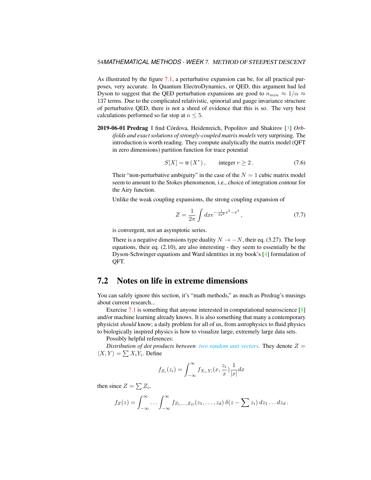As illustrated by the figure [7.1,](#page-52-0) a perturbative expansion can be, for all practical purposes, very accurate. In Quantum ElectroDynamics, or QED, this argument had led Dyson to suggest that the QED perturbation expansions are good to  $n_{min} \approx 1/\alpha \approx$ 137 terms. Due to the complicated relativistic, spinorial and gauge invariance structure of perturbative QED, there is not a shred of evidence that this is so. The very best calculations performed so far stop at  $n \leq 5$ .

2019-06-01 Predrag I find Córdova, Heidenreich, Popolitov and Shakirov [\[3\]](#page-54-2) *Orbifolds and exact solutions of strongly-coupled matrix models* very surprising. The introduction is worth reading. They compute analytically the matrix model (QFT in zero dimensions) partition function for trace potential

$$
S[X] = \text{tr}(X^r), \qquad \text{integer } r \ge 2. \tag{7.6}
$$

Their "non-perturbative ambiguity" in the case of the  $N = 1$  cubic matrix model seem to amount to the Stokes phenomenon, i.e., choice of integration contour for the Airy function.

Unlike the weak coupling expansions, the strong coupling expansion of

$$
Z = \frac{1}{2\pi} \int dx e^{-\frac{1}{2g^2}x^2 - x^4},\tag{7.7}
$$

is convergent, not an asymptotic series.

There is a negative dimensions type duality  $N \rightarrow -N$ , their eq. (3.27). The loop equations, their eq. (2.10), are also interesting - they seem to essentially be the Dyson-Schwinger equations and Ward identities in my book's [\[4\]](#page-54-3) formulation of QFT.

# 7.2 Notes on life in extreme dimensions

You can safely ignore this section, it's "math methods," as much as Predrag's musings about current research...

Exercise [7.1](#page-55-0) is something that anyone interested in computational neuroscience [\[8\]](#page-55-1) and/or machine learning already knows. It is also something that many a contemporary physicist *should* know; a daily problem for all of us, from astrophysics to fluid physics to biologically inspired physics is how to visualize large, extremely large data sets.

Possibly helpful references:

*Distribution of dot products between [two random unit vectors](http://stats.stackexchange.com/questions/85916/distribution-of-dot-products-between-two-random-unit-vectors-in-mathbbrd).* They denote  $Z =$  $\langle X, Y \rangle = \sum X_i Y_i$ . Define

$$
f_{Z_i}(z_i) = \int_{-\infty}^{\infty} f_{X_i, Y_i}(x, \frac{z_i}{x}) \frac{1}{|x|} dx
$$

then since  $Z = \sum Z_i$ ,

$$
f_Z(z) = \int_{-\infty}^{\infty} \cdots \int_{-\infty}^{\infty} f_{Z_1,\ldots,Z_D}(z_1,\ldots,z_d) \, \delta(z - \sum z_i) \, dz_1 \ldots dz_d \, .
$$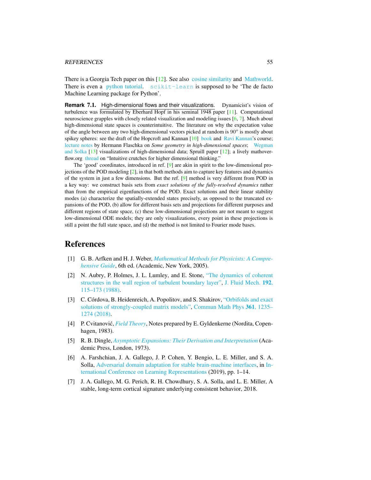#### REFERENCES 55

There is a Georgia Tech paper on this [\[12\]](#page-55-2). See also [cosine similarity](http://en.wikipedia.org/wiki/Cosine_similarity) and [Mathworld.](http://mathworld.wolfram.com/Hypersphere.html) There is even a [python tutorial.](http://pyevolve.sourceforge.net/wordpress/?p=2497) [scikit-learn](http://scikit-learn.org) is supposed to be 'The de facto Machine Learning package for Python'.

**Remark 7.1.** High-dimensional flows and their visualizations. Dynamicist's vision of turbulence was formulated by Eberhard Hopf in his seminal 1948 paper [\[11\]](#page-55-3). Computational neuroscience grapples with closely related visualization and modeling issues [\[6,](#page-54-4) [7\]](#page-54-5). Much about high-dimensional state spaces is counterintuitive. The literature on why the expectation value of the angle between any two high-dimensional vectors picked at random is  $90^\circ$  is mostly about spikey spheres: see the draft of the Hopcroft and Kannan [\[10\]](#page-55-4) [book](http://research.microsoft.com/en-US/people/kannan/book-no-solutions-aug-21-2014.pdf) and [Ravi Kannan'](https://www.cs.cmu.edu/~venkatg/teaching/CStheory-infoage/)s course; [lecture notes](http://math.arizona.edu/~flaschka/Topmatter/527files/concentration.pdf) by Hermann Flaschka on *Some geometry in high-dimensional spaces*; [Wegman](http://sankhya.isical.ac.in/search/64a2/64a2031.pdf) [and Solka](http://sankhya.isical.ac.in/search/64a2/64a2031.pdf) [\[13\]](#page-55-5) visualizations of high-dimensional data; Spruill paper [\[12\]](#page-55-2); a lively mathoverflow.org [thread](http://mathoverflow.net/questions/25983/intuitive-crutches-for-higher-dimensional-thinking) on "Intuitive crutches for higher dimensional thinking."

The 'good' coordinates, introduced in ref. [\[9\]](#page-55-6) are akin in spirit to the low-dimensional projections of the POD modeling [\[2\]](#page-54-6), in that both methods aim to capture key features and dynamics of the system in just a few dimensions. But the ref. [\[9\]](#page-55-6) method is very different from POD in a key way: we construct basis sets from *exact solutions of the fully-resolved dynamics* rather than from the empirical eigenfunctions of the POD. Exact solutions and their linear stability modes (a) characterize the spatially-extended states precisely, as opposed to the truncated expansions of the POD, (b) allow for different basis sets and projections for different purposes and different regions of state space, (c) these low-dimensional projections are not meant to suggest low-dimensional ODE models; they are only visualizations, every point in these projections is still a point the full state space, and (d) the method is not limited to Fourier mode bases.

## References

- <span id="page-54-0"></span>[1] G. B. Arfken and H. J. Weber, *[Mathematical Methods for Physicists: A Compre](http://books.google.com/books?vid=ISBN9780120598762)[hensive Guide](http://books.google.com/books?vid=ISBN9780120598762)*, 6th ed. (Academic, New York, 2005).
- <span id="page-54-6"></span>[2] N. Aubry, P. Holmes, J. L. Lumley, and E. Stone, ["The dynamics of coherent](http://dx.doi.org/10.1017/S0022112088001818) [structures in the wall region of turbulent boundary layer",](http://dx.doi.org/10.1017/S0022112088001818) [J. Fluid Mech.](https://doi.org/10.1017/S0022112088001818) 192, [115–173 \(1988\).](https://doi.org/10.1017/S0022112088001818)
- <span id="page-54-2"></span>[3] C. Córdova, B. Heidenreich, A. Popolitov, and S. Shakirov, ["Orbifolds and exact](http://dx.doi.org/10.1007/s00220-017-3072-x) [solutions of strongly-coupled matrix models",](http://dx.doi.org/10.1007/s00220-017-3072-x) [Commun Math Phys](https://doi.org/10.1007/s00220-017-3072-x) 361, 1235– [1274 \(2018\).](https://doi.org/10.1007/s00220-017-3072-x)
- <span id="page-54-3"></span>[4] P. Cvitanovic,´ *[Field Theory](http://ChaosBook.org/FieldTheory)*, Notes prepared by E. Gyldenkerne (Nordita, Copenhagen, 1983).
- <span id="page-54-1"></span>[5] R. B. Dingle, *[Asymptotic Expansions: Their Derivation and Interpretation](http://dx.doi.org/10.2307/2005758)* (Academic Press, London, 1973).
- <span id="page-54-4"></span>[6] A. Farshchian, J. A. Gallego, J. P. Cohen, Y. Bengio, L. E. Miller, and S. A. Solla, [Adversarial domain adaptation for stable brain-machine interfaces,](https://openreview.net/forum?id=Hyx6Bi0qYm) in [In](https://openreview.net/forum?id=Hyx6Bi0qYm)[ternational Conference on Learning Representations](https://openreview.net/forum?id=Hyx6Bi0qYm) (2019), pp. 1–14.
- <span id="page-54-5"></span>[7] J. A. Gallego, M. G. Perich, R. H. Chowdhury, S. A. Solla, and L. E. Miller, A stable, long-term cortical signature underlying consistent behavior, 2018.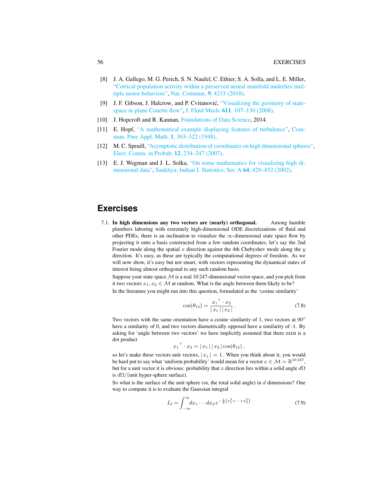- <span id="page-55-1"></span>[8] J. A. Gallego, M. G. Perich, S. N. Naufel, C. Ethier, S. A. Solla, and L. E. Miller, ["Cortical population activity within a preserved neural manifold underlies mul](http://dx.doi.org/10.1038/s41467-018-06560-z)[tiple motor behaviors",](http://dx.doi.org/10.1038/s41467-018-06560-z) [Nat. Commun.](https://doi.org/10.1038/s41467-018-06560-z) 9, 4233 (2018).
- <span id="page-55-6"></span>[9] J. F. Gibson, J. Halcrow, and P. Cvitanović, ["Visualizing the geometry of state](http://dx.doi.org/10.1017/S002211200800267X)[space in plane Couette flow",](http://dx.doi.org/10.1017/S002211200800267X) J. Fluid Mech. 611[, 107–130 \(2008\).](https://doi.org/10.1017/S002211200800267X)
- <span id="page-55-4"></span>[10] J. Hopcroft and R. Kannan, [Foundations of Data Science,](http://research.microsoft.com/en-US/people/kannan/book-no-solutions-aug-21-2014.pdf) 2014.
- <span id="page-55-3"></span>[11] E. Hopf, ["A mathematical example displaying features of turbulence",](http://dx.doi.org/10.1002/cpa.3160010401) [Com](https://doi.org/10.1002/cpa.3160010401)[mun. Pure Appl. Math.](https://doi.org/10.1002/cpa.3160010401) 1, 303–322 (1948).
- <span id="page-55-2"></span>[12] M. C. Spruill, ["Asymptotic distribution of coordinates on high dimensional spheres",](http://dx.doi.org/10.1214/ecp.v12-1294) [Elect. Comm. in Probab.](https://doi.org/10.1214/ecp.v12-1294) 12, 234–247 (2007).
- <span id="page-55-5"></span>[13] E. J. Wegman and J. L. Solka, ["On some mathematics for visualizing high di](http://www.jstor.org/stable/25051404)[mensional data",](http://www.jstor.org/stable/25051404) [Sankhya: Indian J. Statistics, Ser. A](http://www.jstor.org/stable/25051404) 64, 429–452 (2002).

# **Exercises**

<span id="page-55-0"></span>7.1. In high dimensions any two vectors are (nearly) orthogonal. Among humble plumbers laboring with extremely high-dimensional ODE discretizations of fluid and other PDEs, there is an inclination to visualize the  $\infty$ -dimensional state space flow by projecting it onto a basis constructed from a few random coordinates, let's say the 2nd Fourier mode along the spatial  $x$  direction against the 4th Chebyshev mode along the  $y$ direction. It's easy, as these are typically the computational degrees of freedom. As we will now show, it's easy but not smart, with vectors representing the dynamical states of interest being almost orthogonal to any such random basis.

Suppose your state space  $M$  is a real 10 247-dimensional vector space, and you pick from it two vectors  $x_1, x_2 \in \mathcal{M}$  at random. What is the angle between them likely to be? In the literature you might run into this question, formulated as the 'cosine similarity'

$$
\cos(\theta_{12}) = \frac{{x_1}^\top \cdot x_2}{|x_1| \, |x_2|} \,. \tag{7.8}
$$

Two vectors with the same orientation have a cosine similarity of 1, two vectors at  $90^\circ$ have a similarity of 0, and two vectors diametrically opposed have a similarity of -1. By asking for 'angle between two vectors' we have implicitly assumed that there exist is a dot product

$$
x_1^\top \cdot x_2 = |x_1| |x_2| \cos(\theta_{12}),
$$

so let's make these vectors unit vectors,  $|x_i| = 1$ . When you think about it, you would be hard put to say what 'uniform probability' would mean for a vector  $x \in \mathcal{M} = \mathbb{R}^{10\,247}$ , but for a unit vector it is obvious: probability that x direction lies within a solid angle  $d\Omega$ is  $d\Omega/$ (unit hyper-sphere surface).

So what is the surface of the unit sphere (or, the total solid angle) in  $d$  dimensions? One way to compute it is to evaluate the Gaussian integral

$$
I_d = \int_{-\infty}^{\infty} dx_1 \cdots dx_d \, e^{-\frac{1}{2} \left( x_1^2 + \cdots + x_d^2 \right)} \tag{7.9}
$$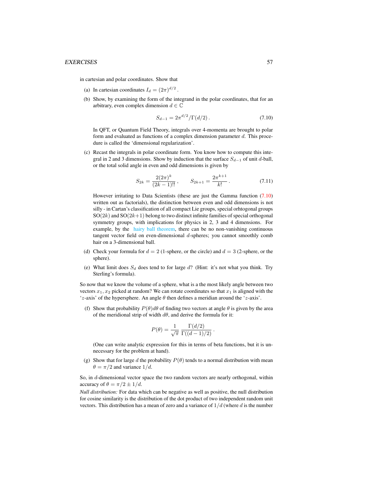in cartesian and polar coordinates. Show that

- (a) In cartesian coordinates  $I_d = (2\pi)^{d/2}$ .
- (b) Show, by examining the form of the integrand in the polar coordinates, that for an arbitrary, even complex dimension  $d \in \mathbb{C}$

<span id="page-56-0"></span>
$$
S_{d-1} = 2\pi^{d/2} / \Gamma(d/2). \tag{7.10}
$$

In QFT, or Quantum Field Theory, integrals over 4-momenta are brought to polar form and evaluated as functions of a complex dimension parameter d. This procedure is called the 'dimensional regularization'.

(c) Recast the integrals in polar coordinate form. You know how to compute this integral in 2 and 3 dimensions. Show by induction that the surface  $S_{d-1}$  of unit d-ball, or the total solid angle in even and odd dimensions is given by

$$
S_{2k} = \frac{2(2\pi)^k}{(2k-1)!!}, \qquad S_{2k+1} = \frac{2\pi^{k+1}}{k!}.
$$
 (7.11)

However irritating to Data Scientists (these are just the Gamma function [\(7.10\)](#page-56-0) written out as factorials), the distinction between even and odd dimensions is not silly - in Cartan's classification of all compact Lie groups, special orhtogonal groups  $SO(2k)$  and  $SO(2k+1)$  belong to two distinct infinite families of special orthogonal symmetry groups, with implications for physics in 2, 3 and 4 dimensions. For example, by the [hairy ball theorem,](http://www.newscientist.com/blogs/nstv/2011/12/one-minute-math-why-you-cant-comb-a-hairy-ball.html) there can be no non-vanishing continuous tangent vector field on even-dimensional d-spheres; you cannot smoothly comb hair on a 3-dimensional ball.

- (d) Check your formula for  $d = 2$  (1-sphere, or the circle) and  $d = 3$  (2-sphere, or the sphere).
- (e) What limit does  $S_d$  does tend to for large  $d$ ? (Hint: it's not what you think. Try Sterling's formula).

So now that we know the volume of a sphere, what is a the most likely angle between two vectors  $x_1, x_2$  picked at random? We can rotate coordinates so that  $x_1$  is aligned with the 'z-axis' of the hypersphere. An angle  $\theta$  then defines a meridian around the 'z-axis'.

(f) Show that probability  $P(\theta)d\theta$  of finding two vectors at angle  $\theta$  is given by the area of the meridional strip of width  $d\theta$ , and derive the formula for it:

$$
P(\theta) = \frac{1}{\sqrt{\pi}} \frac{\Gamma(d/2)}{\Gamma((d-1)/2)}.
$$

(One can write analytic expression for this in terms of beta functions, but it is unnecessary for the problem at hand).

(g) Show that for large d the probability  $P(\theta)$  tends to a normal distribution with mean  $\theta = \pi/2$  and variance  $1/d$ .

So, in d-dimensional vector space the two random vectors are nearly orthogonal, within accuracy of  $\theta = \pi/2 \pm 1/d$ .

*Null distribution:* For data which can be negative as well as positive, the null distribution for cosine similarity is the distribution of the dot product of two independent random unit vectors. This distribution has a mean of zero and a variance of  $1/d$  (where d is the number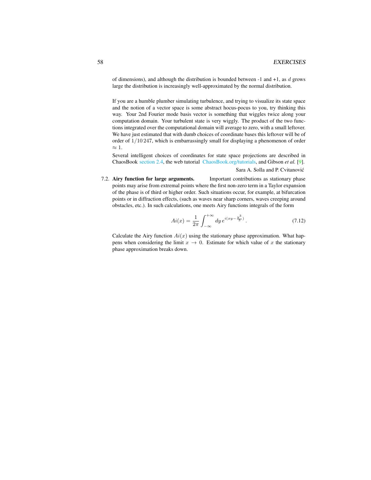of dimensions), and although the distribution is bounded between  $-1$  and  $+1$ , as d grows large the distribution is increasingly well-approximated by the normal distribution.

If you are a humble plumber simulating turbulence, and trying to visualize its state space and the notion of a vector space is some abstract hocus-pocus to you, try thinking this way. Your 2nd Fourier mode basis vector is something that wiggles twice along your computation domain. Your turbulent state is very wiggly. The product of the two functions integrated over the computational domain will average to zero, with a small leftover. We have just estimated that with dumb choices of coordinate bases this leftover will be of order of 1/10 247, which is embarrassingly small for displaying a phenomenon of order  $\approx 1$ .

Several intelligent choices of coordinates for state space projections are described in ChaosBook [section 2.4,](http://ChaosBook.org/chapters/ChaosBook.pdf#section.2.4) the web tutorial [ChaosBook.org/tutorials,](http://ChaosBook.org/tutorials) and Gibson *et al.* [\[9\]](#page-55-6).

#### Sara A. Solla and P. Cvitanovic´

<span id="page-57-0"></span>7.2. Airy function for large arguments. Important contributions as stationary phase points may arise from extremal points where the first non-zero term in a Taylor expansion of the phase is of third or higher order. Such situations occur, for example, at bifurcation points or in diffraction effects, (such as waves near sharp corners, waves creeping around obstacles, etc.). In such calculations, one meets Airy functions integrals of the form

$$
Ai(x) = \frac{1}{2\pi} \int_{-\infty}^{+\infty} dy \, e^{i(xy - \frac{y^3}{3})} \,. \tag{7.12}
$$

Calculate the Airy function  $Ai(x)$  using the stationary phase approximation. What happens when considering the limit  $x \to 0$ . Estimate for which value of x the stationary phase approximation breaks down.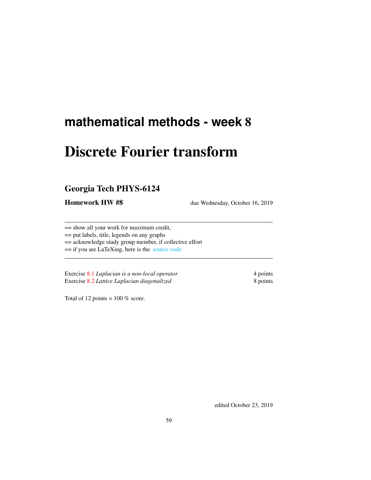# Discrete Fourier transform

# Georgia Tech PHYS-6124

Homework HW #8 due Wednesday, October 16, 2019

== show all your work for maximum credit,

== put labels, title, legends on any graphs

== acknowledge study group member, if collective effort

== if you are LaTeXing, here is the [source code](http://chaosbook.org/~predrag/courses/PHYS-6124-19/exerWeek8.tex)

Exercise [8.1](#page-59-0) *Laplacian is a non-local operator* 4 points Exercise [8.2](#page-60-0) *Lattice Laplacian diagonalized* 8 points

Total of 12 points =  $100\%$  score.

edited October 23, 2019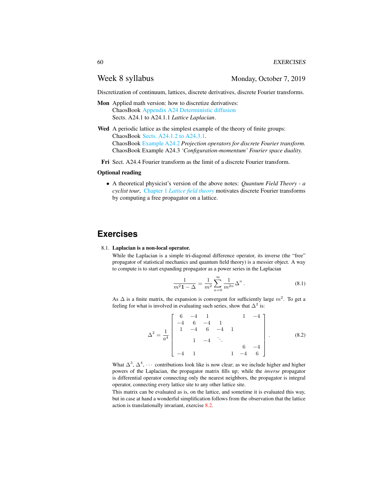## Week 8 syllabus Monday, October 7, 2019

Discretization of continuum, lattices, discrete derivatives, discrete Fourier transforms.

- Mon Applied math version: how to discretize derivatives: ChaosBook [Appendix A24 Deterministic diffusion](http://ChaosBook.org/chapters/ChaosBook.pdf#appendix.X) Sects. A24.1 to A24.1.1 *Lattice Laplacian*.
- Wed A periodic lattice as the simplest example of the theory of finite groups: ChaosBook [Sects. A24.1.2 to A24.3.1.](http://ChaosBook.org/chapters/ChaosBook.pdf#section.X.1) ChaosBook [Example A24.2](http://ChaosBook.org/chapters/ChaosBook.pdf#section.X.6) *Projection operators for discrete Fourier transform.* ChaosBook Example A24.3 *'Configuration-momentum' Fourier space duality.*
- Fri Sect. A24.4 Fourier transform as the limit of a discrete Fourier transform.

### Optional reading

• A theoretical physicist's version of the above notes: *Quantum Field Theory - a cyclist tour*, Chapter 1 *[Lattice field theory](http://chaosbook.org/FieldTheory/QMlectures/lectQM.pdf#chapter.1)* motivates discrete Fourier transforms by computing a free propagator on a lattice.

# **Exercises**

#### <span id="page-59-0"></span>8.1. Laplacian is a non-local operator.

While the Laplacian is a simple tri-diagonal difference operator, its inverse (the "free" propagator of statistical mechanics and quantum field theory) is a messier object. A way to compute is to start expanding propagator as a power series in the Laplacian

<span id="page-59-1"></span>
$$
\frac{1}{m^2 \mathbf{1} - \Delta} = \frac{1}{m^2} \sum_{n=0}^{\infty} \frac{1}{m^{2n}} \Delta^n.
$$
 (8.1)

As  $\Delta$  is a finite matrix, the expansion is convergent for sufficiently large  $m^2$ . To get a feeling for what is involved in evaluating such series, show that  $\Delta^2$  is:

$$
\Delta^{2} = \frac{1}{a^{4}} \begin{bmatrix} 6 & -4 & 1 & 1 & -4 \\ -4 & 6 & -4 & 1 & \\ 1 & -4 & 6 & -4 & 1 \\ & & 1 & -4 & \ddots & \\ & & & 6 & -4 \\ -4 & 1 & & 1 & -4 & 6 \end{bmatrix} .
$$
 (8.2)

What  $\Delta^3$ ,  $\Delta^4$ ,  $\cdots$  contributions look like is now clear; as we include higher and higher powers of the Laplacian, the propagator matrix fills up; while the *inverse* propagator is differential operator connecting only the nearest neighbors, the propagator is integral operator, connecting every lattice site to any other lattice site.

This matrix can be evaluated as is, on the lattice, and sometime it is evaluated this way, but in case at hand a wonderful simplification follows from the observation that the lattice action is translationally invariant, exercise [8.2.](#page-60-0)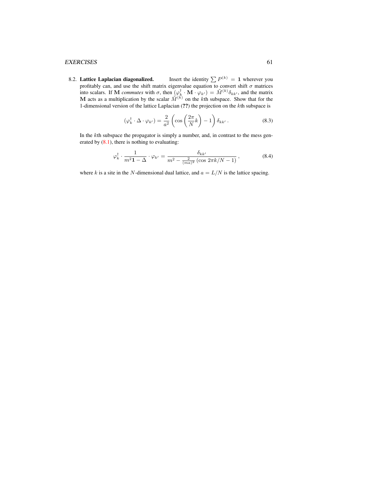### EXERCISES 61

<span id="page-60-0"></span>8.2. Lattice Laplacian diagonalized. Insert the identity  $\sum P^{(k)} = 1$  wherever you profitably can, and use the shift matrix eigenvalue equation to convert shift  $\sigma$  matrices into scalars. If M *commutes* with  $\sigma$ , then  $(\varphi_k^{\dagger} \cdot M \cdot \varphi_{k'}) = \tilde{M}^{(k)} \delta_{kk'}$ , and the matrix M acts as a multiplication by the scalar  $\tilde{M}^{(k)}$  on the kth subspace. Show that for the 1-dimensional version of the lattice Laplacian (??) the projection on the kth subspace is

$$
(\varphi_k^{\dagger} \cdot \Delta \cdot \varphi_{k'}) = \frac{2}{a^2} \left( \cos \left( \frac{2\pi}{N} k \right) - 1 \right) \delta_{kk'} . \tag{8.3}
$$

In the kth subspace the propagator is simply a number, and, in contrast to the mess generated by  $(8.1)$ , there is nothing to evaluating:

$$
\varphi_k^{\dagger} \cdot \frac{1}{m^2 \mathbf{1} - \Delta} \cdot \varphi_{k'} = \frac{\delta_{kk'}}{m^2 - \frac{2}{(ma)^2} \left(\cos 2\pi k / N - 1\right)},\tag{8.4}
$$

where k is a site in the N-dimensional dual lattice, and  $a = L/N$  is the lattice spacing.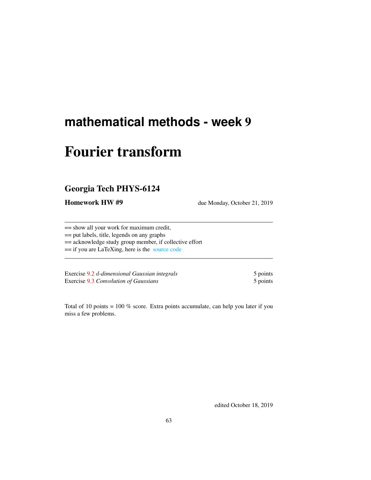# Fourier transform

# Georgia Tech PHYS-6124

Homework HW #9 due Monday, October 21, 2019

== show all your work for maximum credit,

== put labels, title, legends on any graphs

== acknowledge study group member, if collective effort

== if you are LaTeXing, here is the [source code](http://chaosbook.org/~predrag/courses/PHYS-6124-19/exerWeek9.tex)

Exercise [9.2](#page-66-0) d-dimensional Gaussian integrals 5 points Exercise [9.3](#page-66-1) *Convolution of Gaussians* 5 points 5 points

Total of 10 points = 100 % score. Extra points accumulate, can help you later if you miss a few problems.

edited October 18, 2019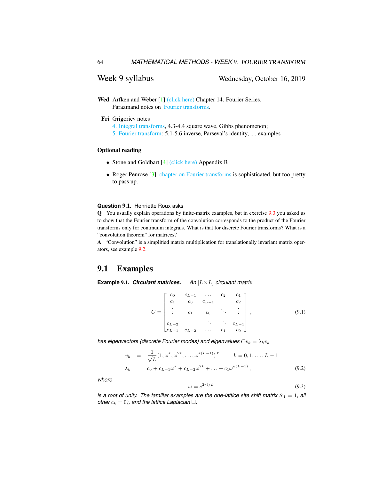# Week 9 syllabus Wednesday, October 16, 2019

- Wed Arfken and Weber [\[1\]](#page-65-0) [\(click here\)](http://ChaosBook.org/library/ArWe05chap14.pdf) Chapter 14. Fourier Series. Farazmand notes on [Fourier transforms.](http://ChaosBook.org/~predrag/courses/PHYS-6124-19/FourierLectFaraz.pdf)
	- Fri Grigoriev notes
		- [4. Integral transforms,](http://ChaosBook.org/~predrag/courses/PHYS-6124-19/ln4.pdf) 4.3-4.4 square wave, Gibbs phenomenon;
		- [5. Fourier transform:](http://ChaosBook.org/~predrag/courses/PHYS-6124-19/ln5.pdf) 5.1-5.6 inverse, Parseval's identity, ..., examples

#### Optional reading

- Stone and Goldbart [\[4\]](#page-66-2) [\(click here\)](http://ChaosBook.org/library/StGoAppB.pdf) Appendix B
- Roger Penrose [\[3\]](#page-65-1) [chapter on Fourier transforms](http://ChaosBook.org/~predrag/courses/PHYS-6124-19/Penr04-9.pdf) is sophisticated, but too pretty to pass up.

#### **Question** 9.1. Henriette Roux asks

Q You usually explain operations by finite-matrix examples, but in exercise [9.3](#page-66-1) you asked us to show that the Fourier transform of the convolution corresponds to the product of the Fourier transforms only for continuum integrals. What is that for discrete Fourier transforms? What is a "convolution theorem" for matrices?

A "Convolution" is a simplified matrix multiplication for translationally invariant matrix operators, see example [9.2.](#page-64-0)

## 9.1 Examples

**Example** 9.1. *Circulant matrices. An* [L×L] *circulant matrix*

<span id="page-63-0"></span>
$$
C = \begin{bmatrix} c_0 & c_{L-1} & \dots & c_2 & c_1 \\ c_1 & c_0 & c_{L-1} & c_2 \\ \vdots & c_1 & c_0 & \ddots & \vdots \\ c_{L-2} & \ddots & c_{L-1} & c_0 \end{bmatrix},
$$
(9.1)

*has eigenvectors (discrete Fourier modes) and eigenvalues*  $Cv_k = \lambda_k v_k$ 

$$
v_k = \frac{1}{\sqrt{L}} (1, \omega^k, \omega^{2k}, \dots, \omega^{k(L-1)})^{\mathrm{T}}, \qquad k = 0, 1, \dots, L-1
$$
  

$$
\lambda_k = c_0 + c_{L-1} \omega^k + c_{L-2} \omega^{2k} + \dots + c_1 \omega^{k(L-1)}, \qquad (9.2)
$$

*where*

$$
=e^{2\pi i/L} \tag{9.3}
$$

*is a root of unity. The familiar examples are the one-lattice site shift matrix*  $(c_1 = 1,$  *all other*  $c_k = 0$ *), and the lattice Laplacian*  $\Box$ *.* 

 $\omega$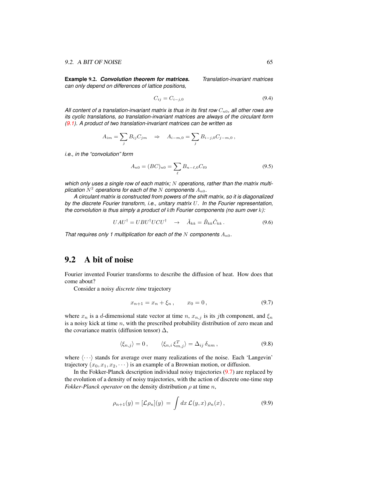<span id="page-64-0"></span>**Example** 9.2. *Convolution theorem for matrices. Translation-invariant matrices can only depend on differences of lattice positions,*

$$
C_{ij} = C_{i-j,0} \tag{9.4}
$$

All content of a translation-invariant matrix is thus in its first row  $C_{n0}$ , all other rows are *its cyclic translations, so translation-invariant matrices are always of the circulant form [\(9.1\)](#page-63-0). A product of two translation-invariant matrices can be written as*

$$
A_{im} = \sum_{j} B_{ij} C_{jm} \Rightarrow A_{i-m,0} = \sum_{j} B_{i-j,0} C_{j-m,0},
$$

*i.e., in the "convolution" form*

$$
A_{n0} = (BC)_{n0} = \sum_{\ell} B_{n-\ell,0} C_{\ell 0}
$$
\n(9.5)

which only uses a single row of each matrix; N operations, rather than the matrix multiplication  $N^2$  operations for each of the  $N$  components  $A_{n0}$ .

*A circulant matrix is constructed from powers of the shift matrix, so it is diagonalized by the discrete Fourier transform, i.e., unitary matrix* U*. In the Fourier representation, the convolution is thus simply a product of* k*th Fourier components (no sum over* k*):*

$$
UAU^{\dagger} = UBU^{\dagger}UCU^{\dagger} \quad \rightarrow \quad \tilde{A}_{kk} = \tilde{B}_{kk}\tilde{C}_{kk} \,. \tag{9.6}
$$

*That requires only 1 multiplication for each of the* N *components*  $A_{n0}$ *.* 

# 9.2 A bit of noise

Fourier invented Fourier transforms to describe the diffusion of heat. How does that come about?

Consider a noisy *discrete time* trajectory

<span id="page-64-1"></span>
$$
x_{n+1} = x_n + \xi_n, \qquad x_0 = 0,
$$
\n(9.7)

where  $x_n$  is a d-dimensional state vector at time n,  $x_{n,j}$  is its jth component, and  $\xi_n$ is a noisy kick at time  $n$ , with the prescribed probability distribution of zero mean and the covariance matrix (diffusion tensor)  $\Delta$ ,

<span id="page-64-2"></span>
$$
\langle \xi_{n,j} \rangle = 0, \qquad \langle \xi_{n,i} \, \xi_{m,j}^T \rangle = \Delta_{ij} \, \delta_{nm} \,, \tag{9.8}
$$

where  $\langle \cdots \rangle$  stands for average over many realizations of the noise. Each 'Langevin' trajectory  $(x_0, x_1, x_2, \dots)$  is an example of a Brownian motion, or diffusion.

In the Fokker-Planck description individual noisy trajectories [\(9.7\)](#page-64-1) are replaced by the evolution of a density of noisy trajectories, with the action of discrete one-time step *Fokker-Planck operator* on the density distribution  $\rho$  at time n,

<span id="page-64-3"></span>
$$
\rho_{n+1}(y) = [\mathcal{L}\rho_n](y) = \int dx \, \mathcal{L}(y,x) \, \rho_n(x) \,, \tag{9.9}
$$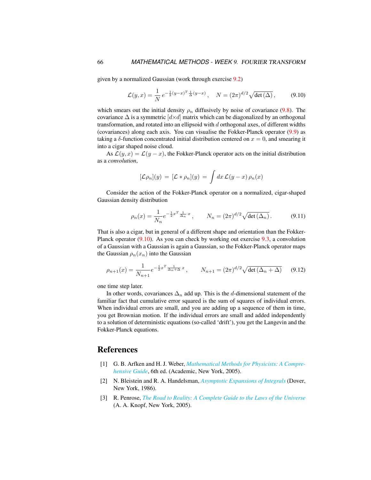given by a normalized Gaussian (work through exercise [9.2\)](#page-66-0)

<span id="page-65-2"></span>
$$
\mathcal{L}(y,x) = \frac{1}{N} e^{-\frac{1}{2}(y-x)^T \frac{1}{\Delta}(y-x)}, \quad N = (2\pi)^{d/2} \sqrt{\det(\Delta)}, \quad (9.10)
$$

which smears out the initial density  $\rho_n$  diffusively by noise of covariance [\(9.8\)](#page-64-2). The covariance  $\Delta$  is a symmetric  $\left[ d \times d \right]$  matrix which can be diagonalized by an orthogonal transformation, and rotated into an ellipsoid with d orthogonal axes, of different widths (covariances) along each axis. You can visualise the Fokker-Planck operator [\(9.9\)](#page-64-3) as taking a  $\delta$ -function concentrated initial distribution centered on  $x = 0$ , and smearing it into a cigar shaped noise cloud.

As  $\mathcal{L}(y, x) = \mathcal{L}(y - x)$ , the Fokker-Planck operator acts on the initial distribution as a *convolution*,

$$
[\mathcal{L}\rho_n](y) = [\mathcal{L} * \rho_n](y) = \int dx \, \mathcal{L}(y-x) \, \rho_n(x)
$$

Consider the action of the Fokker-Planck operator on a normalized, cigar-shaped Gaussian density distribution

$$
\rho_n(x) = \frac{1}{N_n} e^{-\frac{1}{2}x^T \frac{1}{\Delta_n} x}, \qquad N_n = (2\pi)^{d/2} \sqrt{\det(\Delta_n)}.
$$
 (9.11)

That is also a cigar, but in general of a different shape and orientation than the Fokker-Planck operator [\(9.10\)](#page-65-2). As you can check by working out exercise [9.3,](#page-66-1) a convolution of a Gaussian with a Gaussian is again a Gaussian, so the Fokker-Planck operator maps the Gaussian  $\rho_n(x_n)$  into the Gaussian

$$
\rho_{n+1}(x) = \frac{1}{N_{n+1}} e^{-\frac{1}{2}x^T \frac{1}{\Delta_n + \Delta} x}, \qquad N_{n+1} = (2\pi)^{d/2} \sqrt{\det(\Delta_n + \Delta)} \tag{9.12}
$$

one time step later.

In other words, covariances  $\Delta_n$  add up. This is the d-dimensional statement of the familiar fact that cumulative error squared is the sum of squares of individual errors. When individual errors are small, and you are adding up a sequence of them in time, you get Brownian motion. If the individual errors are small and added independently to a solution of deterministic equations (so-called 'drift'), you get the Langevin and the Fokker-Planck equations.

## References

- <span id="page-65-0"></span>[1] G. B. Arfken and H. J. Weber, *[Mathematical Methods for Physicists: A Compre](http://books.google.com/books?vid=ISBN9780120598762)[hensive Guide](http://books.google.com/books?vid=ISBN9780120598762)*, 6th ed. (Academic, New York, 2005).
- <span id="page-65-3"></span>[2] N. Bleistein and R. A. Handelsman, *[Asymptotic Expansions of Integrals](http://books.google.com/books?vid=ISBN9780486650821)* (Dover, New York, 1986).
- <span id="page-65-1"></span>[3] R. Penrose, *[The Road to Reality: A Complete Guide to the Laws of the Universe](http://books.google.com/books?vid=ISBN9781446418208)* (A. A. Knopf, New York, 2005).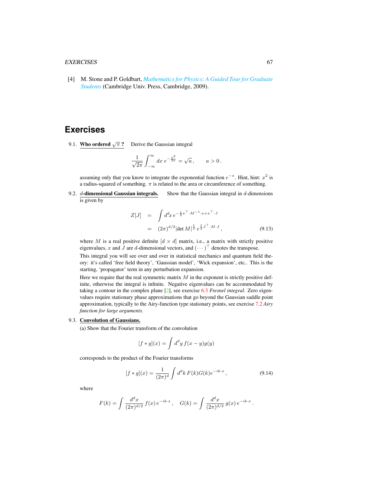#### EXERCISES 67

<span id="page-66-2"></span>[4] M. Stone and P. Goldbart, *[Mathematics for Physics: A Guided Tour for Graduate](http://dx.doi.org/10.1017/cbo9780511627040) [Students](http://dx.doi.org/10.1017/cbo9780511627040)* (Cambridge Univ. Press, Cambridge, 2009).

# **Exercises**

9.1. **Who ordered**  $\sqrt{\pi}$  ? Derive the Gaussian integral

$$
\frac{1}{\sqrt{2\pi}}\int_{-\infty}^{\infty}dx\;e^{-\frac{x^2}{2a}}=\sqrt{a}\,,\qquad a>0\,.
$$

assuming only that you know to integrate the exponential function  $e^{-x}$ . Hint, hint:  $x^2$  is a radius-squared of something.  $\pi$  is related to the area or circumference of something.

<span id="page-66-0"></span>9.2.  $d$ -dimensional Gaussian integrals. Show that the Gaussian integral in  $d$ -dimensions is given by

$$
Z[J] = \int d^d x \, e^{-\frac{1}{2}x^\top \cdot M^{-1} \cdot x + x^\top \cdot J} = (2\pi)^{d/2} |\det M|^{\frac{1}{2}} e^{\frac{1}{2} J^\top \cdot M \cdot J},
$$
(9.13)

where M is a real positive definite  $[d \times d]$  matrix, i.e., a matrix with strictly positive eigenvalues, x and J are d-dimensional vectors, and  $(\cdots)^{\top}$  denotes the transpose.

This integral you will see over and over in statistical mechanics and quantum field theory: it's called 'free field theory', 'Gaussian model', 'Wick expansion', etc.. This is the starting, 'propagator' term in any perturbation expansion.

Here we require that the real symmetric matrix  $M$  in the exponent is strictly positive definite, otherwise the integral is infinite. Negative eigenvalues can be accommodated by taking a contour in the complex plane [\[2\]](#page-65-3), see exercise [6.3](#page-48-1) *Fresnel integral*. Zero eigenvalues require stationary phase approximations that go beyond the Gaussian saddle point approximation, typically to the Airy-function type stationary points, see exercise [7.2](#page-57-0) *Airy function for large arguments*.

### <span id="page-66-1"></span>9.3. Convolution of Gaussians.

(a) Show that the Fourier transform of the convolution

$$
[f * g](x) = \int d^d y f(x - y)g(y)
$$

corresponds to the product of the Fourier transforms

$$
[f * g](x) = \frac{1}{(2\pi)^d} \int d^d k F(k) G(k) e^{-ik \cdot x}, \qquad (9.14)
$$

where

$$
F(k) = \int \frac{d^d x}{(2\pi)^{d/2}} f(x) e^{-ik \cdot x}, \quad G(k) = \int \frac{d^d x}{(2\pi)^{d/2}} g(x) e^{-ik \cdot x}.
$$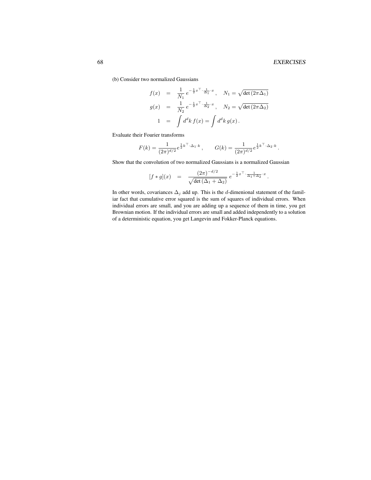(b) Consider two normalized Gaussians

$$
f(x) = \frac{1}{N_1} e^{-\frac{1}{2}x^{\top} \cdot \frac{1}{\Delta_1} \cdot x}, \quad N_1 = \sqrt{\det(2\pi\Delta_1)}
$$
  

$$
g(x) = \frac{1}{N_2} e^{-\frac{1}{2}x^{\top} \cdot \frac{1}{\Delta_2} \cdot x}, \quad N_2 = \sqrt{\det(2\pi\Delta_2)}
$$
  

$$
1 = \int d^d k f(x) = \int d^d k g(x).
$$

Evaluate their Fourier transforms

$$
F(k) = \frac{1}{(2\pi)^{d/2}} e^{\frac{1}{2}k^{\top} \cdot \Delta_1 \cdot k}, \qquad G(k) = \frac{1}{(2\pi)^{d/2}} e^{\frac{1}{2}k^{\top} \cdot \Delta_2 \cdot k}.
$$

Show that the convolution of two normalized Gaussians is a normalized Gaussian

$$
[f * g](x) = \frac{(2\pi)^{-d/2}}{\sqrt{\det(\Delta_1 + \Delta_2)}} e^{-\frac{1}{2}x^{\top} \cdot \frac{1}{\Delta_1 + \Delta_2} \cdot x}.
$$

In other words, covariances  $\Delta_j$  add up. This is the d-dimenional statement of the familiar fact that cumulative error squared is the sum of squares of individual errors. When individual errors are small, and you are adding up a sequence of them in time, you get Brownian motion. If the individual errors are small and added independently to a solution of a deterministic equation, you get Langevin and Fokker-Planck equations.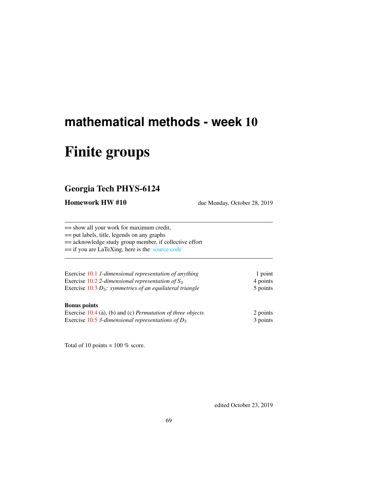# Finite groups

# Georgia Tech PHYS-6124

Homework HW #10 due Monday, October 28, 2019

== show all your work for maximum credit,

== put labels, title, legends on any graphs

== acknowledge study group member, if collective effort

== if you are LaTeXing, here is the [source code](http://chaosbook.org/~predrag/courses/PHYS-6124-19/exerWeek10.tex)

| Exercise 10.1 1-dimensional representation of anything      | 1 point  |
|-------------------------------------------------------------|----------|
| Exercise 10.2 2-dimensional representation of $S_3$         | 4 points |
| Exercise $10.3 D_3$ : symmetries of an equilateral triangle | 5 points |
|                                                             |          |

## Bonus points

| Exercise $10.4$ (a), (b) and (c) <i>Permutation of three objects</i> | 2 points |
|----------------------------------------------------------------------|----------|
| Exercise 10.5 3-dimensional representations of $D_3$                 | 3 points |

Total of 10 points =  $100\%$  score.

edited October 23, 2019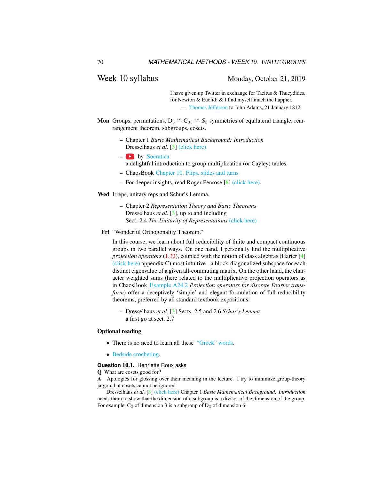## Week 10 syllabus Monday, October 21, 2019

I have given up Twitter in exchange for Tacitus & Thucydides, for Newton & Euclid; & I find myself much the happier. — [Thomas Jefferson](https://founders.archives.gov/documents/Jefferson/03-04-02-0334) to John Adams, 21 January 1812

- **Mon** Groups, permutations,  $D_3 \cong C_{3v} \cong S_3$  symmetries of equilateral triangle, rearrangement theorem, subgroups, cosets.
	- Chapter 1 *Basic Mathematical Background: Introduction* Dresselhaus *et al.* [\[3\]](#page-74-0) [\(click here\)](http://ChaosBook.org/library/Dresselhaus07.pdf)
	- $-$  by [Socratica:](https://www.youtube.com/playlist?list=PLi01XoE8jYoi3SgnnGorR_XOW3IcK-TP6)
		- a delightful introduction to group multiplication (or Cayley) tables.
	- ChaosBook [Chapter 10. Flips, slides and turns](http://ChaosBook.org/chapters/ChaosBook.pdf#chapter.10)
	- For deeper insights, read Roger Penrose [\[8\]](#page-74-1) [\(click here\).](http://ChaosBook.org/library/Penr04-13.pdf)

Wed Irreps, unitary reps and Schur's Lemma.

- Chapter 2 *Representation Theory and Basic Theorems* Dresselhaus *et al.* [\[3\]](#page-74-0), up to and including Sect. 2.4 *The Unitarity of Representations* [\(click here\)](http://ChaosBook.org/library/Dresselhaus07sect2_4.pdf)
- Fri "Wonderful Orthogonality Theorem."

In this course, we learn about full reducibility of finite and compact continuous groups in two parallel ways. On one hand, I personally find the multiplicative *projection operators* [\(1.32\)](#page-13-0), coupled with the notion of class algebras (Harter [\[4\]](#page-74-2) [\(click here\)](http://ChaosBook.org/library/Harter78.pdf) appendix C) most intuitive - a block-diagonalized subspace for each distinct eigenvalue of a given all-commuting matrix. On the other hand, the character weighted sums (here related to the multiplicative projection operators as in ChaosBook [Example A24.2](http://ChaosBook.org/chapters/ChaosBook.pdf#section.X.6) *Projection operators for discrete Fourier transform*) offer a deceptively 'simple' and elegant formulation of full-reducibility theorems, preferred by all standard textbook expositions:

– Dresselhaus *et al.* [\[3\]](#page-74-0) Sects. 2.5 and 2.6 *Schur's Lemma*. a first go at sect. 2.7

#### Optional reading

- There is no need to learn all these ["Greek" words.](http://www.theonion.com/articles/historians-admit-to-inventing-ancient-greeks,18209/)
- [Bedside crocheting.](http://www.theiff.org/oexhibits/oe1e.html)

#### **Question** 10.1. Henriette Roux asks

Q What are cosets good for?

A Apologies for glossing over their meaning in the lecture. I try to minimize group-theory jargon, but cosets cannot be ignored.

Dresselhaus *et al.* [\[3\]](#page-74-0) [\(click here\)](http://ChaosBook.org/library/Dresselhaus07.pdf) Chapter 1 *Basic Mathematical Background: Introduction* needs them to show that the dimension of a subgroup is a divisor of the dimension of the group. For example,  $C_3$  of dimension 3 is a subgroup of  $D_3$  of dimension 6.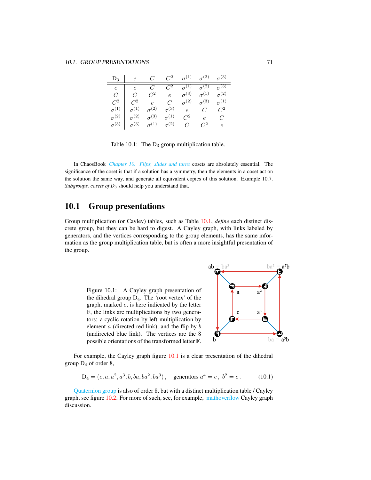| $D_3$    e C C <sup>2</sup> $\sigma$ <sup>(1)</sup> $\sigma$ <sup>(2)</sup> $\sigma$ <sup>(3)</sup> |  |  |                                                                                                                                                                                                                                                                                                                                                                                                                                         |
|-----------------------------------------------------------------------------------------------------|--|--|-----------------------------------------------------------------------------------------------------------------------------------------------------------------------------------------------------------------------------------------------------------------------------------------------------------------------------------------------------------------------------------------------------------------------------------------|
|                                                                                                     |  |  |                                                                                                                                                                                                                                                                                                                                                                                                                                         |
|                                                                                                     |  |  |                                                                                                                                                                                                                                                                                                                                                                                                                                         |
|                                                                                                     |  |  |                                                                                                                                                                                                                                                                                                                                                                                                                                         |
|                                                                                                     |  |  |                                                                                                                                                                                                                                                                                                                                                                                                                                         |
|                                                                                                     |  |  |                                                                                                                                                                                                                                                                                                                                                                                                                                         |
|                                                                                                     |  |  | $\begin{tabular}{c cccc} $e$ & $e$ & $C$ & $C^2$ & $\sigma^{(1)}$ & $\sigma^{(2)}$ & $\sigma^{(3)}$ \\ $C$ & $C$ & $C^2$ & $e$ & $\sigma^{(3)}$ & $\sigma^{(1)}$ & $\sigma^{(2)}$ \\ $C^2$ & $C^2$ & $e$ & $C$ & $\sigma^{(2)}$ & $\sigma^{(3)}$ & $\sigma^{(1)}$ \\ $\sigma^{(1)}$ & $\sigma^{(1)}$ & $\sigma^{(2)}$ & $\sigma^{(3)}$ & $e$ & $C$ & $C^2$ \\ $\sigma^{(2)}$ & $\sigma^{(2)}$ & $\sigma^{(3)}$ & $\sigma^{(1)}$ & $C^2$ |

<span id="page-70-0"></span>Table 10.1: The  $D_3$  group multiplication table.

In ChaosBook *[Chapter 10. Flips, slides and turns](http://ChaosBook.org/chapters/ChaosBook.pdf#chapter.10)* cosets are absolutely essential. The significance of the coset is that if a solution has a symmetry, then the elements in a coset act on the solution the same way, and generate all equivalent copies of this solution. Example 10.7. *Subgroups, cosets of D*<sup>3</sup> should help you understand that.

## 10.1 Group presentations

Group multiplication (or Cayley) tables, such as Table [10.1,](#page-70-0) *define* each distinct discrete group, but they can be hard to digest. A Cayley graph, with links labeled by generators, and the vertices corresponding to the group elements, has the same information as the group multiplication table, but is often a more insightful presentation of the group.

<span id="page-70-1"></span>



For example, the Cayley graph figure [10.1](#page-70-1) is a clear presentation of the dihedral group  $D_4$  of order 8,

$$
D_4 = (e, a, a^2, a^3, b, ba, ba^2, ba^3), \quad \text{generators } a^4 = e, \ b^2 = e. \tag{10.1}
$$

[Quaternion group](https://en.wikipedia.org/wiki/Quaternion_group) is also of order 8, but with a distinct multiplication table / Cayley graph, see figure [10.2.](#page-71-0) For more of such, see, for example, [mathoverflow](https://mathoverflow.net/questions/244524/when-can-the-cayley-graph-of-the-symmetries-of-an-object-have-those-symmetries) Cayley graph discussion.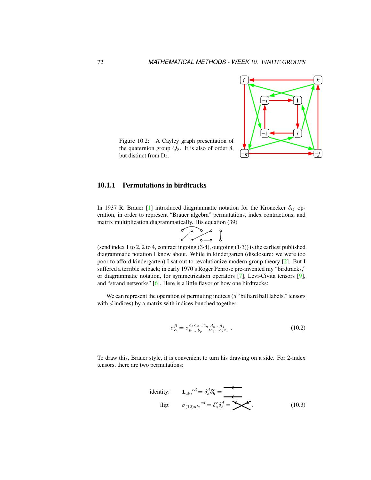

<span id="page-71-0"></span>Figure 10.2: A Cayley graph presentation of the quaternion group  $Q_8$ . It is also of order 8, but distinct from D4.

## 10.1.1 Permutations in birdtracks

In 1937 R. Brauer [\[1\]](#page-74-3) introduced diagrammatic notation for the Kronecker  $\delta_{ij}$  operation, in order to represent "Brauer algebra" permutations, index contractions, and matrix multiplication diagrammatically. His equation (39)

$$
\begin{array}{c}\n\circ \\
\circ \\
\circ \\
\circ\n\end{array}
$$

(send index 1 to 2, 2 to 4, contract ingoing  $(3.4)$ , outgoing  $(1.3)$ ) is the earliest published diagrammatic notation I know about. While in kindergarten (disclosure: we were too poor to afford kindergarten) I sat out to revolutionize modern group theory [\[2\]](#page-74-4). But I suffered a terrible setback; in early 1970's Roger Penrose pre-invented my "birdtracks," or diagrammatic notation, for symmetrization operators [\[7\]](#page-74-5), Levi-Civita tensors [\[9\]](#page-74-6), and "strand networks" [\[6\]](#page-74-7). Here is a little flavor of how one birdtracks:

We can represent the operation of permuting indices  $(d$  "billiard ball labels," tensors with  $d$  indices) by a matrix with indices bunched together:

$$
\sigma_{\alpha}^{\beta} = \sigma_{b_1...b_p}^{a_1 a_2...a_q} \, d_{p...a_1}^{d_1 \dots d_1} \tag{10.2}
$$

To draw this, Brauer style, it is convenient to turn his drawing on a side. For 2-index tensors, there are two permutations:

identity: 
$$
\mathbf{1}_{ab}
$$
,  $^{cd} = \delta_a^d \delta_b^c =$   
flip:  $\sigma_{(12)ab}$ ,  $^{cd} = \delta_a^c \delta_b^d =$   $\blacktriangleright$  (10.3)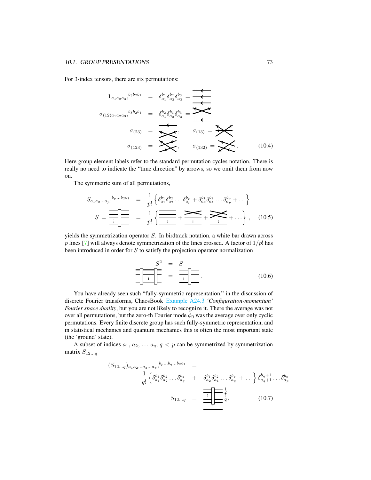For 3-index tensors, there are six permutations:

$$
1_{a_1 a_2 a_3},^{b_3 b_2 b_1} = \delta_{a_1}^{b_1} \delta_{a_2}^{b_2} \delta_{a_3}^{b_3} = \n\overbrace{\leftarrow{\sigma_{(12)a_1 a_2 a_3}},^{b_3 b_2 b_1}} = \delta_{a_1}^{b_2} \delta_{a_2}^{b_3} \delta_{a_3}^{b_3} = \n\overbrace{\leftarrow{\sigma_{(13)}} = \n\overbrace{\sigma_{(13)}} = \n\overbrace{\sigma_{(132)}} = \n\overbrace{\sigma_{(132)}} = \n\overbrace{\sigma_{(133)}} = \n\overbrace{\sigma_{(134)}} \n(10.4)
$$

Here group element labels refer to the standard permutation cycles notation. There is really no need to indicate the "time direction" by arrows, so we omit them from now on.

The symmetric sum of all permutations,

$$
S_{a_1 a_2 \ldots a_p},^{b_p \ldots b_2 b_1} = \frac{1}{p!} \left\{ \delta_{a_1}^{b_1} \delta_{a_2}^{b_2} \ldots \delta_{a_p}^{b_p} + \delta_{a_2}^{b_1} \delta_{a_1}^{b_2} \ldots \delta_{a_p}^{b_p} + \ldots \right\}
$$

$$
S = \frac{1}{\frac{1}{p!} \left\{ \frac{1}{\frac{1}{p!} + \frac{1}{p!} + \frac{1}{p!} + \frac{1}{p!} + \cdots \right\}}, \quad (10.5)
$$

yields the symmetrization operator S. In birdtrack notation, a white bar drawn across p lines [\[7\]](#page-74-0) will always denote symmetrization of the lines crossed. A factor of  $1/p!$  has been introduced in order for S to satisfy the projection operator normalization

$$
S^2 = S
$$
  
\n
$$
\boxed{\cdot \cdot \cdot \cdot \cdot}
$$
\n
$$
= \frac{S}{\cdot \cdot \cdot}
$$
\n(10.6)

You have already seen such "fully-symmetric representation," in the discussion of discrete Fourier transforms, ChaosBook [Example A24.3](http://ChaosBook.org/chapters/ChaosBook.pdf#section.X.6) *'Configuration-momentum' Fourier space duality*, but you are not likely to recognize it. There the average was not over all permutations, but the zero-th Fourier mode  $\phi_0$  was the average over only cyclic permutations. Every finite discrete group has such fully-symmetric representation, and in statistical mechanics and quantum mechanics this is often the most important state (the 'ground' state).

A subset of indices  $a_1, a_2, \ldots a_q, q < p$  can be symmetrized by symmetrization matrix  $S_{12...q}$ 

$$
(S_{12...q})_{a_1a_2...a_q...a_p},^{b_p...b_q...b_2b_1} = \frac{1}{q!} \left\{ \delta_{a_1}^{b_1} \delta_{a_2}^{b_2} \dots \delta_{a_q}^{b_q} + \delta_{a_2}^{b_1} \delta_{a_1}^{b_2} \dots \delta_{a_q}^{b_q} + \dots \right\} \delta_{a_q+1}^{b_q+1} \dots \delta_{a_p}^{b_p}
$$

$$
S_{12...q} = \frac{1}{\frac{1}{q!} \prod_{i=1}^{q} \frac{1}{q}}.
$$
 (10.7)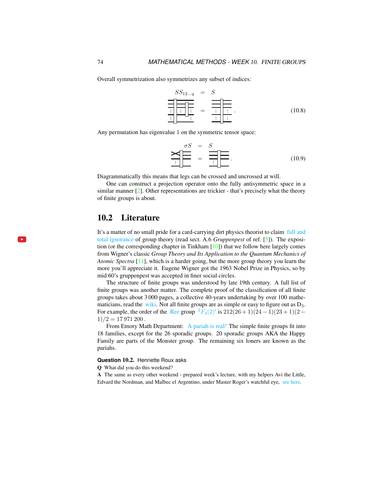Overall symmetrization also symmetrizes any subset of indices:

$$
SS_{12...q} = S
$$
  
\n
$$
\frac{\frac{\sqrt{S_{12...q}}}{\frac{\sqrt{S_{12...q}}}{\frac{\sqrt{S_{12...q}}}{\frac{\sqrt{S_{12...q}}}{\frac{\sqrt{S_{12...q}}}{\frac{\sqrt{S_{12...q}}}{\frac{\sqrt{S_{12...q}}}{\frac{\sqrt{S_{12...q}}}{\frac{\sqrt{S_{12...q}}}{\frac{\sqrt{S_{12...q}}}{\frac{\sqrt{S_{12...q}}}{\frac{\sqrt{S_{12...q}}}{\frac{\sqrt{S_{12...q}}}{\frac{\sqrt{S_{12...q}}}{\frac{\sqrt{S_{12...q}}}{\frac{\sqrt{S_{12...q}}}{\frac{\sqrt{S_{12...q}}}{\frac{\sqrt{S_{12...q}}}{\frac{\sqrt{S_{12...q}}}{\frac{\sqrt{S_{12...q}}}{\frac{\sqrt{S_{12...q}}}{\frac{\sqrt{S_{12...q}}}{\frac{\sqrt{S_{12...q}}}{\frac{\sqrt{S_{12...q}}}{\frac{\sqrt{S_{12...q}}}{\frac{\sqrt{S_{12...q}}}{\frac{\sqrt{S_{12...q}}}{\frac{\sqrt{S_{12...q}}}{\frac{\sqrt{S_{12...q}}}{\frac{\sqrt{S_{12...q}}}{\frac{\sqrt{S_{12...q}}}{\frac{\sqrt{S_{12...q}}}{\frac{\sqrt{S_{12...q}}}{\frac{\sqrt{S_{12...q}}}{\frac{\sqrt{S_{12...q}}}{\frac{\sqrt{S_{12...q}}}{\frac{\sqrt{S_{12...q}}}{\frac{\sqrt{S_{12...q}}}{\frac{\sqrt{S_{12...q}}}{\frac{\sqrt{S_{12...q}}}{\frac{\sqrt{S_{12...q}}}{\frac{\sqrt{S_{12...q}}}{\frac{\sqrt{S_{12...q}}}{\frac{\sqrt{S_{12...q}}}{\frac{\sqrt{S_{12...q}}}{\frac{\sqrt{S_{12...q}}}{\frac{\sqrt{S_{12...q}}}{\frac{\sqrt{S_{12...q}}}{\frac{\sqrt{S_{12...q}}}{\frac{\sqrt{S_{12...q}}}{\frac{\sqrt{S_{12...q}}}{\frac{\sqrt{S_{12...q}}}{\frac{\sqrt{S_{12...q}}}{\frac{\sqrt{S_{12...q}}}{\frac{\sqrt{S_{12...q}}}{\frac{\sqrt{S_{12...q}}}{\frac{\sqrt{S_{12
$$

Any permutation has eigenvalue 1 on the symmetric tensor space:

$$
\sum_{i} \frac{\sigma S}{\sigma} = \sum_{i} \frac{S}{\sigma} \frac{1}{\sigma} \frac{1}{\sigma} \frac{1}{\sigma} \tag{10.9}
$$

Diagrammatically this means that legs can be crossed and uncrossed at will.

One can construct a projection operator onto the fully antisymmetric space in a similar manner [\[2\]](#page-74-1). Other representations are trickier - that's precisely what the theory of finite groups is about.

#### 10.2 Literature

 $\mathbf{p}$  .

It's a matter of no small pride for a card-carrying dirt physics theorist to claim [full and](https://www.youtube.com/embed/CvuoY_yPZeM) [total ignorance](https://www.youtube.com/embed/CvuoY_yPZeM) of group theory (read sect. A.6 *Gruppenpest* of ref. [\[5\]](#page-74-2)). The exposition (or the corresponding chapter in Tinkham [\[10\]](#page-74-3)) that we follow here largely comes from Wigner's classic *Group Theory and Its Application to the Quantum Mechanics of Atomic Spectra* [\[11\]](#page-74-4), which is a harder going, but the more group theory you learn the more you'll appreciate it. Eugene Wigner got the 1963 Nobel Prize in Physics, so by mid 60's gruppenpest was accepted in finer social circles.

The structure of finite groups was understood by late 19th century. A full list of finite groups was another matter. The complete proof of the classification of all finite groups takes about 3 000 pages, a collective 40-years undertaking by over 100 mathematicians, read the [wiki.](https://en.wikipedia.org/wiki/Classification_of_finite_simple_groups) Not all finite groups are as simple or easy to figure out as  $D_3$ . For example, the order of the [Ree](https://en.wikipedia.org/wiki/List_of_finite_simple_groups) group  ${}^{2}F_{4}(2)'$  ${}^{2}F_{4}(2)'$  ${}^{2}F_{4}(2)'$  is  $212(26+1)(24-1)(23+1)(2 1)/2 = 17971200$ .

From Emory Math Department: [A pariah is real!](https://cosmosmagazine.com/mathematics/moonshine-doughnut-maths-proves-pariahs-are-real) The simple finite groups fit into 18 families, except for the 26 sporadic groups. 20 sporadic groups AKA the Happy Family are parts of the Monster group. The remaining six loners are known as the pariahs.

#### **Question** 10.2. Henriette Roux asks

Q What did you do this weekend?

A The same as every other weekend - prepared week's lecture, with my helpers Avi the Little, Edvard the Nordman, and Malbec el Argentino, under Master Roger's watchful eye, [see here.](https://flic.kr/p/2hxYHTx)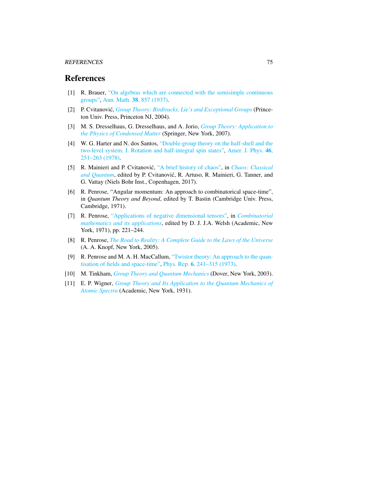#### REFERENCES 75

## References

- [1] R. Brauer, ["On algebras which are connected with the semisimple continuous](http://dx.doi.org/10.2307/1968843) [groups",](http://dx.doi.org/10.2307/1968843) Ann. Math. 38[, 857 \(1937\).](https://doi.org/10.2307/1968843)
- <span id="page-74-1"></span>[2] P. Cvitanović, *[Group Theory: Birdtracks, Lie's and Exceptional Groups](https://press.princeton.edu/titles/8839.html)* (Princeton Univ. Press, Princeton NJ, 2004).
- [3] M. S. Dresselhaus, G. Dresselhaus, and A. Jorio, *[Group Theory: Application to](http://dx.doi.org/10.1007/978-3-540-32899-5) [the Physics of Condensed Matter](http://dx.doi.org/10.1007/978-3-540-32899-5)* (Springer, New York, 2007).
- [4] W. G. Harter and N. dos Santos, ["Double-group theory on the half-shell and the](http://dx.doi.org/10.1119/1.11134) [two-level system. I. Rotation and half-integral spin states",](http://dx.doi.org/10.1119/1.11134) [Amer. J. Phys.](https://doi.org/10.1119/1.11134) 46, [251–263 \(1978\).](https://doi.org/10.1119/1.11134)
- <span id="page-74-2"></span>[5] R. Mainieri and P. Cvitanovic,´ ["A brief history of chaos",](http://ChaosBook.org/paper.shtml#appendHist) in *[Chaos: Classical](http://ChaosBook.org/paper.shtml#appendHist)* [and Quantum](http://ChaosBook.org/paper.shtml#appendHist), edited by P. Cvitanović, R. Artuso, R. Mainieri, G. Tanner, and G. Vattay (Niels Bohr Inst., Copenhagen, 2017).
- [6] R. Penrose, "Angular momentum: An approach to combinatorical space-time", in *Quantum Theory and Beyond*, edited by T. Bastin (Cambridge Univ. Press, Cambridge, 1971).
- <span id="page-74-0"></span>[7] R. Penrose, ["Applications of negative dimensional tensors",](http://homepages.math.uic.edu/~kauffman/Penrose.pdf) in *[Combinatorial](http://homepages.math.uic.edu/~kauffman/Penrose.pdf) [mathematics and its applications](http://homepages.math.uic.edu/~kauffman/Penrose.pdf)*, edited by D. J. J.A. Welsh (Academic, New York, 1971), pp. 221–244.
- [8] R. Penrose, *[The Road to Reality: A Complete Guide to the Laws of the Universe](http://books.google.com/books?vid=ISBN9781446418208)* (A. A. Knopf, New York, 2005).
- [9] R. Penrose and M. A. H. MacCallum, ["Twistor theory: An approach to the quan](http://dx.doi.org/10.1016/0370-1573(73)90008-2)[tisation of fields and space-time",](http://dx.doi.org/10.1016/0370-1573(73)90008-2) Phys. Rep. 6[, 241–315 \(1973\).](https://doi.org/10.1016/0370-1573(73)90008-2)
- <span id="page-74-3"></span>[10] M. Tinkham, *[Group Theory and Quantum Mechanics](http://dx.doi.org/10.1016/c2013-0-01646-5)* (Dover, New York, 2003).
- <span id="page-74-4"></span>[11] E. P. Wigner, *[Group Theory and Its Application to the Quantum Mechanics of](http://books.google.com/books?vid=ISBN9780323152785) [Atomic Spectra](http://books.google.com/books?vid=ISBN9780323152785)* (Academic, New York, 1931).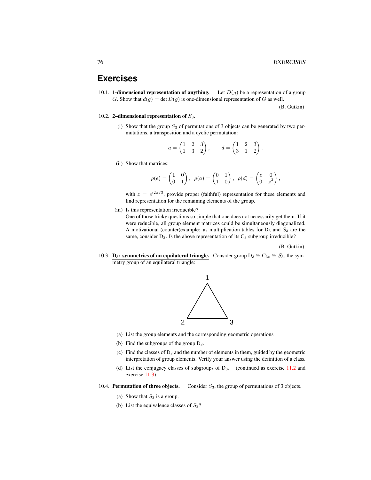## **Exercises**

10.1. **1-dimensional representation of anything.** Let  $D(g)$  be a representation of a group G. Show that  $d(g) = \det D(g)$  is one-dimensional representation of G as well.

(B. Gutkin)

.

- 10.2. 2-dimensional representation of  $S_3$ .
	- (i) Show that the group  $S_3$  of permutations of 3 objects can be generated by two permutations, a transposition and a cyclic permutation:

$$
a = \begin{pmatrix} 1 & 2 & 3 \\ 1 & 3 & 2 \end{pmatrix}, \qquad d = \begin{pmatrix} 1 & 2 & 3 \\ 3 & 1 & 2 \end{pmatrix}
$$

(ii) Show that matrices:

$$
\rho(e) = \begin{pmatrix} 1 & 0 \\ 0 & 1 \end{pmatrix}, \ \ \rho(a) = \begin{pmatrix} 0 & 1 \\ 1 & 0 \end{pmatrix}, \ \ \rho(d) = \begin{pmatrix} z & 0 \\ 0 & z^2 \end{pmatrix},
$$

with  $z = e^{i2\pi/3}$ , provide proper (faithful) representation for these elements and find representation for the remaining elements of the group.

(iii) Is this representation irreducible?

One of those tricky questions so simple that one does not necessarily get them. If it were reducible, all group element matrices could be simultaneously diagonalized. A motivational (counter)example: as multiplication tables for  $D_3$  and  $S_3$  are the same, consider  $D_3$ . Is the above representation of its  $C_3$  subgroup irreducible?

(B. Gutkin)

<span id="page-75-0"></span>10.3. **D<sub>3</sub>: symmetries of an equilateral triangle.** Consider group D<sub>3</sub>  $\cong$  C<sub>3v</sub>  $\cong$  S<sub>3</sub>, the symmetry group of an equilateral triangle:



- (a) List the group elements and the corresponding geometric operations
- (b) Find the subgroups of the group  $D_3$ .
- (c) Find the classes of  $D_3$  and the number of elements in them, guided by the geometric interpretation of group elements. Verify your answer using the definition of a class.
- (d) List the conjugacy classes of subgroups of  $D_3$ . (continued as exercise [11.2](#page-81-0) and exercise [11.3\)](#page-82-0)
- 10.4. Permutation of three objects. Consider  $S_3$ , the group of permutations of 3 objects.
	- (a) Show that  $S_3$  is a group.
	- (b) List the equivalence classes of  $S_3$ ?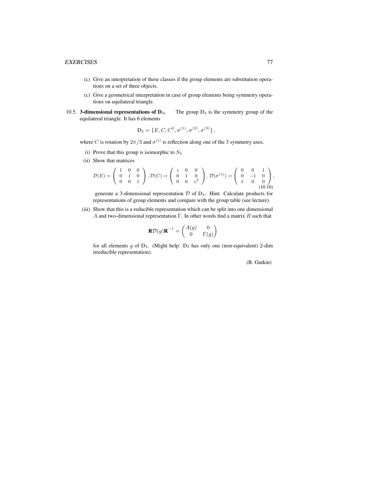- (c) Give an interpretation of these classes if the group elements are substitution operations on a set of three objects.
- (c) Give a geometrical interpretation in case of group elements being symmetry operations on equilateral triangle.
- 10.5. **3-dimensional representations of D**<sub>3</sub>. The group  $D_3$  is the symmetry group of the equilateral triangle. It has 6 elements

$$
D_3 = \{E, C, C^2, \sigma^{(1)}, \sigma^{(2)}, \sigma^{(3)}\},\,
$$

where C is rotation by  $2\pi/3$  and  $\sigma^{(i)}$  is reflection along one of the 3 symmetry axes.

- (i) Prove that this group is isomorphic to  $S_3$
- (ii) Show that matrices

$$
\mathcal{D}(E) = \begin{pmatrix} 1 & 0 & 0 \\ 0 & 1 & 0 \\ 0 & 0 & 1 \end{pmatrix}, \mathcal{D}(C) = \begin{pmatrix} z & 0 & 0 \\ 0 & 1 & 0 \\ 0 & 0 & z^2 \end{pmatrix}, \mathcal{D}(\sigma^{(1)}) = \begin{pmatrix} 0 & 0 & 1 \\ 0 & -1 & 0 \\ 1 & 0 & 0 \end{pmatrix}, \tag{10.10}
$$

generate a 3-dimensional representation  $D$  of  $D_3$ . Hint: Calculate products for representations of group elements and compare with the group table (see lecture).

(iii) Show that this is a reducible representation which can be split into one dimensional A and two-dimensional representation  $\Gamma$ . In other words find a matrix  $R$  such that

$$
\mathbf{R}\mathcal{D}(g)\mathbf{R}^{-1} = \begin{pmatrix} A(g) & 0\\ 0 & \Gamma(g) \end{pmatrix}
$$

for all elements  $g$  of  $D_3$ . (Might help:  $D_3$  has only one (non-equivalent) 2-dim irreducible representation).

(B. Gutkin)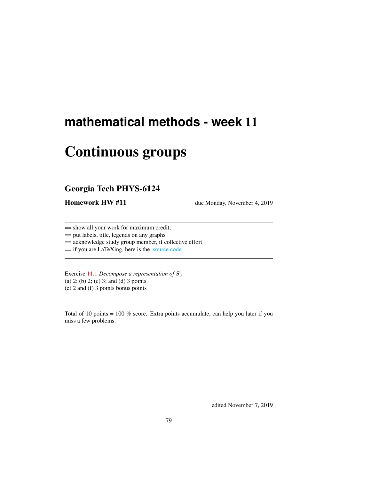# **mathematical methods - week** 11

# Continuous groups

## Georgia Tech PHYS-6124

**Homework HW #11** due Monday, November 4, 2019

== show all your work for maximum credit,

== put labels, title, legends on any graphs

== acknowledge study group member, if collective effort

== if you are LaTeXing, here is the [source code](http://chaosbook.org/~predrag/courses/PHYS-6124-19/exerWeek11.tex)

Exercise [11.1](#page-81-1) *Decompose a representation of* S<sup>3</sup> (a) 2; (b) 2; (c) 3; and (d) 3 points (e) 2 and (f) 3 points bonus points

Total of 10 points =  $100\%$  score. Extra points accumulate, can help you later if you miss a few problems.

edited November 7, 2019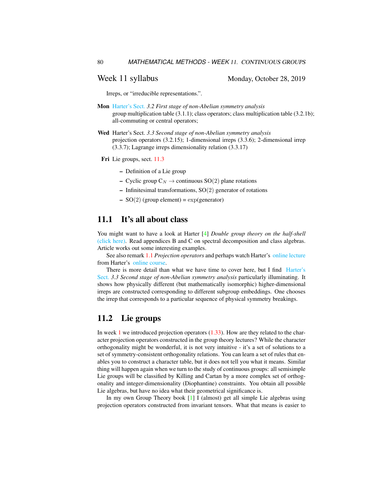#### Week 11 syllabus Monday, October 28, 2019

Irreps, or "irreducible representations.".

- Mon [Harter's Sect.](http://www.uark.edu/ua/modphys/markup/PSDS_UnitsForceDL.php?fname=PSDS_Ch.3_(4.22.10).pdf) *3.2 First stage of non-Abelian symmetry analysis* group multiplication table (3.1.1); class operators; class multiplication table (3.2.1b); all-commuting or central operators;
- Wed Harter's Sect. *3.3 Second stage of non-Abelian symmetry analysis* projection operators (3.2.15); 1-dimensional irreps (3.3.6); 2-dimensional irrep (3.3.7); Lagrange irreps dimensionality relation (3.3.17)

Fri Lie groups, sect. [11.3](#page-80-0)

- Definition of a Lie group
- Cyclic group  $C_N \rightarrow$  continuous SO(2) plane rotations
- $-$  Infinitesimal transformations,  $SO(2)$  generator of rotations
- $SO(2)$  (group element) = exp(generator)

## 11.1 It's all about class

You might want to have a look at Harter [\[4\]](#page-80-1) *Double group theory on the half-shell* [\(click here\).](http://ChaosBook.org/library/Harter78.pdf) Read appendices B and C on spectral decomposition and class algebras. Article works out some interesting examples.

See also remark [1.1](#page-18-0) *Projection operators* and perhaps watch Harter's [online lecture](https://www.youtube.com/watch?v=jLO7-Pks0QM) from Harter's [online course.](http://www.uark.edu/ua/modphys/markup/GTQM_TitlePage_2015.html)

There is more detail than what we have time to cover here, but I find [Harter's](http://www.uark.edu/ua/modphys/markup/PSDS_UnitsForceDL.php?fname=PSDS_Ch.3_(4.22.10).pdf) [Sect.](http://www.uark.edu/ua/modphys/markup/PSDS_UnitsForceDL.php?fname=PSDS_Ch.3_(4.22.10).pdf) *3.3 Second stage of non-Abelian symmetry analysis* particularly illuminating. It shows how physically different (but mathematically isomorphic) higher-dimensional irreps are constructed corresponding to different subgroup embeddings. One chooses the irrep that corresponds to a particular sequence of physical symmetry breakings.

#### 11.2 Lie groups

In week [1](#page-6-0) we introduced projection operators [\(1.33\)](#page-14-0). How are they related to the character projection operators constructed in the group theory lectures? While the character orthogonality might be wonderful, it is not very intuitive - it's a set of solutions to a set of symmetry-consistent orthogonality relations. You can learn a set of rules that enables you to construct a character table, but it does not tell you what it means. Similar thing will happen again when we turn to the study of continuous groups: all semisimple Lie groups will be classified by Killing and Cartan by a more complex set of orthogonality and integer-dimensionality (Diophantine) constraints. You obtain all possible Lie algebras, but have no idea what their geometrical significance is.

In my own Group Theory book [\[1\]](#page-80-2) I (almost) get all simple Lie algebras using projection operators constructed from invariant tensors. What that means is easier to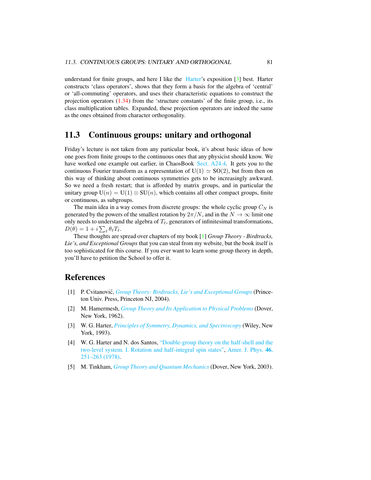understand for finite groups, and here I like the [Harter'](http://www.uark.edu/ua/modphys/markup/PSDS_Info.html)s exposition [\[3\]](#page-80-3) best. Harter constructs 'class operators', shows that they form a basis for the algebra of 'central' or 'all-commuting' operators, and uses their characteristic equations to construct the projection operators [\(1.34\)](#page-14-1) from the 'structure constants' of the finite group, i.e., its class multiplication tables. Expanded, these projection operators are indeed the same as the ones obtained from character orthogonality.

## <span id="page-80-0"></span>11.3 Continuous groups: unitary and orthogonal

Friday's lecture is not taken from any particular book, it's about basic ideas of how one goes from finite groups to the continuous ones that any physicist should know. We have worked one example out earlier, in ChaosBook [Sect. A24.4.](http://ChaosBook.org/chapters/ChaosBook.pdf#section.X.4) It gets you to the continuous Fourier transform as a representation of  $U(1) \simeq SO(2)$ , but from then on this way of thinking about continuous symmetries gets to be increasingly awkward. So we need a fresh restart; that is afforded by matrix groups, and in particular the unitary group  $U(n) = U(1) \otimes SU(n)$ , which contains all other compact groups, finite or continuous, as subgroups.

The main idea in a way comes from discrete groups: the whole cyclic group  $C_N$  is generated by the powers of the smallest rotation by  $2\pi/N$ , and in the  $N \to \infty$  limit one only needs to understand the algebra of  $T_\ell$ , generators of infinitesimal transformations,  $D(\theta) = 1 + i \sum_{\ell} \theta_{\ell} T_{\ell}.$ 

These thoughts are spread over chapters of my book [\[1\]](#page-80-2) *Group Theory - Birdtracks, Lie's, and Exceptional Groups* that you can steal from my website, but the book itself is too sophisticated for this course. If you ever want to learn some group theory in depth, you'll have to petition the School to offer it.

### References

- <span id="page-80-2"></span>[1] P. Cvitanović, *[Group Theory: Birdtracks, Lie's and Exceptional Groups](https://press.princeton.edu/titles/8839.html)* (Princeton Univ. Press, Princeton NJ, 2004).
- <span id="page-80-4"></span>[2] M. Hamermesh, *[Group Theory and Its Application to Physical Problems](http://dx.doi.org/10.1119/1.1941790)* (Dover, New York, 1962).
- <span id="page-80-3"></span>[3] W. G. Harter, *[Principles of Symmetry, Dynamics, and Spectroscopy](http://www.uark.edu/ua/modphys/markup/PSDS_Info.html)* (Wiley, New York, 1993).
- <span id="page-80-1"></span>[4] W. G. Harter and N. dos Santos, ["Double-group theory on the half-shell and the](http://dx.doi.org/10.1119/1.11134) [two-level system. I. Rotation and half-integral spin states",](http://dx.doi.org/10.1119/1.11134) [Amer. J. Phys.](https://doi.org/10.1119/1.11134) 46, [251–263 \(1978\).](https://doi.org/10.1119/1.11134)
- <span id="page-80-5"></span>[5] M. Tinkham, *[Group Theory and Quantum Mechanics](http://dx.doi.org/10.1016/c2013-0-01646-5)* (Dover, New York, 2003).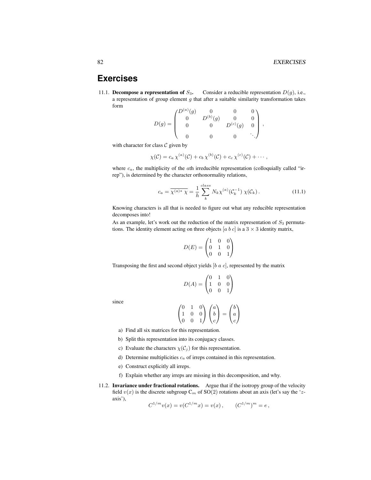,

## **Exercises**

<span id="page-81-1"></span>11.1. Decompose a representation of  $S_3$ . Consider a reducible representation  $D(q)$ , i.e., a representation of group element  $g$  that after a suitable similarity transformation takes form

$$
D(g) = \begin{pmatrix} D^{(a)}(g) & 0 & 0 & 0 \\ 0 & D^{(b)}(g) & 0 & 0 \\ 0 & 0 & D^{(c)}(g) & 0 \\ 0 & 0 & 0 & \ddots \end{pmatrix}
$$

with character for class  $C$  given by

$$
\chi(\mathcal{C})=c_a\,\chi^{(a)}(\mathcal{C})+c_b\,\chi^{(b)}(\mathcal{C})+c_c\,\chi^{(c)}(\mathcal{C})+\cdots,
$$

where  $c_a$ , the multiplicity of the ath irreducible representation (colloquially called "irrep"), is determined by the character orthonormality relations,

$$
c_a = \overline{\chi^{(a)*} \chi} = \frac{1}{h} \sum_{k}^{class} N_k \chi^{(a)}(\mathcal{C}_k^{-1}) \chi(\mathcal{C}_k).
$$
 (11.1)

Knowing characters is all that is needed to figure out what any reducible representation decomposes into!

As an example, let's work out the reduction of the matrix representation of  $S_3$  permutations. The identity element acting on three objects [a b c] is a  $3 \times 3$  identity matrix,

$$
D(E) = \begin{pmatrix} 1 & 0 & 0 \\ 0 & 1 & 0 \\ 0 & 0 & 1 \end{pmatrix}
$$

Transposing the first and second object yields  $[b \ a \ c]$ , represented by the matrix

$$
D(A) = \begin{pmatrix} 0 & 1 & 0 \\ 1 & 0 & 0 \\ 0 & 0 & 1 \end{pmatrix}
$$

since

$$
\begin{pmatrix} 0 & 1 & 0 \\ 1 & 0 & 0 \\ 0 & 0 & 1 \end{pmatrix} \begin{pmatrix} a \\ b \\ c \end{pmatrix} = \begin{pmatrix} b \\ a \\ c \end{pmatrix}
$$

- a) Find all six matrices for this representation.
- b) Split this representation into its conjugacy classes.
- c) Evaluate the characters  $\chi(\mathcal{C}_i)$  for this representation.
- d) Determine multiplicities  $c_a$  of irreps contained in this representation.
- e) Construct explicitly all irreps.
- f) Explain whether any irreps are missing in this decomposition, and why.
- <span id="page-81-0"></span>11.2. **Invariance under fractional rotations.** Argue that if the isotropy group of the velocity field  $v(x)$  is the discrete subgroup  $C_m$  of SO(2) rotations about an axis (let's say the 'zaxis'),

$$
C^{1/m}v(x) = v(C^{1/m}x) = v(x), \qquad (C^{1/m})^m = e,
$$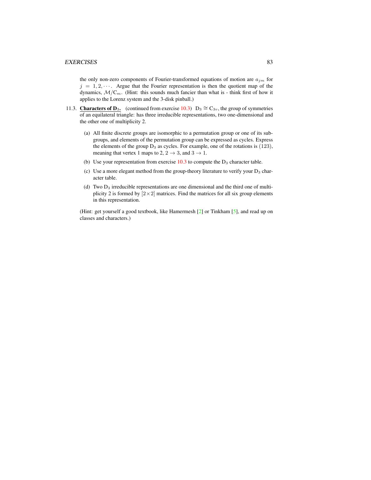#### EXERCISES 83

the only non-zero components of Fourier-transformed equations of motion are  $a_{jm}$  for  $j = 1, 2, \cdots$ . Argue that the Fourier representation is then the quotient map of the dynamics,  $\mathcal{M}/\mathbb{C}_m$ . (Hint: this sounds much fancier than what is - think first of how it applies to the Lorenz system and the 3-disk pinball.)

- <span id="page-82-0"></span>11.3. Characters of D<sub>3</sub>. (continued from exercise [10.3\)](#page-75-0) D<sub>3</sub>  $\cong$  C<sub>3v</sub>, the group of symmetries of an equilateral triangle: has three irreducible representations, two one-dimensional and the other one of multiplicity 2.
	- (a) All finite discrete groups are isomorphic to a permutation group or one of its subgroups, and elements of the permutation group can be expressed as cycles. Express the elements of the group  $D_3$  as cycles. For example, one of the rotations is  $(123)$ , meaning that vertex 1 maps to 2,  $2 \rightarrow 3$ , and  $3 \rightarrow 1$ .
	- (b) Use your representation from exercise  $10.3$  to compute the  $D_3$  character table.
	- (c) Use a more elegant method from the group-theory literature to verify your  $D_3$  character table.
	- (d) Two D<sup>3</sup> irreducible representations are one dimensional and the third one of multiplicity 2 is formed by  $[2 \times 2]$  matrices. Find the matrices for all six group elements in this representation.

(Hint: get yourself a good textbook, like Hamermesh [\[2\]](#page-80-4) or Tinkham [\[5\]](#page-80-5), and read up on classes and characters.)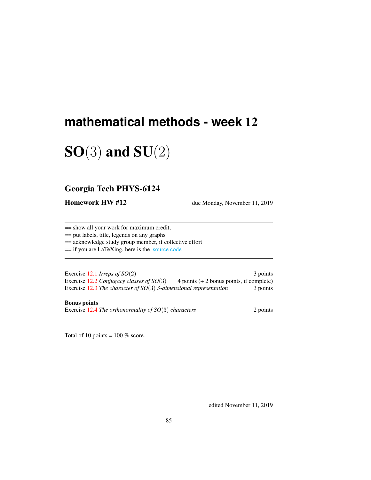# **mathematical methods - week** 12

# $SO(3)$  and  $SU(2)$

## Georgia Tech PHYS-6124

**Homework HW #12** due Monday, November 11, 2019

== show all your work for maximum credit,

== put labels, title, legends on any graphs

== acknowledge study group member, if collective effort

== if you are LaTeXing, here is the [source code](http://chaosbook.org/~predrag/courses/PHYS-6124-19/exerWeek12.tex)

Exercise [12.1](#page-92-0) *Irreps of SO*(2) 3 points Exercise [12.2](#page-92-1) *Conjugacy classes of SO*(3) 4 points (+ 2 bonus points, if complete) Exercise [12.3](#page-92-2) *The character of SO*(3) 3-dimensional representation 3 points

#### Bonus points

Exercise [12.4](#page-92-3) *The orthonormality of SO*(3) *characters* 2 points

Total of 10 points =  $100\%$  score.

edited November 11, 2019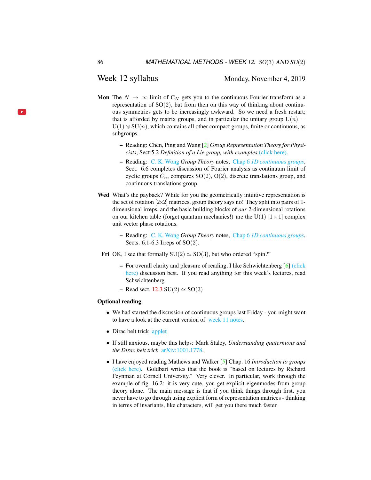#### Week 12 syllabus Monday, November 4, 2019

- Mon The  $N \to \infty$  limit of C<sub>N</sub> gets you to the continuous Fourier transform as a representation of  $SO(2)$ , but from then on this way of thinking about continuous symmetries gets to be increasingly awkward. So we need a fresh restart; that is afforded by matrix groups, and in particular the unitary group  $U(n)$  =  $U(1) \otimes SU(n)$ , which contains all other compact groups, finite or continuous, as subgroups.
	- Reading: Chen, Ping and Wang [\[2\]](#page-91-0) *Group Representation Theory for Physicists*, Sect 5.2 *Definition of a Lie group, with examples* [\(click here\).](http://ChaosBook.org/library/Chen5-2.pdf)
	- Reading: [C. K. Wong](http://ckw.phys.ncku.edu.tw/) *Group Theory* notes, Chap 6 *[1D continuous groups](http://ckw.phys.ncku.edu.tw/public/pub/Notes/Mathematics/GroupTheory/Tung/Powerpoint/6._1DContinuousGroups.ppt)*, Sect. 6.6 completes discussion of Fourier analysis as continuum limit of cyclic groups  $C_n$ , compares  $SO(2)$ ,  $O(2)$ , discrete translations group, and continuous translations group.
- Wed What's the payback? While for you the geometrically intuitive representation is the set of rotation  $[2\times2]$  matrices, group theory says no! They split into pairs of 1dimensional irreps, and the basic building blocks of *our* 2-dimensional rotations on our kitchen table (forget quantum mechanics!) are the U(1)  $[1 \times 1]$  complex unit vector phase rotations.
	- Reading: [C. K. Wong](http://ckw.phys.ncku.edu.tw/) *Group Theory* notes, Chap 6 *[1D continuous groups](http://ckw.phys.ncku.edu.tw/public/pub/Notes/Mathematics/GroupTheory/Tung/Powerpoint/6._1DContinuousGroups.ppt)*, Sects. 6.1-6.3 Irreps of SO(2).
- **Fri** OK, I see that formally  $SU(2) \simeq SO(3)$ , but who ordered "spin?"
	- For overall clarity and pleasure of reading, I like Schwichtenberg [\[6\]](#page-92-4) [\(click](http://ChaosBook.org/library/Schwicht15-2edited.pdf) [here\)](http://ChaosBook.org/library/Schwicht15-2edited.pdf) discussion best. If you read anything for this week's lectures, read Schwichtenberg.
	- Read sect.  $12.3 \text{ SU}(2) \simeq \text{SO}(3)$  $12.3 \text{ SU}(2) \simeq \text{SO}(3)$

#### Optional reading

- We had started the discussion of continuous groups last Friday you might want to have a look at the current version of [week 11 notes.](http://ChaosBook.org/~predrag/courses/PHYS-6124-19/week11.pdf)
- Dirac belt trick [applet](https://www.gregegan.net/APPLETS/21/21.html)
- If still anxious, maybe this helps: Mark Staley, *Understanding quaternions and the Dirac belt trick* [arXiv:1001.1778.](http://arXiv.org/abs/1001.1778)
- I have enjoyed reading Mathews and Walker [\[5\]](#page-92-5) Chap. 16 *Introduction to groups* [\(click here\).](http://ChaosBook.org/library/MathWalk73.pdf) Goldbart writes that the book is "based on lectures by Richard Feynman at Cornell University." Very clever. In particular, work through the example of fig. 16.2: it is very cute, you get explicit eigenmodes from group theory alone. The main message is that if you think things through first, you never have to go through using explicit form of representation matrices - thinking in terms of invariants, like characters, will get you there much faster.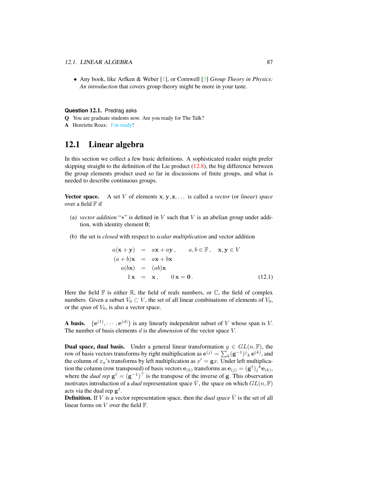• Any book, like Arfken & Weber [\[1\]](#page-91-1), or Cornwell [\[3\]](#page-91-2) *Group Theory in Physics: An introduction* that covers group theory might be more in your taste.

#### **Question** 12.1. Predrag asks

- Q You are graduate students now. Are you ready for The Talk?
- A Henriette Roux: [I'm ready!](https://www.smbc-comics.com/comic/the-talk-3)

## 12.1 Linear algebra

In this section we collect a few basic definitions. A sophisticated reader might prefer skipping straight to the definition of the Lie product  $(12.8)$ , the big difference between the group elements product used so far in discussions of finite groups, and what is needed to describe continuous groups.

Vector space. A set V of elements x, y, z, . . . is called a *vector* (or *linear*) *space* over a field  $F$  if

- (a) *vector addition* "+" is defined in  $V$  such that  $V$  is an abelian group under addition, with identity element 0;
- (b) the set is *closed* with respect to *scalar multiplication* and vector addition

$$
a(\mathbf{x} + \mathbf{y}) = a\mathbf{x} + a\mathbf{y}, \qquad a, b \in \mathbb{F}, \quad \mathbf{x}, \mathbf{y} \in V
$$
  
\n
$$
(a + b)\mathbf{x} = a\mathbf{x} + b\mathbf{x}
$$
  
\n
$$
a(b\mathbf{x}) = (ab)\mathbf{x}
$$
  
\n
$$
1\mathbf{x} = \mathbf{x}, \qquad 0\mathbf{x} = \mathbf{0}.
$$
 (12.1)

Here the field  $\mathbb F$  is either  $\mathbb R$ , the field of reals numbers, or  $\mathbb C$ , the field of complex numbers. Given a subset  $V_0 \subset V$ , the set of all linear combinations of elements of  $V_0$ , or the *span* of  $V_0$ , is also a vector space.

**A basis.**  $\{e^{(1)}, \dots, e^{(d)}\}$  is any linearly independent subset of V whose span is V. The number of basis elements d is the *dimension* of the vector space V.

**Dual space, dual basis.** Under a general linear transformation  $g \in GL(n, \mathbb{F})$ , the row of basis vectors transforms by right multiplication as  $e^{(j)} = \sum_k (g^{-1})^j{}_k \, e^{(k)}$ , and the column of  $x_a$ 's transforms by left multiplication as  $x' = \mathbf{g}x$ . Under left multiplication the column (row transposed) of basis vectors  $e_{(k)}$  transforms as  $e_{(j)} = (g^{\dagger})_j{}^k e_{(k)}$ , where the *dual rep*  $g^{\dagger} = (g^{-1})^{\top}$  is the transpose of the inverse of g. This observation motivates introduction of a *dual* representation space  $\overline{V}$ , the space on which  $GL(n, \mathbb{F})$ acts via the dual rep  $g^{\dagger}$ .

**Definition.** If V is a vector representation space, then the *dual space*  $\overline{V}$  is the set of all linear forms on  $V$  over the field  $\mathbb{F}$ .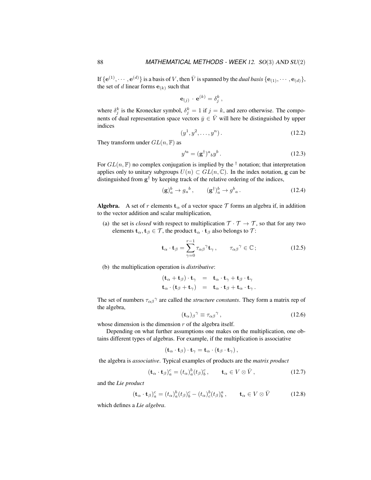,

If  $\{e^{(1)}, \dots, e^{(d)}\}$  is a basis of V, then  $\bar{V}$  is spanned by the *dual basis*  $\{e_{(1)}, \dots, e_{(d)}\}$ , the set of d linear forms  $e_{(k)}$  such that

$$
\mathbf{e}_{(j)} \cdot \mathbf{e}^{(k)} = \delta_j^k
$$

where  $\delta_j^k$  is the Kronecker symbol,  $\delta_j^k = 1$  if  $j = k$ , and zero otherwise. The components of dual representation space vectors  $\bar{y} \in \bar{V}$  will here be distinguished by upper indices

$$
(y^1, y^2, \dots, y^n). \tag{12.2}
$$

They transform under  $GL(n, \mathbb{F})$  as

$$
y'^a = (\mathbf{g}^\dagger)^a{}_b y^b. \tag{12.3}
$$

For  $GL(n, \mathbb{F})$  no complex conjugation is implied by the  $\dagger$  notation; that interpretation applies only to unitary subgroups  $U(n) \subset GL(n, \mathbb{C})$ . In the index notation, g can be distinguished from  $g^{\dagger}$  by keeping track of the relative ordering of the indices,

$$
(\mathbf{g})_a^b \to g_a^b \,, \qquad (\mathbf{g}^\dagger)_a^b \to g^b{}_a \,. \tag{12.4}
$$

**Algebra.** A set of r elements  $\mathbf{t}_{\alpha}$  of a vector space T forms an algebra if, in addition to the vector addition and scalar multiplication,

(a) the set is *closed* with respect to multiplication  $T \cdot T \rightarrow T$ , so that for any two elements  $\mathbf{t}_{\alpha}, \mathbf{t}_{\beta} \in \mathcal{T}$ , the product  $\mathbf{t}_{\alpha} \cdot \mathbf{t}_{\beta}$  also belongs to  $\mathcal{T}$ :

$$
\mathbf{t}_{\alpha} \cdot \mathbf{t}_{\beta} = \sum_{\gamma=0}^{r-1} \tau_{\alpha\beta}^{\gamma} \mathbf{t}_{\gamma}, \qquad \tau_{\alpha\beta}^{\gamma} \in \mathbb{C} \, ; \tag{12.5}
$$

(b) the multiplication operation is *distributive*:

$$
(\mathbf{t}_{\alpha} + \mathbf{t}_{\beta}) \cdot \mathbf{t}_{\gamma} = \mathbf{t}_{\alpha} \cdot \mathbf{t}_{\gamma} + \mathbf{t}_{\beta} \cdot \mathbf{t}_{\gamma} \mathbf{t}_{\alpha} \cdot (\mathbf{t}_{\beta} + \mathbf{t}_{\gamma}) = \mathbf{t}_{\alpha} \cdot \mathbf{t}_{\beta} + \mathbf{t}_{\alpha} \cdot \mathbf{t}_{\gamma}.
$$

The set of numbers  $\tau_{\alpha\beta}^{\gamma}$  are called the *structure constants*. They form a matrix rep of the algebra,

$$
(\mathbf{t}_{\alpha})_{\beta}{}^{\gamma} \equiv \tau_{\alpha\beta}{}^{\gamma},\tag{12.6}
$$

whose dimension is the dimension  $r$  of the algebra itself.

Depending on what further assumptions one makes on the multiplication, one obtains different types of algebras. For example, if the multiplication is associative

$$
(\mathbf{t}_{\alpha} \cdot \mathbf{t}_{\beta}) \cdot \mathbf{t}_{\gamma} = \mathbf{t}_{\alpha} \cdot (\mathbf{t}_{\beta} \cdot \mathbf{t}_{\gamma}),
$$

the algebra is *associative*. Typical examples of products are the *matrix product*

$$
(\mathbf{t}_{\alpha} \cdot \mathbf{t}_{\beta})_a^c = (t_{\alpha})_a^b (t_{\beta})_b^c, \qquad \mathbf{t}_{\alpha} \in V \otimes \bar{V}, \qquad (12.7)
$$

and the *Lie product*

<span id="page-87-0"></span>
$$
(\mathbf{t}_{\alpha} \cdot \mathbf{t}_{\beta})_a^c = (t_{\alpha})_a^b (t_{\beta})_b^c - (t_{\alpha})_c^b (t_{\beta})_b^a, \qquad \mathbf{t}_{\alpha} \in V \otimes \bar{V}
$$
 (12.8)

which defines a *Lie algebra*.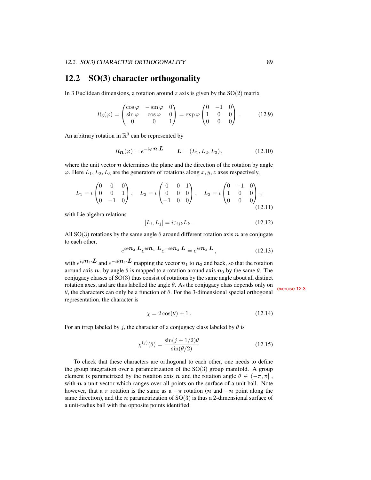## 12.2 SO(3) character orthogonality

In 3 Euclidean dimensions, a rotation around  $z$  axis is given by the  $SO(2)$  matrix

$$
R_3(\varphi) = \begin{pmatrix} \cos\varphi & -\sin\varphi & 0\\ \sin\varphi & \cos\varphi & 0\\ 0 & 0 & 1 \end{pmatrix} = \exp\varphi \begin{pmatrix} 0 & -1 & 0\\ 1 & 0 & 0\\ 0 & 0 & 0 \end{pmatrix} . \tag{12.9}
$$

An arbitrary rotation in  $\mathbb{R}^3$  can be represented by

<span id="page-88-0"></span>
$$
R_{\mathbf{n}}(\varphi) = e^{-i\varphi} \mathbf{n} \cdot \mathbf{L} \qquad \mathbf{L} = (L_1, L_2, L_3), \tag{12.10}
$$

where the unit vector  $n$  determines the plane and the direction of the rotation by angle  $\varphi$ . Here  $L_1, L_2, L_3$  are the generators of rotations along  $x, y, z$  axes respectively,

$$
L_1 = i \begin{pmatrix} 0 & 0 & 0 \\ 0 & 0 & 1 \\ 0 & -1 & 0 \end{pmatrix}, \quad L_2 = i \begin{pmatrix} 0 & 0 & 1 \\ 0 & 0 & 0 \\ -1 & 0 & 0 \end{pmatrix}, \quad L_3 = i \begin{pmatrix} 0 & -1 & 0 \\ 1 & 0 & 0 \\ 0 & 0 & 0 \end{pmatrix},
$$
(12.11)

with Lie algebra relations

<span id="page-88-1"></span>
$$
[L_i, L_j] = i\varepsilon_{ijk} L_k. \tag{12.12}
$$

All SO(3) rotations by the same angle  $\theta$  around different rotation axis n are conjugate to each other,

$$
e^{i\phi \mathbf{n}_2 \cdot \mathbf{L}} e^{i\theta \mathbf{n}_1 \cdot \mathbf{L}} e^{-i\phi \mathbf{n}_2 \cdot \mathbf{L}} = e^{i\theta \mathbf{n}_3 \cdot \mathbf{L}}, \qquad (12.13)
$$

with  $e^{i\phi \mathbf{n}_2 \cdot \mathbf{L}}$  and  $e^{-i\theta \mathbf{n}_2 \cdot \mathbf{L}}$  mapping the vector  $\mathbf{n}_1$  to  $\mathbf{n}_3$  and back, so that the rotation around axis  $n_1$  by angle  $\theta$  is mapped to a rotation around axis  $n_3$  by the same  $\theta$ . The conjugacy classes of SO(3) thus consist of rotations by the same angle about all distinct rotation axes, and are thus labelled the angle θ. As the conjugacy class depends only on  $θ$ , the characters can only be a function of  $θ$ . For the 3-dimensional special orthogonal special orthogonal representation, the character is

$$
\chi = 2\cos(\theta) + 1. \tag{12.14}
$$

For an irrep labeled by j, the character of a conjugacy class labeled by  $\theta$  is

<span id="page-88-2"></span>
$$
\chi^{(j)}(\theta) = \frac{\sin(j+1/2)\theta}{\sin(\theta/2)}
$$
\n(12.15)

To check that these characters are orthogonal to each other, one needs to define the group integration over a parametrization of the  $SO(3)$  group manifold. A group element is parametrized by the rotation axis n and the rotation angle  $\theta \in (-\pi, \pi]$ , with  $n$  a unit vector which ranges over all points on the surface of a unit ball. Note however, that a  $\pi$  rotation is the same as a  $-\pi$  rotation (n and  $-n$  point along the same direction), and the *n* parametrization of  $SO(3)$  is thus a 2-dimensional surface of a unit-radius ball with the opposite points identified.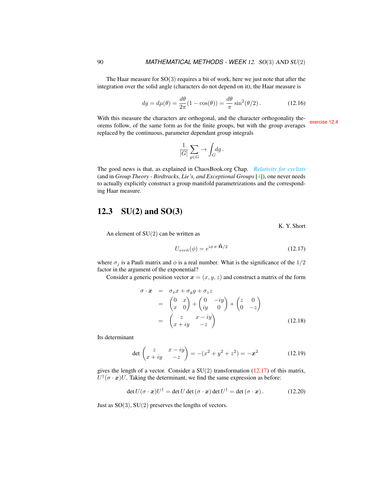The Haar measure for  $SO(3)$  requires a bit of work, here we just note that after the integration over the solid angle (characters do not depend on it), the Haar measure is

<span id="page-89-2"></span>
$$
dg = d\mu(\theta) = \frac{d\theta}{2\pi}(1 - \cos(\theta)) = \frac{d\theta}{\pi}\sin^2(\theta/2). \tag{12.16}
$$

With this measure the characters are orthogonal, and the character orthogonality theorems follow, of the same form as for the finite groups, but with the group averages exercise [12.4](#page-92-3) replaced by the continuous, parameter dependant group integrals

$$
\frac{1}{|G|} \sum_{g \in G} \to \int_G \! dg \, .
$$

The good news is that, as explained in ChaosBook.org Chap. *[Relativity for cyclists](http://birdtracks.eu/courses/PHYS-7143-19/continuous.pdf)* (and in *Group Theory - Birdtracks, Lie's, and Exceptional Groups* [\[4\]](#page-92-6)), one never needs to actually explicitly construct a group manifold parametrizations and the corresponding Haar measure.

## <span id="page-89-0"></span>12.3  $SU(2)$  and  $SO(3)$

K. Y. Short

An element of  $SU(2)$  can be written as

<span id="page-89-1"></span>
$$
U_{vecn}(\phi) = e^{i\phi \,\sigma \cdot \hat{\mathbf{n}}/2} \tag{12.17}
$$

where  $\sigma_j$  is a Pauli matrix and  $\phi$  is a real number. What is the significance of the  $1/2$ factor in the argument of the exponential?

Consider a generic position vector  $x = (x, y, z)$  and construct a matrix of the form

$$
\begin{array}{rcl}\n\sigma \cdot \boldsymbol{x} & = & \sigma_x x + \sigma_y y + \sigma_z z \\
& = & \begin{pmatrix} 0 & x \\ x & 0 \end{pmatrix} + \begin{pmatrix} 0 & -iy \\ iy & 0 \end{pmatrix} + \begin{pmatrix} z & 0 \\ 0 & -z \end{pmatrix} \\
& = & \begin{pmatrix} z & x - iy \\ x + iy & -z \end{pmatrix}\n\end{array} \tag{12.18}
$$

Its determinant

$$
\det \begin{pmatrix} z & x - iy \\ x + iy & -z \end{pmatrix} = -(x^2 + y^2 + z^2) = -x^2 \tag{12.19}
$$

gives the length of a vector. Consider a  $SU(2)$  transformation [\(12.17\)](#page-89-1) of this matrix,  $U^{\dagger}(\sigma \cdot x)U$ . Taking the determinant, we find the same expression as before:

$$
\det U(\sigma \cdot \mathbf{x})U^{\dagger} = \det U \det (\sigma \cdot \mathbf{x}) \det U^{\dagger} = \det (\sigma \cdot \mathbf{x}). \tag{12.20}
$$

Just as  $SO(3)$ ,  $SU(2)$  preserves the lengths of vectors.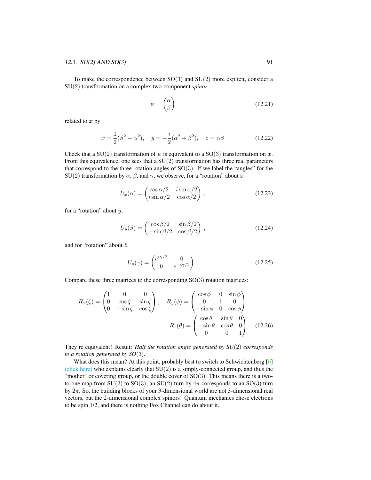To make the correspondence between  $SO(3)$  and  $SU(2)$  more explicit, consider a SU(2) transformation on a complex two-component *spinor*

$$
\psi = \begin{pmatrix} \alpha \\ \beta \end{pmatrix} \tag{12.21}
$$

related to  $x$  by

$$
x = \frac{1}{2}(\beta^2 - \alpha^2), \quad y = -\frac{i}{2}(\alpha^2 + \beta^2), \quad z = \alpha\beta
$$
 (12.22)

Check that a SU(2) transformation of  $\psi$  is equivalent to a SO(3) transformation on x. From this equivalence, one sees that a  $SU(2)$  transformation has three real parameters that correspond to the three rotation angles of  $SO(3)$ . If we label the "angles" for the SU(2) transformation by  $\alpha$ ,  $\beta$ , and  $\gamma$ , we observe, for a "rotation" about  $\hat{x}$ 

$$
U_x(\alpha) = \begin{pmatrix} \cos \alpha/2 & i \sin \alpha/2 \\ i \sin \alpha/2 & \cos \alpha/2 \end{pmatrix},
$$
 (12.23)

for a "rotation" about  $\hat{y}$ ,

$$
U_y(\beta) = \begin{pmatrix} \cos \beta/2 & \sin \beta/2 \\ -\sin \beta/2 & \cos \beta/2 \end{pmatrix},
$$
 (12.24)

and for "rotation" about  $\hat{z}$ ,

$$
U_z(\gamma) = \begin{pmatrix} e^{i\gamma/2} & 0\\ 0 & e^{-i\gamma/2} \end{pmatrix} .
$$
 (12.25)

Compare these three matrices to the corresponding  $SO(3)$  rotation matrices:

$$
R_x(\zeta) = \begin{pmatrix} 1 & 0 & 0 \\ 0 & \cos \zeta & \sin \zeta \\ 0 & -\sin \zeta & \cos \zeta \end{pmatrix}, \quad R_y(\phi) = \begin{pmatrix} \cos \phi & 0 & \sin \phi \\ 0 & 1 & 0 \\ -\sin \phi & 0 & \cos \phi \end{pmatrix}
$$

$$
R_z(\theta) = \begin{pmatrix} \cos \theta & \sin \theta & 0 \\ -\sin \theta & \cos \theta & 0 \\ 0 & 0 & 1 \end{pmatrix}
$$
(12.26)

They're equivalent! Result: *Half the rotation angle generated by SU*(2) *corresponds to a rotation generated by SO*(3)*.*

What does this mean? At this point, probably best to switch to Schwichtenberg [\[6\]](#page-92-4) [\(click here\)](http://ChaosBook.org/library/Schwicht15-2edited.pdf) who explains clearly that  $SU(2)$  is a simply-connected group, and thus the "mother" or covering group, or the double cover of  $SO(3)$ . This means there is a twoto-one map from SU(2) to SO(3); an SU(2) turn by  $4\pi$  corresponds to an SO(3) turn by 2π. So, the building blocks of your 3-dimensional world are not 3-dimensional real vectors, but the 2-dimensional complex spinors! Quantum mechanics chose electrons to be spin 1/2, and there is nothing Fox Channel can do about it.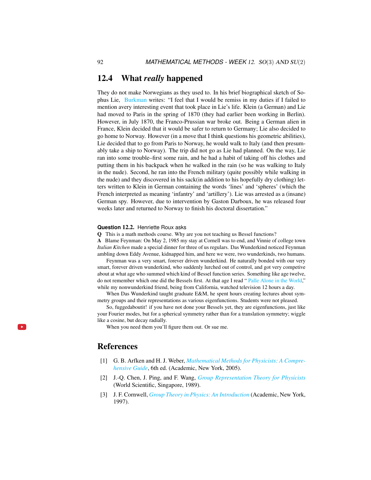#### 12.4 What *really* happened

They do not make Norwegians as they used to. In his brief biographical sketch of Sophus Lie, [Burkman](http://math.hawaii.edu/home/talks/burkman_master_talk.pdf) writes: "I feel that I would be remiss in my duties if I failed to mention avery interesting event that took place in Lie's life. Klein (a German) and Lie had moved to Paris in the spring of 1870 (they had earlier been working in Berlin). However, in July 1870, the Franco-Prussian war broke out. Being a German alien in France, Klein decided that it would be safer to return to Germany; Lie also decided to go home to Norway. However (in a move that I think questions his geometric abilities), Lie decided that to go from Paris to Norway, he would walk to Italy (and then presumably take a ship to Norway). The trip did not go as Lie had planned. On the way, Lie ran into some trouble–first some rain, and he had a habit of taking off his clothes and putting them in his backpack when he walked in the rain (so he was walking to Italy in the nude). Second, he ran into the French military (quite possibly while walking in the nude) and they discovered in his sack(in addition to his hopefully dry clothing) letters written to Klein in German containing the words 'lines' and 'spheres' (which the French interpreted as meaning 'infantry' and 'artillery'). Lie was arrested as a (insane) German spy. However, due to intervention by Gaston Darboux, he was released four weeks later and returned to Norway to finish his doctoral dissertation."

#### **Question** 12.2. Henriette Roux asks

Q This is a math methods course. Why are you not teaching us Bessel functions?

A Blame Feynman: On May 2, 1985 my stay at Cornell was to end, and Vinnie of college town *Italian Kitchen* made a special dinner for three of us regulars. Das Wunderkind noticed Feynman ambling down Eddy Avenue, kidnapped him, and here we were, two wunderkinds, two humans.

Feynman was a very smart, forever driven wunderkind. He naturally bonded with our very smart, forever driven wunderkind, who suddenly lurched out of control, and got very competive about at what age who summed which kind of Bessel function series. Something like age twelve, do not remember which one did the Bessels first. At that age I read " [Palle Alone in the World,](https://vimeo.com/89776780)" while my nonwunderkind friend, being from California, watched television 12 hours a day.

When Das Wunderkind taught graduate E&M, he spent hours creating lectures about symmetry groups and their representations as various eigenfunctions. Students were not pleased.

So, fuggedaboutit! if you have not done your Bessels yet, they are eigenfunctions, just like your Fourier modes, but for a spherical symmetry rather than for a translation symmetry; wiggle like a cosine, but decay radially.

When you need them you'll figure them out. Or sue me.

#### References

 $\rightarrow$ 

- <span id="page-91-1"></span>[1] G. B. Arfken and H. J. Weber, *[Mathematical Methods for Physicists: A Compre](http://books.google.com/books?vid=ISBN9780120598762)[hensive Guide](http://books.google.com/books?vid=ISBN9780120598762)*, 6th ed. (Academic, New York, 2005).
- <span id="page-91-0"></span>[2] J.-Q. Chen, J. Ping, and F. Wang, *[Group Representation Theory for Physicists](http://dx.doi.org/10.1142/0262)* (World Scientific, Singapore, 1989).
- <span id="page-91-2"></span>[3] J. F. Cornwell, *[Group Theory in Physics: An Introduction](http://books.google.com/books?vid=ISBN9780121898007)* (Academic, New York, 1997).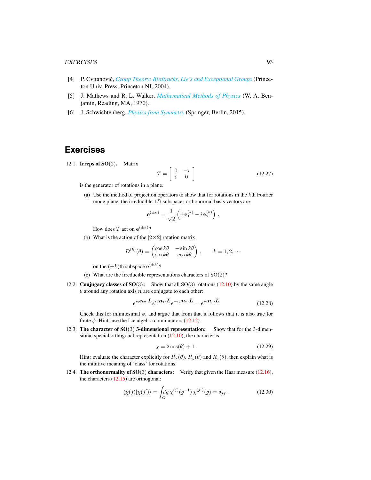#### EXERCISES 93

- <span id="page-92-6"></span>[4] P. Cvitanović, *[Group Theory: Birdtracks, Lie's and Exceptional Groups](https://press.princeton.edu/titles/8839.html)* (Princeton Univ. Press, Princeton NJ, 2004).
- <span id="page-92-5"></span>[5] J. Mathews and R. L. Walker, *[Mathematical Methods of Physics](http://dx.doi.org/10.2307/2316002)* (W. A. Benjamin, Reading, MA, 1970).
- <span id="page-92-4"></span>[6] J. Schwichtenberg, *[Physics from Symmetry](http://dx.doi.org/10.1007/978-3-319-19201-7)* (Springer, Berlin, 2015).

## **Exercises**

<span id="page-92-0"></span>12.1. **Irreps of SO** $(2)$ . Matrix

$$
T = \left[ \begin{array}{cc} 0 & -i \\ i & 0 \end{array} \right] \tag{12.27}
$$

is the generator of rotations in a plane.

(a) Use the method of projection operators to show that for rotations in the kth Fourier mode plane, the irreducible 1D subspaces orthonormal basis vectors are

$$
\mathbf{e}^{(\pm k)} = \frac{1}{\sqrt{2}} \left( \pm \mathbf{e}_1^{(k)} - i \,\mathbf{e}_2^{(k)} \right) \,.
$$

How does T act on  $e^{(\pm k)}$ ?

(b) What is the action of the  $[2 \times 2]$  rotation matrix

$$
D^{(k)}(\theta) = \begin{pmatrix} \cos k\theta & -\sin k\theta \\ \sin k\theta & \cos k\theta \end{pmatrix}, \qquad k = 1, 2, \cdots
$$

on the  $(\pm k)$ th subspace  $e^{(\pm k)}$ ?

- (c) What are the irreducible representations characters of  $SO(2)$ ?
- <span id="page-92-1"></span>12.2. Conjugacy classes of  $SO(3)$ : Show that all  $SO(3)$  rotations [\(12.10\)](#page-88-0) by the same angle  $\theta$  around any rotation axis  $n$  are conjugate to each other:

$$
e^{i\phi \mathbf{n}_2 \cdot \mathbf{L}} e^{i\theta \mathbf{n}_1 \cdot \mathbf{L}} e^{-i\phi \mathbf{n}_2 \cdot \mathbf{L}} = e^{i\theta \mathbf{n}_3 \cdot \mathbf{L}} \tag{12.28}
$$

Check this for infinitesimal  $\phi$ , and argue that from that it follows that it is also true for finite  $\phi$ . Hint: use the Lie algebra commutators [\(12.12\)](#page-88-1).

<span id="page-92-2"></span>12.3. The character of SO(3) 3-dimensional representation: Show that for the 3-dimensional special orthogonal representation [\(12.10\)](#page-88-0), the character is

$$
\chi = 2\cos(\theta) + 1. \tag{12.29}
$$

Hint: evaluate the character explicitly for  $R_x(\theta)$ ,  $R_y(\theta)$  and  $R_z(\theta)$ , then explain what is the intuitive meaning of 'class' for rotations.

<span id="page-92-3"></span>12.4. The orthonormality of  $SO(3)$  characters: Verify that given the Haar measure [\(12.16\)](#page-89-2), the characters  $(12.15)$  are orthogonal:

$$
\langle \chi(j) | \chi(j') \rangle = \int_G dg \, \chi^{(j)}(g^{-1}) \, \chi^{(j')}(g) = \delta_{jj'}.
$$
 (12.30)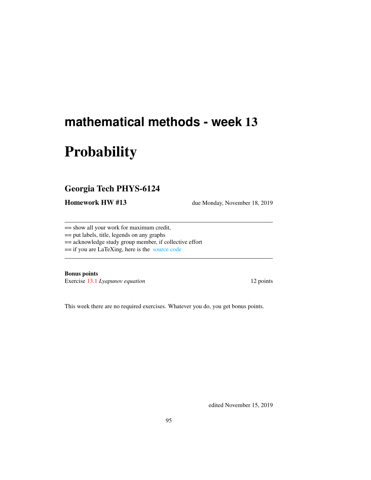# **mathematical methods - week** 13

# **Probability**

## Georgia Tech PHYS-6124

Homework HW #13 due Monday, November 18, 2019

== show all your work for maximum credit,

== put labels, title, legends on any graphs

== acknowledge study group member, if collective effort

== if you are LaTeXing, here is the [source code](http://chaosbook.org/~predrag/courses/PHYS-6124-19/exerWeek13.tex)

Bonus points

Exercise [13.1](#page-96-0) *Lyapunov equation* 12 points

This week there are no required exercises. Whatever you do, you get bonus points.

edited November 15, 2019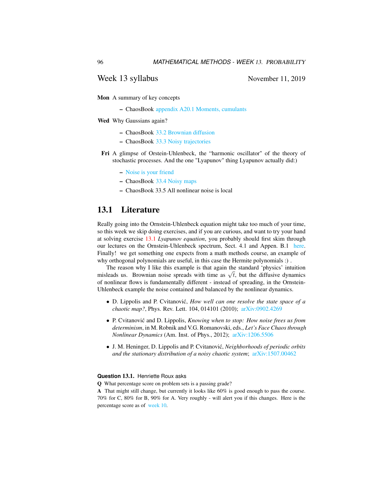#### Week 13 syllabus November 11, 2019

Mon A summary of key concepts

– ChaosBook [appendix A20.1 Moments, cumulants](http://ChaosBook.org/chapters/ChaosBook.pdf#section.T.1)

Wed Why Gaussians again?

- ChaosBook [33.2 Brownian diffusion](http://ChaosBook.org/chapters/ChaosBook.pdf#section.33.2)
- ChaosBook [33.3 Noisy trajectories](http://ChaosBook.org/chapters/ChaosBook.pdf#section.33.3)
- Fri A glimpse of Orstein-Uhlenbeck, the "harmonic oscillator" of the theory of stochastic processes. And the one "Lyapunov" thing Lyapunov actually did:)
	- [Noise is your friend](http://chaosbook.org/~predrag/courses/PHYS-6124-19/noiseURfriend.pdf)
	- ChaosBook [33.4 Noisy maps](http://ChaosBook.org/chapters/ChaosBook.pdf#section.33.4)
	- ChaosBook 33.5 All nonlinear noise is local

## 13.1 Literature

Really going into the Ornstein-Uhlenbeck equation might take too much of your time, so this week we skip doing exercises, and if you are curious, and want to try your hand at solving exercise [13.1](#page-96-0) *Lyapunov equation*, you probably should first skim through our lectures on the Ornstein-Uhlenbeck spectrum, Sect. 4.1 and Appen. B.1 [here.](http://www.cns.gatech.edu/~predrag/papers/CviLip12.pdf) Finally! we get something one expects from a math methods course, an example of why orthogonal polynomials are useful, in this case the Hermite polynomials :) .

The reason why I like this example is that again the standard 'physics' intuition The reason why I like this example is that again the standard physics intuition misleads us. Brownian noise spreads with time as  $\sqrt{t}$ , but the diffusive dynamics of nonlinear flows is fundamentally different - instead of spreading, in the Ornstein-Uhlenbeck example the noise contained and balanced by the nonlinear dynamics.

- D. Lippolis and P. Cvitanović, *How well can one resolve the state space of a chaotic map?*, Phys. Rev. Lett. 104, 014101 (2010); [arXiv:0902.4269](http://arXiv.org/abs/0902.4269)
- P. Cvitanović and D. Lippolis, *Knowing when to stop: How noise frees us from determinism*, in M. Robnik and V.G. Romanovski, eds., *Let's Face Chaos through Nonlinear Dynamics* (Am. Inst. of Phys., 2012); [arXiv:1206.5506](http://arXiv.org/abs/1206.5506)
- J. M. Heninger, D. Lippolis and P. Cvitanovic,´ *Neighborhoods of periodic orbits and the stationary distribution of a noisy chaotic system*; [arXiv:1507.00462](http://arXiv.org/abs/1507.00462)

#### **Question** 13.1. Henriette Roux asks

Q What percentage score on problem sets is a passing grade?

A That might still change, but currently it looks like 60% is good enough to pass the course. 70% for C, 80% for B, 90% for A. Very roughly - will alert you if this changes. Here is the percentage score as of [week 10.](http://ChaosBook.org/~predrag/courses/PHYS-6124-19/grades.png)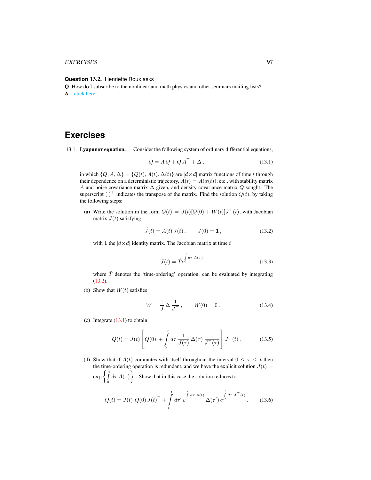#### EXERCISES 97

#### **Question** 13.2. Henriette Roux asks

Q How do I subscribe to the nonlinear and math physics and other seminars mailing lists? A [click here](http://www.cns.gatech.edu/computers/info.html)

## **Exercises**

<span id="page-96-0"></span>13.1. Lyapunov equation. Consider the following system of ordinary differential equations,

<span id="page-96-2"></span>
$$
\dot{Q} = A Q + Q A^{\top} + \Delta, \qquad (13.1)
$$

in which  $\{Q, A, \Delta\} = \{Q(t), A(t), \Delta(t)\}\$ are  $[d \times d]$  matrix functions of time t through their dependence on a deterministic trajectory,  $A(t) = A(x(t))$ , etc., with stability matrix A and noise covariance matrix  $\Delta$  given, and density covariance matrix  $Q$  sought. The superscript ( )<sup> $\top$ </sup> indicates the transpose of the matrix. Find the solution  $Q(t)$ , by taking the following steps:

(a) Write the solution in the form  $Q(t) = J(t)[Q(0) + W(t)]J^{\top}(t)$ , with Jacobian matrix  $J(t)$  satisfying

<span id="page-96-1"></span>
$$
\dot{J}(t) = A(t) J(t), \qquad J(0) = 1, \tag{13.2}
$$

with 1 the  $\left[ d \times d \right]$  identity matrix. The Jacobian matrix at time t

<span id="page-96-3"></span>
$$
J(t) = \hat{T}e^{\int_{0}^{t} d\tau \, A(\tau)}, \tag{13.3}
$$

where  $\hat{T}$  denotes the 'time-ordering' operation, can be evaluated by integrating [\(13.2\)](#page-96-1).

(b) Show that  $W(t)$  satisfies

$$
\dot{W} = \frac{1}{J} \Delta \frac{1}{J^{\top}}, \qquad W(0) = 0.
$$
 (13.4)

(c) Integrate  $(13.1)$  to obtain

$$
Q(t) = J(t) \left[ Q(0) + \int_0^t d\tau \, \frac{1}{J(\tau)} \, \Delta(\tau) \, \frac{1}{J^\top(\tau)} \right] J^\top(t) \,. \tag{13.5}
$$

(d) Show that if  $A(t)$  commutes with itself throughout the interval  $0 \leq \tau \leq t$  then the time-ordering operation is redundant, and we have the explicit solution  $J(t)$  =  $\exp\left\{\int_{0}^{t}$  $\int_{0}^{t} d\tau A(\tau)$ . Show that in this case the solution reduces to

<span id="page-96-4"></span>
$$
Q(t) = J(t) Q(0) J(t)^{\top} + \int_{0}^{t} d\tau' e^{\tau'} e^{\int_{t}^{t} d\tau A(t)} \Delta(\tau') e^{\tau'} e^{\int_{t}^{t} d\tau A^{\top}(t)}.
$$
 (13.6)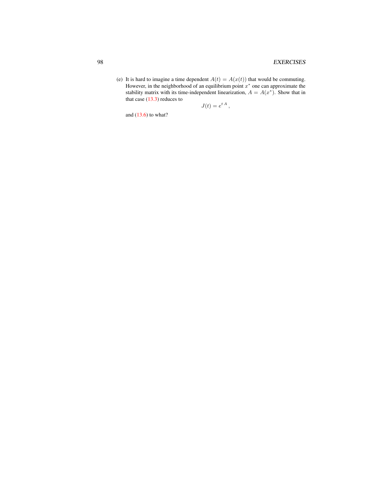(e) It is hard to imagine a time dependent  $A(t) = A(x(t))$  that would be commuting. However, in the neighborhood of an equilibrium point  $x^*$  one can approximate the stability matrix with its time-independent linearization,  $A = A(x^*)$ . Show that in that case  $(13.3)$  reduces to

$$
J(t) = e^{t A},
$$

and  $(13.6)$  to what?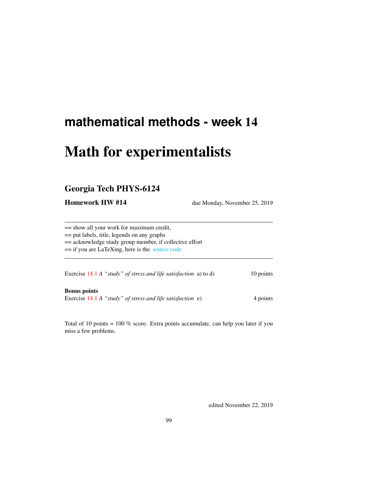# **mathematical methods - week** 14

# Math for experimentalists

## Georgia Tech PHYS-6124

**Homework HW #14** due Monday, November 25, 2019

== show all your work for maximum credit, == put labels, title, legends on any graphs == acknowledge study group member, if collective effort == if you are LaTeXing, here is the [source code](http://chaosbook.org/~predrag/courses/PHYS-6124-19/exerWeek14.tex) Exercise [14.1](#page-101-0) *A* "*study" of stress and life satisfaction* a) to d) 10 points

Bonus points Exercise [14.1](#page-101-0) *A* "*study*" *of stress and life satisfaction* e) 4 points

Total of 10 points = 100 % score. Extra points accumulate, can help you later if you miss a few problems.

edited November 22, 2019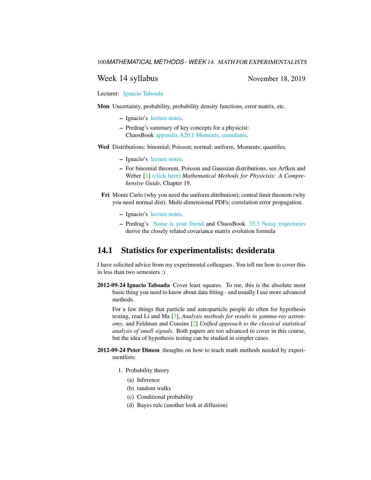#### Week 14 syllabus November 18, 2019

Lecturer: [Ignacio Taboada](http://www.taboada.gatech.edu/)

Mon Uncertainty, probability, probability density functions, error matrix, etc.

- Ignacio's [lecture notes.](http://chaosbook.org/~predrag/courses/PHYS-6124-19/Probability_and_uncertainty_1.pdf)
- Predrag's summary of key concepts for a physicist: ChaosBook [appendix A20.1 Moments, cumulants.](http://ChaosBook.org/chapters/ChaosBook.pdf#section.T.1)
- Wed Distributions: binomial; Poisson; normal; uniform. Moments; quantiles.
	- Ignacio's [lecture notes.](http://chaosbook.org/~predrag/courses/PHYS-6124-19/Distributions.pdf)
	- For binomial theorem, Poisson and Gaussian distributions, see Arfken and Weber [\[1\]](#page-101-1) [\(click here\)](http://ChaosBook.org/library/ArWe05chap19.pdf) *Mathematical Methods for Physicists: A Comprehensive Guide*, Chapter 19.
	- Fri Monte Carlo (why you need the uniform ditribution); central limit theorem (why you need normal dist). Multi-dimensional PDFs; correlation error propagation.
		- Ignacio's [lecture notes.](http://chaosbook.org/~predrag/courses/PHYS-6124-19/Multi-Dpdf.pdf)
		- Predrag's [Noise is your friend](http://chaosbook.org/~predrag/courses/PHYS-6124-19/noiseURfriend.pdf) and ChaosBook [33.3 Noisy trajectories](http://ChaosBook.org/chapters/ChaosBook.pdf#section.33.3) derive the closely related covariance matrix evolution formula

### 14.1 Statistics for experimentalists: desiderata

I have solicited advice from my experimental colleagues. You tell me how to cover this in less than two semesters :)

2012-09-24 Ignacio Taboada Cover least squares. To me, this is the absolute most basic thing you need to know about data fitting - and usually I use more advanced methods.

For a few things that particle and astroparticle people do often for hypothesis testing, read Li and Ma [\[3\]](#page-101-2), *Analysis methods for results in gamma-ray astronomy*, and Feldman and Cousins [\[2\]](#page-101-3) *Unified approach to the classical statistical analysis of small signals*. Both papers are too advanced to cover in this course, but the idea of hypothesis testing can be studied in simpler cases.

- 2012-09-24 Peter Dimon thoughts on how to teach math methods needed by experimentlists:
	- 1. Probability theory
		- (a) Inference
		- (b) random walks
		- (c) Conditional probability
		- (d) Bayes rule (another look at diffusion)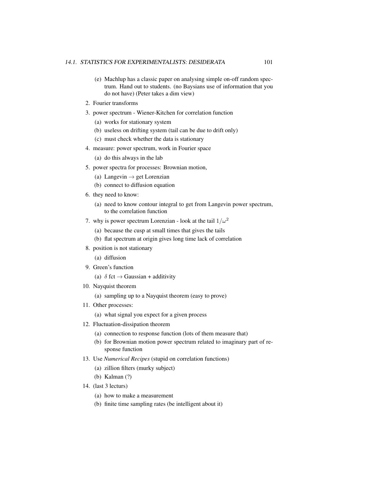- (e) Machlup has a classic paper on analysing simple on-off random spectrum. Hand out to students. (no Baysians use of information that you do not have) (Peter takes a dim view)
- 2. Fourier transforms
- 3. power spectrum Wiener-Kitchen for correlation function
	- (a) works for stationary system
	- (b) useless on drifting system (tail can be due to drift only)
	- (c) must check whether the data is stationary
- 4. measure: power spectrum, work in Fourier space

(a) do this always in the lab

- 5. power spectra for processes: Brownian motion,
	- (a) Langevin  $\rightarrow$  get Lorenzian
	- (b) connect to diffusion equation
- 6. they need to know:
	- (a) need to know contour integral to get from Langevin power spectrum, to the correlation function
- 7. why is power spectrum Lorenzian look at the tail  $1/\omega^2$ 
	- (a) because the cusp at small times that gives the tails
	- (b) flat spectrum at origin gives long time lack of correlation
- 8. position is not stationary

(a) diffusion

- 9. Green's function
	- (a)  $\delta$  fct  $\rightarrow$  Gaussian + additivity
- 10. Nayquist theorem
	- (a) sampling up to a Nayquist theorem (easy to prove)
- 11. Other processes:
	- (a) what signal you expect for a given process
- 12. Fluctuation-dissipation theorem
	- (a) connection to response function (lots of them measure that)
	- (b) for Brownian motion power spectrum related to imaginary part of response function
- 13. Use *Numerical Recipes* (stupid on correlation functions)
	- (a) zillion filters (murky subject)
	- (b) Kalman (?)
- 14. (last 3 lecturs)
	- (a) how to make a measurement
	- (b) finite time sampling rates (be intelligent about it)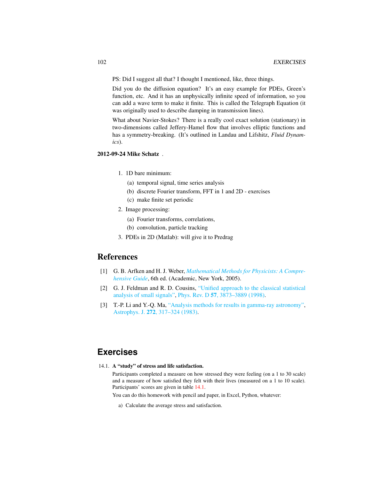PS: Did I suggest all that? I thought I mentioned, like, three things.

Did you do the diffusion equation? It's an easy example for PDEs, Green's function, etc. And it has an unphysically infinite speed of information, so you can add a wave term to make it finite. This is called the Telegraph Equation (it was originally used to describe damping in transmission lines).

What about Navier-Stokes? There is a really cool exact solution (stationary) in two-dimensions called Jeffery-Hamel flow that involves elliptic functions and has a symmetry-breaking. (It's outlined in Landau and Lifshitz, *Fluid Dynamics*).

#### 2012-09-24 Mike Schatz .

- 1. 1D bare minimum:
	- (a) temporal signal, time series analysis
	- (b) discrete Fourier transform, FFT in 1 and 2D exercises
	- (c) make finite set periodic
- 2. Image processing:
	- (a) Fourier transforms, correlations,
	- (b) convolution, particle tracking
- 3. PDEs in 2D (Matlab): will give it to Predrag

#### References

- <span id="page-101-1"></span>[1] G. B. Arfken and H. J. Weber, *[Mathematical Methods for Physicists: A Compre](http://books.google.com/books?vid=ISBN9780120598762)[hensive Guide](http://books.google.com/books?vid=ISBN9780120598762)*, 6th ed. (Academic, New York, 2005).
- <span id="page-101-3"></span>[2] G. J. Feldman and R. D. Cousins, ["Unified approach to the classical statistical](http://dx.doi.org/10.1103/PhysRevD.57.3873) [analysis of small signals",](http://dx.doi.org/10.1103/PhysRevD.57.3873) Phys. Rev. D 57[, 3873–3889 \(1998\).](https://doi.org/10.1103/PhysRevD.57.3873)
- <span id="page-101-2"></span>[3] T.-P. Li and Y.-Q. Ma, ["Analysis methods for results in gamma-ray astronomy",](http://dx.doi.org/10.1086/161295) Astrophys. J. 272[, 317–324 \(1983\).](https://doi.org/10.1086/161295)

## **Exercises**

<span id="page-101-0"></span>14.1. A "study" of stress and life satisfaction.

Participants completed a measure on how stressed they were feeling (on a 1 to 30 scale) and a measure of how satisfied they felt with their lives (measured on a 1 to 10 scale). Participants' scores are given in table [14.1.](#page-102-0)

You can do this homework with pencil and paper, in Excel, Python, whatever:

a) Calculate the average stress and satisfaction.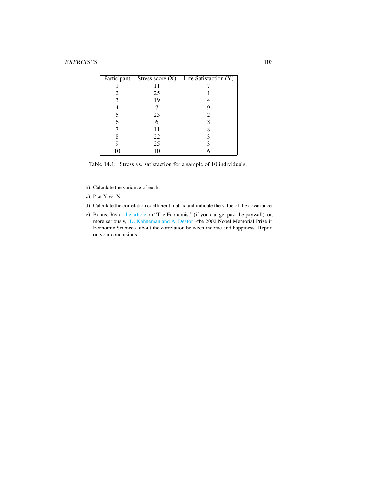| Stress score $(X)$ | Life Satisfaction (Y) |
|--------------------|-----------------------|
|                    |                       |
| 25                 |                       |
| 19                 |                       |
|                    |                       |
| 23                 | 2                     |
| 6                  |                       |
| 11                 |                       |
| 22                 |                       |
| 25                 |                       |
| 10                 |                       |
|                    |                       |

<span id="page-102-0"></span>Table 14.1: Stress vs. satisfaction for a sample of 10 individuals.

- b) Calculate the variance of each.
- c) Plot Y vs. X.
- d) Calculate the correlation coefficient matrix and indicate the value of the covariance.
- e) Bonus: Read [the article](https://www.economist.com/graphic-detail/2013/05/02/money-can-buy-happiness) on "The Economist" (if you can get past the paywall), or, more seriously, [D. Kahneman and A. Deaton](https://www.pnas.org/content/107/38/16489.full) -the 2002 Nobel Memorial Prize in Economic Sciences- about the correlation between income and happiness. Report on your conclusions.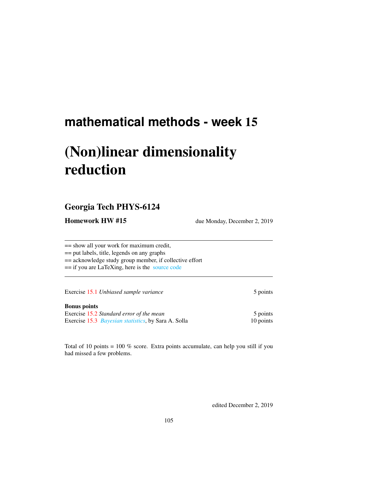# **mathematical methods - week** 15

# (Non)linear dimensionality reduction

## Georgia Tech PHYS-6124

Homework HW #15 due Monday, December 2, 2019

== show all your work for maximum credit, == put labels, title, legends on any graphs == acknowledge study group member, if collective effort

== if you are LaTeXing, here is the [source code](http://chaosbook.org/~predrag/courses/PHYS-6124-19/exerWeek15.tex)

Exercise [15.1](#page-106-0) *Unbiased sample variance* 5 points

#### Bonus points

Exercise [15.2](#page-106-1) *Standard error of the mean* 5 points Exercise [15.3](#page-107-0) *[Bayesian statistics](http://ChaosBook.org/~predrag/courses/PHYS-6124-19/HW15Solla.pdf)*, by Sara A. Solla 10 points

Total of 10 points = 100 % score. Extra points accumulate, can help you still if you had missed a few problems.

edited December 2, 2019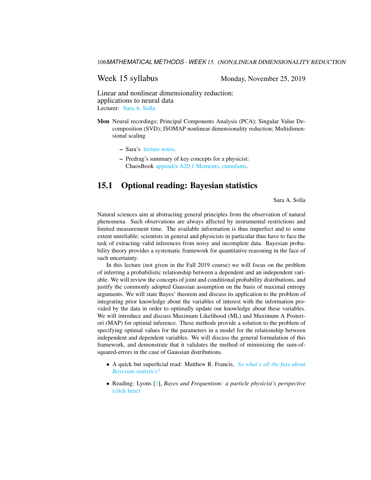Week 15 syllabus Monday, November 25, 2019

Linear and nonlinear dimensionality reduction: applications to neural data Lecturer: [Sara A. Solla](https://www.feinberg.northwestern.edu/faculty-profiles/az/profile.html?xid=16584)

- Mon Neural recordings; Principal Components Analysis (PCA); Singular Value Decomposition (SVD); ISOMAP nonlinear dimensionality reduction; Multidimensional scaling
	- Sara's [lecture notes.](http://chaosbook.org/~predrag/courses/PHYS-6124-19/GATech 112519.pdf)
	- Predrag's summary of key concepts for a physicist: ChaosBook [appendix A20.1 Moments, cumulants.](http://ChaosBook.org/chapters/ChaosBook.pdf#section.T.1)

## 15.1 Optional reading: Bayesian statistics

Sara A. Solla

Natural sciences aim at abstracting general principles from the observation of natural phenomena. Such observations are always affected by instrumental restrictions and limited measurement time. The available information is thus imperfect and to some extent unreliable; scientists in general and physicists in particular thus have to face the task of extracting valid inferences from noisy and incomplete data. Bayesian probability theory provides a systematic framework for quantitative reasoning in the face of such uncertainty.

In this lecture (not given in the Fall 2019 course) we will focus on the problem of inferring a probabilistic relationship between a dependent and an independent variable. We will review the concepts of joint and conditional probability distributions, and justify the commonly adopted Gaussian assumption on the basis of maximal entropy arguments. We will state Bayes' theorem and discuss its application to the problem of integrating prior knowledge about the variables of interest with the information provided by the data in order to optimally update our knowledge about these variables. We will introduce and discuss Maximum Likelihood (ML) and Maximum A Posteriori (MAP) for optimal inference. These methods provide a solution to the problem of specifying optimal values for the parameters in a model for the relationship between independent and dependent variables. We will discuss the general formulation of this framework, and demonstrate that it validates the method of minimizing the sum-ofsquared-errors in the case of Gaussian distributions.

- A quick but superficial read: Matthew R. Francis, *[So what's all the fuss about](http://galileospendulum.org/2013/06/07/so-whats-all-the-fuss-about-bayesian-statistics/) [Bayesian statistics?](http://galileospendulum.org/2013/06/07/so-whats-all-the-fuss-about-bayesian-statistics/)*
- Reading: Lyons [\[1\]](#page-106-2), *Bayes and Frequentism: a particle physicist's perspective* [\(click here\)](http://ChaosBook.org/library/Lyons13.pdf)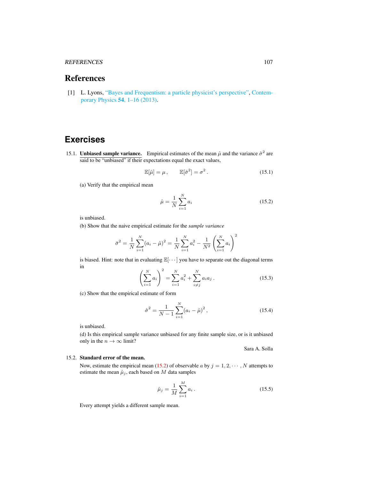#### REFERENCES 107

## References

<span id="page-106-2"></span>[1] L. Lyons, ["Bayes and Frequentism: a particle physicist's perspective",](http://dx.doi.org/10.1080/00107514.2012.756312) [Contem](https://doi.org/10.1080/00107514.2012.756312)[porary Physics](https://doi.org/10.1080/00107514.2012.756312) 54, 1–16 (2013).

## **Exercises**

<span id="page-106-0"></span>15.1. **Unbiased sample variance.** Empirical estimates of the mean  $\hat{\mu}$  and the variance  $\hat{\sigma}^2$  are said to be "unbiased" if their expectations equal the exact values,

<span id="page-106-4"></span>
$$
\mathbb{E}[\hat{\mu}] = \mu, \qquad \mathbb{E}[\hat{\sigma}^2] = \sigma^2. \tag{15.1}
$$

(a) Verify that the empirical mean

<span id="page-106-3"></span>
$$
\hat{\mu} = \frac{1}{N} \sum_{i=1}^{N} a_i
$$
\n(15.2)

is unbiased.

(b) Show that the naive empirical estimate for the *sample variance*

$$
\bar{\sigma}^2 = \frac{1}{N} \sum_{i=1}^{N} (a_i - \hat{\mu})^2 = \frac{1}{N} \sum_{i=1}^{N} a_i^2 - \frac{1}{N^2} \left( \sum_{i=1}^{N} a_i \right)^2
$$

is biased. Hint: note that in evaluating  $\mathbb{E}[\cdots]$  you have to separate out the diagonal terms in  $\overline{2}$ 

$$
\left(\sum_{i=1}^{N} a_i\right)^2 = \sum_{i=1}^{N} a_i^2 + \sum_{i \neq j}^{N} a_i a_j . \tag{15.3}
$$

(c) Show that the empirical estimate of form

$$
\hat{\sigma}^2 = \frac{1}{N-1} \sum_{i=1}^{N} (a_i - \hat{\mu})^2, \qquad (15.4)
$$

is unbiased.

(d) Is this empirical sample variance unbiased for any finite sample size, or is it unbiased only in the  $n \to \infty$  limit?

#### Sara A. Solla

#### <span id="page-106-1"></span>15.2. Standard error of the mean.

Now, estimate the empirical mean [\(15.2\)](#page-106-3) of observable a by  $j = 1, 2, \dots, N$  attempts to estimate the mean  $\hat{\mu}_i$ , each based on M data samples

$$
\hat{\mu}_j = \frac{1}{M} \sum_{i=1}^{M} a_i \,. \tag{15.5}
$$

Every attempt yields a different sample mean.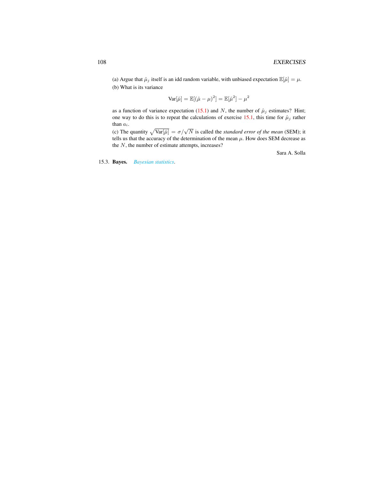(a) Argue that  $\hat{\mu}_j$  itself is an idd random variable, with unbiased expectation  $\mathbb{E}[\hat{\mu}] = \mu$ . (b) What is its variance

$$
\text{Var}[\hat{\mu}] = \mathbb{E}[(\hat{\mu} - \mu)^2] = \mathbb{E}[\hat{\mu}^2] - \mu^2
$$

as a function of variance expectation [\(15.1\)](#page-106-4) and N, the number of  $\hat{\mu}_j$  estimates? Hint; one way to do this is to repeat the calculations of exercise [15.1,](#page-106-0) this time for  $\hat{\mu}_j$  rather than  $\mathfrak{a}_i.$ 

(c) The quantity  $\sqrt{\text{Var}[\hat{\mu}]} = \sigma/\sqrt{N}$  is called the *standard error of the mean* (SEM); it tells us that the accuracy of the determination of the mean  $\mu$ . How does SEM decrease as the  $N$ , the number of estimate attempts, increases?

Sara A. Solla

<span id="page-107-0"></span>15.3. Bayes. *[Bayesian statistics](http://ChaosBook.org/~predrag/courses/PHYS-6124-19/HW15Solla.pdf)*.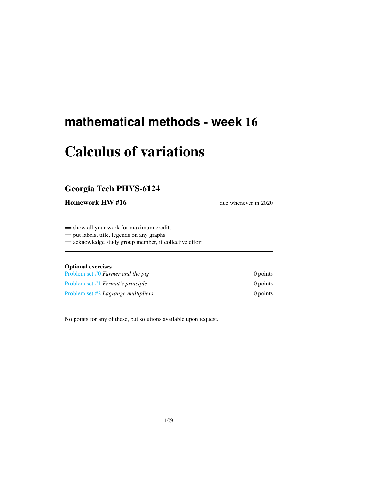## **mathematical methods - week** 16

# Calculus of variations

### Georgia Tech PHYS-6124

Homework HW #16 due whenever in 2020

== show all your work for maximum credit,

== put labels, title, legends on any graphs

== acknowledge study group member, if collective effort

### Optional exercises

| Problem set #0 Farmer and the pig          | $0$ points |
|--------------------------------------------|------------|
| Problem set #1 <i>Fermat's principle</i>   | $0$ points |
| Problem set #2 <i>Lagrange multipliers</i> | $0$ points |

No points for any of these, but solutions available upon request.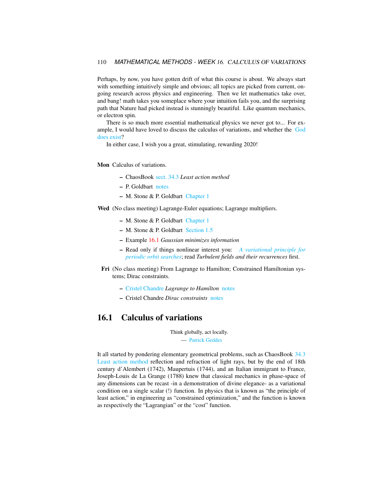Perhaps, by now, you have gotten drift of what this course is about. We always start with something intuitively simple and obvious; all topics are picked from current, ongoing research across physics and engineering. Then we let mathematics take over, and bang! math takes you someplace where your intuition fails you, and the surprising path that Nature had picked instead is stunningly beautiful. Like quantum mechanics, or electron spin.

There is so much more essential mathematical physics we never got to... For example, I would have loved to discuss the calculus of variations, and whether the [God](https://gatech.instructure.com/courses/56198) [does exist?](https://gatech.instructure.com/courses/56198)

In either case, I wish you a great, stimulating, rewarding 2020!

Mon Calculus of variations.

- ChaosBook [sect. 34.3](http://ChaosBook.org/chapters/ChaosBook.pdf#section.34.3) *Least action method*
- P. Goldbart [notes](http://ChaosBook.org/~predrag/courses/PHYS-6124-12/PG93-calcVar.pdf)
- M. Stone & P. Goldbart [Chapter 1](http://ChaosBook.org/~predrag/courses/PHYS-6124-12/StGoChap1.pdf)

Wed (No class meeting) Lagrange-Euler equations; Lagrange multipliers.

- M. Stone & P. Goldbart [Chapter 1](http://ChaosBook.org/~predrag/courses/PHYS-6124-12/StGoChap1.pdf)
- M. Stone & P. Goldbart [Section 1.5](http://ChaosBook.org/~predrag/courses/PHYS-6124-12/StGoChap1.pdf)
- Example [16.1](#page-110-0) *Gaussian minimizes information*
- Read only if things nonlinear interest you: *[A variational principle for](http://ChaosBook.org/~predrag/papers/preprints.html#POextract) [periodic orbit searches](http://ChaosBook.org/~predrag/papers/preprints.html#POextract)*; read *Turbulent fields and their recurrences* first.
- Fri (No class meeting) From Lagrange to Hamilton; Constrained Hamiltonian systems; Dirac constraints.
	- [Cristel Chandre](http://www.chandre.fr/) *Lagrange to Hamilton* [notes](http://ChaosBook.org/~predrag/courses/PHYS-6124-12/Lagrange-Hamilton.pdf)
	- Cristel Chandre *Dirac constraints* [notes](http://ChaosBook.org/~predrag/courses/PHYS-6124-12/Hamilton-Dirac.pdf)

### 16.1 Calculus of variations

Think globally, act locally. — [Patrick Geddes](http://en.wikipedia.org/wiki/Think_globally,_act_locally)

It all started by pondering elementary geometrical problems, such as ChaosBook [34.3](http://ChaosBook.org/chapters/ChaosBook.pdf#section.34.3) [Least action method](http://ChaosBook.org/chapters/ChaosBook.pdf#section.34.3) reflection and refraction of light rays, but by the end of 18th century d'Alembert (1742), Maupertuis (1744), and an Italian immigrant to France, Joseph-Louis de La Grange (1788) knew that classical mechanics in phase-space of any dimensions can be recast -in a demonstration of divine elegance- as a variational condition on a single scalar (!) function. In physics that is known as "the principle of least action," in engineering as "constrained optimization," and the function is known as respectively the "Lagrangian" or the "cost" function.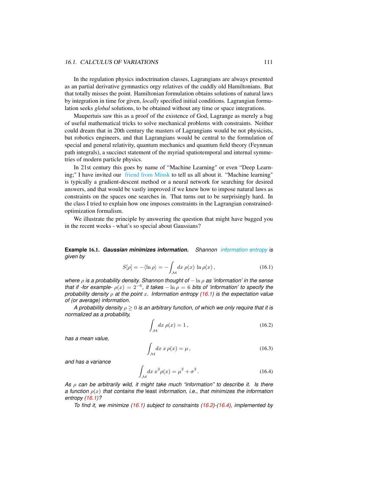In the regulation physics indoctrination classes, Lagrangians are always presented as an partial derivative gymnastics orgy relatives of the cuddly old Hamiltonians. But that totally misses the point. Hamiltonian formulation obtains solutions of natural laws by integration in time for given, *locally* specified initial conditions. Lagrangian formulation seeks *global* solutions, to be obtained without any time or space integrations.

Maupertuis saw this as a proof of the existence of God, Lagrange as merely a bag of useful mathematical tricks to solve mechanical problems with constraints. Neither could dream that in 20th century the masters of Lagrangians would be not physicists, but robotics engineers, and that Lagrangians would be central to the formulation of special and general relativity, quantum mechanics and quantum field theory (Feynman path integrals), a succinct statement of the myriad spatiotemporal and internal symmetries of modern particle physics.

In 21st century this goes by name of "Machine Learning" or even "Deep Learning;" I have invited our [friend from Minsk](https://youtu.be/gXlfXirQF3A) to tell us all about it. "Machine learning" is typically a gradient-descent method or a neural network for searching for desired answers, and that would be vastly improved if we knew how to impose natural laws as constraints on the spaces one searches in. That turns out to be surprisingly hard. In the class I tried to explain how one imposes constraints in the Lagrangian constrainedoptimization formalism.

We illustrate the principle by answering the question that might have bugged you in the recent weeks - what's so special about Gaussians?

<span id="page-110-0"></span>**Example** 16.1. *Gaussian minimizes information. Shannon [information entropy](https://en.wikipedia.org/wiki/Entropy_(information_theory)) is given by*

<span id="page-110-1"></span>
$$
S[\rho] = -\langle \ln \rho \rangle = -\int_{\mathcal{M}} dx \, \rho(x) \ln \rho(x) \,, \tag{16.1}
$$

*where* ρ *is a probability density. Shannon thought of* − ln ρ *as 'information' in the sense that if -for example-*  $\rho(x) = 2^{-6}$ , *it takes*  $-\ln \rho = 6$  *bits of 'information' to specify the probability density* ρ *at the point* x*. Information entropy [\(16.1\)](#page-110-1) is the expectation value of (or average) information.*

*A probability density* ρ ≥ 0 *is an arbitrary function, of which we only require that it is normalized as a probability,*

<span id="page-110-2"></span>
$$
\int_{\mathcal{M}} dx \,\rho(x) = 1\,,\tag{16.2}
$$

*has a mean value,*

$$
\int_{\mathcal{M}} dx \, x \, \rho(x) = \mu \,, \tag{16.3}
$$

*and has a variance*

<span id="page-110-3"></span>
$$
\int_{\mathcal{M}} dx \, x^2 \rho(x) = \mu^2 + \sigma^2 \,. \tag{16.4}
$$

*As* ρ *can be arbitrarily wild, it might take much "information" to describe it. Is there a function* ρ(x) *that contains the* least *information, i.e., that minimizes the information entropy [\(16.1\)](#page-110-1)?*

*To find it, we minimize [\(16.1\)](#page-110-1) subject to constraints [\(16.2\)](#page-110-2)-[\(16.4\)](#page-110-3), implemented by*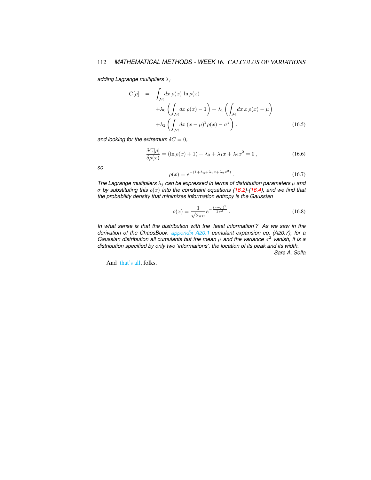### 112 *MATHEMATICAL METHODS - WEEK* 16. CALCULUS OF VARIATIONS

*adding Lagrange multipliers* λ<sup>j</sup>

$$
C[\rho] = \int_{\mathcal{M}} dx \, \rho(x) \ln \rho(x)
$$
  
+  $\lambda_0 \left( \int_{\mathcal{M}} dx \, \rho(x) - 1 \right) + \lambda_1 \left( \int_{\mathcal{M}} dx \, x \, \rho(x) - \mu \right)$   
+  $\lambda_2 \left( \int_{\mathcal{M}} dx \, (x - \mu)^2 \rho(x) - \sigma^2 \right),$  (16.5)

*and looking for the extremum*  $\delta C = 0$ ,

$$
\frac{\delta C[\rho]}{\delta \rho(x)} = (\ln \rho(x) + 1) + \lambda_0 + \lambda_1 x + \lambda_2 x^2 = 0,
$$
\n(16.6)

*so*

$$
\rho(x) = e^{-(1+\lambda_0 + \lambda_1 x + \lambda_2 x^2)}.
$$
\n(16.7)

*The Lagrange multipliers*  $\lambda_j$  *can be expressed in terms of distribution parameters*  $\mu$  *and* σ *by substituting this* ρ(x) *into the constraint equations [\(16.2\)](#page-110-2)-[\(16.4\)](#page-110-3), and we find that the probability density that minimizes information entropy is the Gaussian*

$$
\rho(x) = \frac{1}{\sqrt{2\pi}\sigma} e^{-\frac{(x-\mu)^2}{2\sigma^2}}.
$$
\n(16.8)

*In what sense is that the distribution with the 'least information'? As we saw in the derivation of the ChaosBook [appendix A20.1](http://ChaosBook.org/chapters/ChaosBook.pdf#section.T.1) cumulant expansion eq. (A20.7), for a Gaussian distribution all cumulants but the mean*  $\mu$  *and the variance*  $\sigma^2$  vanish, it is a *distribution specified by only two 'informations', the location of its peak and its width. Sara A. Solla*

And [that's all,](http://ChaosBook.org/~predrag/courses/PHYS-6124-19/applause-4.mp3) folks.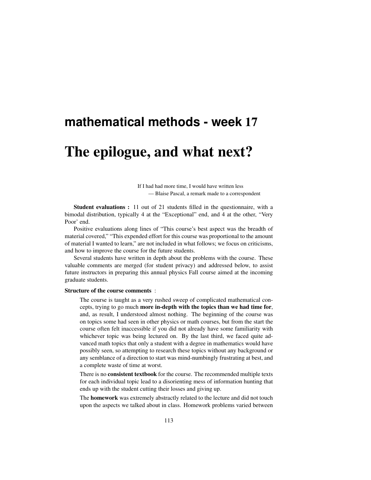### **mathematical methods - week** 17

## The epilogue, and what next?

If I had had more time, I would have written less — Blaise Pascal, a remark made to a correspondent

Student evaluations : 11 out of 21 students filled in the questionnaire, with a bimodal distribution, typically 4 at the "Exceptional" end, and 4 at the other, "Very Poor' end.

Positive evaluations along lines of "This course's best aspect was the breadth of material covered," "This expended effort for this course was proportional to the amount of material I wanted to learn," are not included in what follows; we focus on criticisms, and how to improve the course for the future students.

Several students have written in depth about the problems with the course. These valuable comments are merged (for student privacy) and addressed below, to assist future instructors in preparing this annual physics Fall course aimed at the incoming graduate students.

#### Structure of the course comments :

The course is taught as a very rushed sweep of complicated mathematical concepts, trying to go much more in-depth with the topics than we had time for, and, as result, I understood almost nothing. The beginning of the course was on topics some had seen in other physics or math courses, but from the start the course often felt inaccessible if you did not already have some familiarity with whichever topic was being lectured on. By the last third, we faced quite advanced math topics that only a student with a degree in mathematics would have possibly seen, so attempting to research these topics without any background or any semblance of a direction to start was mind-numbingly frustrating at best, and a complete waste of time at worst.

There is no consistent textbook for the course. The recommended multiple texts for each individual topic lead to a disorienting mess of information hunting that ends up with the student cutting their losses and giving up.

The homework was extremely abstractly related to the lecture and did not touch upon the aspects we talked about in class. Homework problems varied between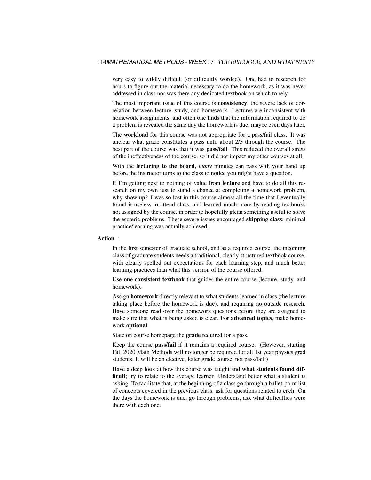very easy to wildly difficult (or difficultly worded). One had to research for hours to figure out the material necessary to do the homework, as it was never addressed in class nor was there any dedicated textbook on which to rely.

The most important issue of this course is consistency, the severe lack of correlation between lecture, study, and homework. Lectures are inconsistent with homework assignments, and often one finds that the information required to do a problem is revealed the same day the homework is due, maybe even days later.

The workload for this course was not appropriate for a pass/fail class. It was unclear what grade constitutes a pass until about 2/3 through the course. The best part of the course was that it was pass/fail. This reduced the overall stress of the ineffectiveness of the course, so it did not impact my other courses at all.

With the lecturing to the board, *many* minutes can pass with your hand up before the instructor turns to the class to notice you might have a question.

If I'm getting next to nothing of value from lecture and have to do all this research on my own just to stand a chance at completing a homework problem, why show up? I was so lost in this course almost all the time that I eventually found it useless to attend class, and learned much more by reading textbooks not assigned by the course, in order to hopefully glean something useful to solve the esoteric problems. These severe issues encouraged skipping class; minimal practice/learning was actually achieved.

#### Action :

In the first semester of graduate school, and as a required course, the incoming class of graduate students needs a traditional, clearly structured textbook course, with clearly spelled out expectations for each learning step, and much better learning practices than what this version of the course offered.

Use one consistent textbook that guides the entire course (lecture, study, and homework).

Assign homework directly relevant to what students learned in class (the lecture taking place before the homework is due), and requiring no outside research. Have someone read over the homework questions before they are assigned to make sure that what is being asked is clear. For **advanced topics**, make homework optional.

State on course homepage the **grade** required for a pass.

Keep the course pass/fail if it remains a required course. (However, starting Fall 2020 Math Methods will no longer be required for all 1st year physics grad students. It will be an elective, letter grade course, not pass/fail.)

Have a deep look at how this course was taught and what students found difficult; try to relate to the average learner. Understand better what a student is asking. To facilitate that, at the beginning of a class go through a bullet-point list of concepts covered in the previous class, ask for questions related to each. On the days the homework is due, go through problems, ask what difficulties were there with each one.